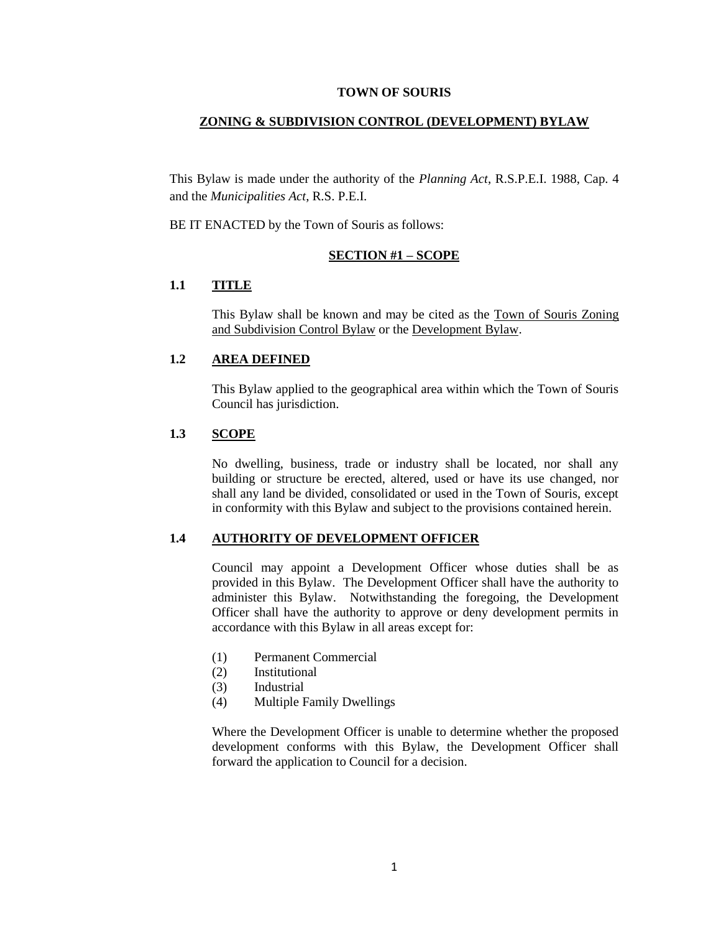#### **TOWN OF SOURIS**

#### **ZONING & SUBDIVISION CONTROL (DEVELOPMENT) BYLAW**

This Bylaw is made under the authority of the *Planning Act*, R.S.P.E.I. 1988, Cap. 4 and the *Municipalities Act*, R.S. P.E.I.

BE IT ENACTED by the Town of Souris as follows:

#### **SECTION #1 – SCOPE**

# **1.1 TITLE**

This Bylaw shall be known and may be cited as the Town of Souris Zoning and Subdivision Control Bylaw or the Development Bylaw.

## **1.2 AREA DEFINED**

This Bylaw applied to the geographical area within which the Town of Souris Council has jurisdiction.

## **1.3 SCOPE**

No dwelling, business, trade or industry shall be located, nor shall any building or structure be erected, altered, used or have its use changed, nor shall any land be divided, consolidated or used in the Town of Souris, except in conformity with this Bylaw and subject to the provisions contained herein.

#### **1.4 AUTHORITY OF DEVELOPMENT OFFICER**

Council may appoint a Development Officer whose duties shall be as provided in this Bylaw. The Development Officer shall have the authority to administer this Bylaw. Notwithstanding the foregoing, the Development Officer shall have the authority to approve or deny development permits in accordance with this Bylaw in all areas except for:

- (1) Permanent Commercial
- (2) Institutional
- (3) Industrial
- (4) Multiple Family Dwellings

Where the Development Officer is unable to determine whether the proposed development conforms with this Bylaw, the Development Officer shall forward the application to Council for a decision.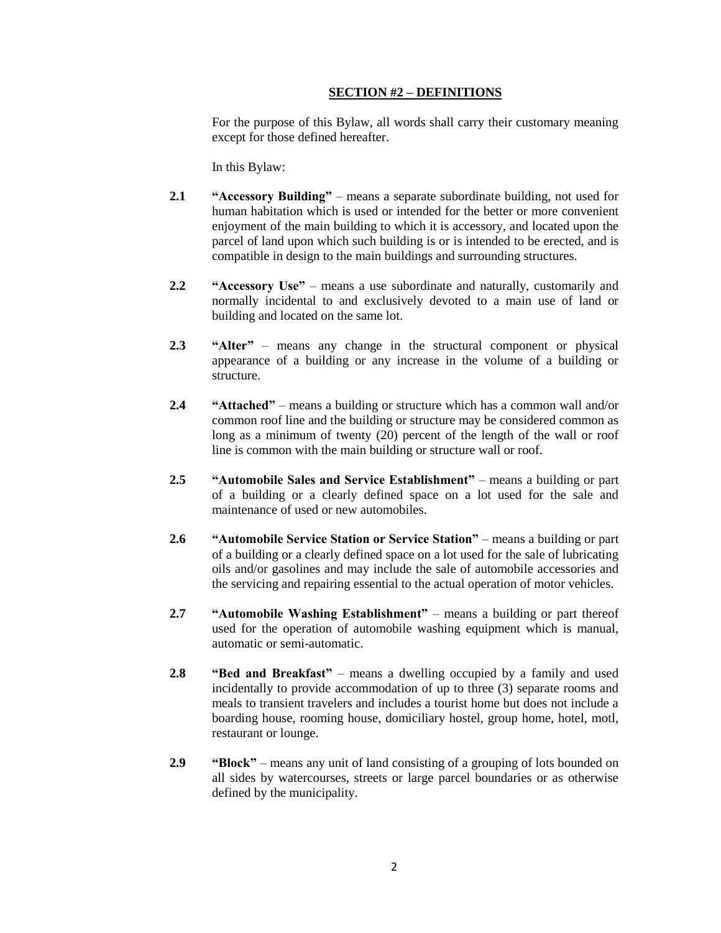### **SECTION #2 – DEFINITIONS**

For the purpose of this Bylaw, all words shall carry their customary meaning except for those defined hereafter.

In this Bylaw:

- **2.1 "Accessory Building"** means a separate subordinate building, not used for human habitation which is used or intended for the better or more convenient enjoyment of the main building to which it is accessory, and located upon the parcel of land upon which such building is or is intended to be erected, and is compatible in design to the main buildings and surrounding structures.
- **2.2 "Accessory Use"** means a use subordinate and naturally, customarily and normally incidental to and exclusively devoted to a main use of land or building and located on the same lot.
- **2.3 "Alter"** means any change in the structural component or physical appearance of a building or any increase in the volume of a building or structure.
- **2.4 "Attached"**  means a building or structure which has a common wall and/or common roof line and the building or structure may be considered common as long as a minimum of twenty (20) percent of the length of the wall or roof line is common with the main building or structure wall or roof.
- **2.5 "Automobile Sales and Service Establishment"** means a building or part of a building or a clearly defined space on a lot used for the sale and maintenance of used or new automobiles.
- **2.6 "Automobile Service Station or Service Station"** means a building or part of a building or a clearly defined space on a lot used for the sale of lubricating oils and/or gasolines and may include the sale of automobile accessories and the servicing and repairing essential to the actual operation of motor vehicles.
- **2.7 "Automobile Washing Establishment"** means a building or part thereof used for the operation of automobile washing equipment which is manual, automatic or semi-automatic.
- **2.8 "Bed and Breakfast"** means a dwelling occupied by a family and used incidentally to provide accommodation of up to three (3) separate rooms and meals to transient travelers and includes a tourist home but does not include a boarding house, rooming house, domiciliary hostel, group home, hotel, motl, restaurant or lounge.
- **2.9 "Block"** means any unit of land consisting of a grouping of lots bounded on all sides by watercourses, streets or large parcel boundaries or as otherwise defined by the municipality.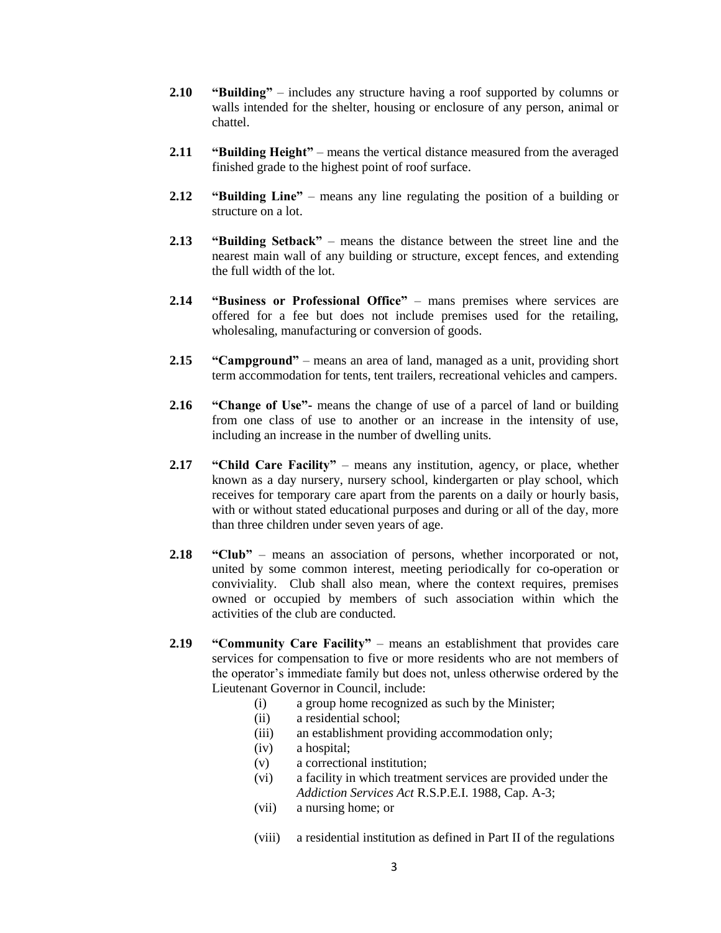- **2.10 "Building"**  includes any structure having a roof supported by columns or walls intended for the shelter, housing or enclosure of any person, animal or chattel.
- **2.11 "Building Height"** means the vertical distance measured from the averaged finished grade to the highest point of roof surface.
- **2.12 "Building Line"** means any line regulating the position of a building or structure on a lot.
- **2.13 "Building Setback"** means the distance between the street line and the nearest main wall of any building or structure, except fences, and extending the full width of the lot.
- **2.14 "Business or Professional Office"** mans premises where services are offered for a fee but does not include premises used for the retailing, wholesaling, manufacturing or conversion of goods.
- **2.15 "Campground"** means an area of land, managed as a unit, providing short term accommodation for tents, tent trailers, recreational vehicles and campers.
- **2.16 "Change of Use"-** means the change of use of a parcel of land or building from one class of use to another or an increase in the intensity of use, including an increase in the number of dwelling units.
- **2.17 "Child Care Facility"** means any institution, agency, or place, whether known as a day nursery, nursery school, kindergarten or play school, which receives for temporary care apart from the parents on a daily or hourly basis, with or without stated educational purposes and during or all of the day, more than three children under seven years of age.
- **2.18 "Club"** means an association of persons, whether incorporated or not, united by some common interest, meeting periodically for co-operation or conviviality. Club shall also mean, where the context requires, premises owned or occupied by members of such association within which the activities of the club are conducted.
- **2.19 "Community Care Facility"** means an establishment that provides care services for compensation to five or more residents who are not members of the operator's immediate family but does not, unless otherwise ordered by the Lieutenant Governor in Council, include:
	- (i) a group home recognized as such by the Minister;
	- (ii) a residential school;
	- (iii) an establishment providing accommodation only;
	- (iv) a hospital;
	- (v) a correctional institution;
	- (vi) a facility in which treatment services are provided under the *Addiction Services Act* R.S.P.E.I. 1988, Cap. A-3;
	- (vii) a nursing home; or
	- (viii) a residential institution as defined in Part II of the regulations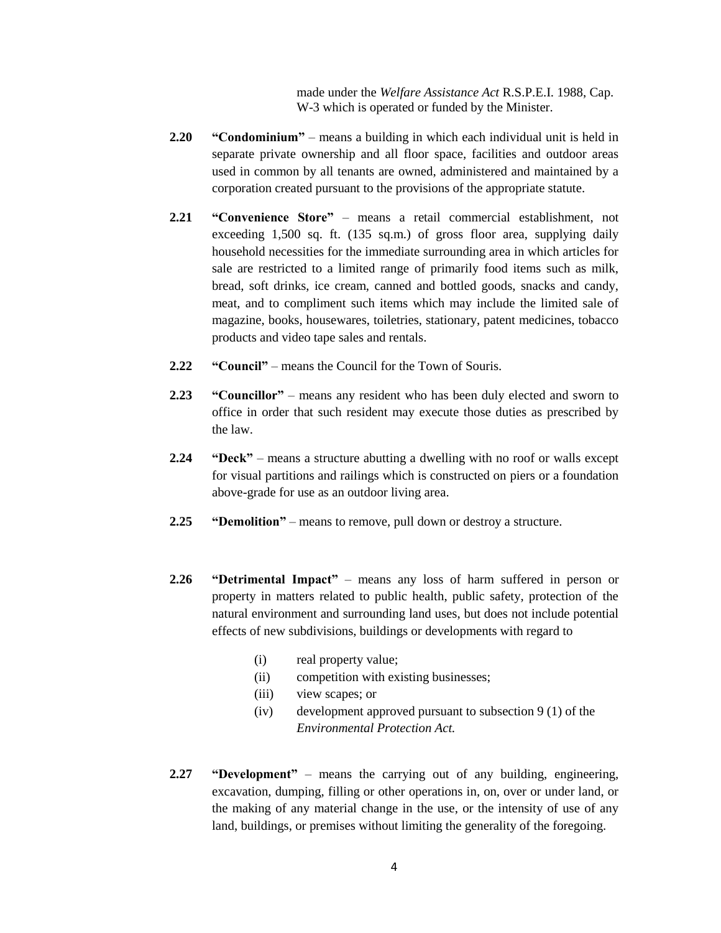made under the *Welfare Assistance Act* R.S.P.E.I. 1988, Cap. W-3 which is operated or funded by the Minister.

- **2.20 "Condominium"** means a building in which each individual unit is held in separate private ownership and all floor space, facilities and outdoor areas used in common by all tenants are owned, administered and maintained by a corporation created pursuant to the provisions of the appropriate statute.
- **2.21 "Convenience Store"** means a retail commercial establishment, not exceeding 1,500 sq. ft. (135 sq.m.) of gross floor area, supplying daily household necessities for the immediate surrounding area in which articles for sale are restricted to a limited range of primarily food items such as milk, bread, soft drinks, ice cream, canned and bottled goods, snacks and candy, meat, and to compliment such items which may include the limited sale of magazine, books, housewares, toiletries, stationary, patent medicines, tobacco products and video tape sales and rentals.
- **2.22 "Council"** means the Council for the Town of Souris.
- **2.23 "Councillor"**  means any resident who has been duly elected and sworn to office in order that such resident may execute those duties as prescribed by the law.
- **2.24 "Deck"**  means a structure abutting a dwelling with no roof or walls except for visual partitions and railings which is constructed on piers or a foundation above-grade for use as an outdoor living area.
- **2.25 "Demolition"** means to remove, pull down or destroy a structure.
- **2.26 "Detrimental Impact"** means any loss of harm suffered in person or property in matters related to public health, public safety, protection of the natural environment and surrounding land uses, but does not include potential effects of new subdivisions, buildings or developments with regard to
	- (i) real property value;
	- (ii) competition with existing businesses;
	- (iii) view scapes; or
	- (iv) development approved pursuant to subsection  $9(1)$  of the *Environmental Protection Act.*
- **2.27 "Development"** means the carrying out of any building, engineering, excavation, dumping, filling or other operations in, on, over or under land, or the making of any material change in the use, or the intensity of use of any land, buildings, or premises without limiting the generality of the foregoing.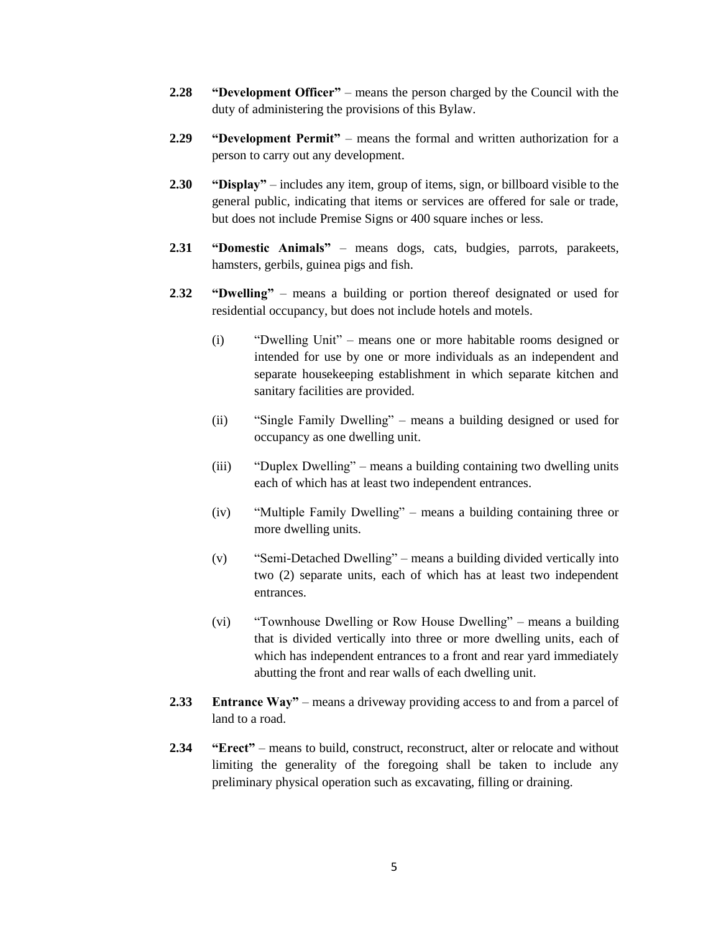- **2.28 "Development Officer"** means the person charged by the Council with the duty of administering the provisions of this Bylaw.
- **2.29 "Development Permit"** means the formal and written authorization for a person to carry out any development.
- **2.30 "Display"** includes any item, group of items, sign, or billboard visible to the general public, indicating that items or services are offered for sale or trade, but does not include Premise Signs or 400 square inches or less.
- **2.31 "Domestic Animals"** means dogs, cats, budgies, parrots, parakeets, hamsters, gerbils, guinea pigs and fish.
- **2**.**32 "Dwelling"** means a building or portion thereof designated or used for residential occupancy, but does not include hotels and motels.
	- (i) "Dwelling Unit" means one or more habitable rooms designed or intended for use by one or more individuals as an independent and separate housekeeping establishment in which separate kitchen and sanitary facilities are provided.
	- (ii) "Single Family Dwelling" means a building designed or used for occupancy as one dwelling unit.
	- (iii) "Duplex Dwelling" means a building containing two dwelling units each of which has at least two independent entrances.
	- (iv) "Multiple Family Dwelling" means a building containing three or more dwelling units.
	- (v) "Semi-Detached Dwelling" means a building divided vertically into two (2) separate units, each of which has at least two independent entrances.
	- (vi) "Townhouse Dwelling or Row House Dwelling" means a building that is divided vertically into three or more dwelling units, each of which has independent entrances to a front and rear yard immediately abutting the front and rear walls of each dwelling unit.
- **2.33 Entrance Way"** means a driveway providing access to and from a parcel of land to a road.
- **2.34 "Erect"** means to build, construct, reconstruct, alter or relocate and without limiting the generality of the foregoing shall be taken to include any preliminary physical operation such as excavating, filling or draining.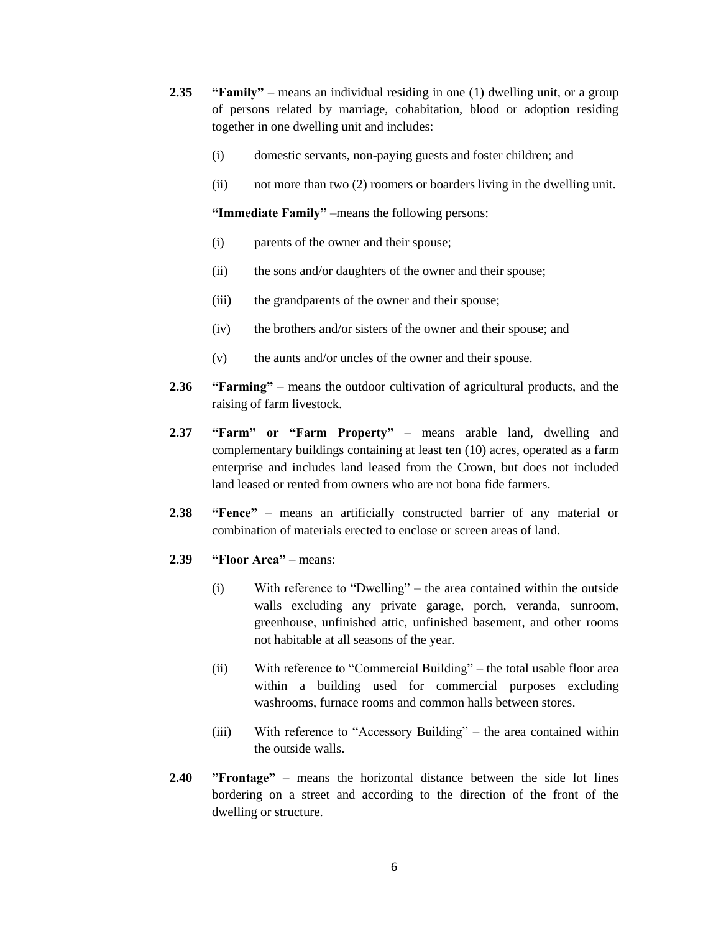- **2.35 "Family"** means an individual residing in one (1) dwelling unit, or a group of persons related by marriage, cohabitation, blood or adoption residing together in one dwelling unit and includes:
	- (i) domestic servants, non-paying guests and foster children; and
	- (ii) not more than two (2) roomers or boarders living in the dwelling unit.

**"Immediate Family"** –means the following persons:

- (i) parents of the owner and their spouse;
- (ii) the sons and/or daughters of the owner and their spouse;
- (iii) the grandparents of the owner and their spouse;
- (iv) the brothers and/or sisters of the owner and their spouse; and
- (v) the aunts and/or uncles of the owner and their spouse.
- **2.36 "Farming"** means the outdoor cultivation of agricultural products, and the raising of farm livestock.
- **2.37 "Farm" or "Farm Property"** means arable land, dwelling and complementary buildings containing at least ten (10) acres, operated as a farm enterprise and includes land leased from the Crown, but does not included land leased or rented from owners who are not bona fide farmers.
- **2.38 "Fence"**  means an artificially constructed barrier of any material or combination of materials erected to enclose or screen areas of land.
- **2.39 "Floor Area"** means:
	- (i) With reference to "Dwelling" the area contained within the outside walls excluding any private garage, porch, veranda, sunroom, greenhouse, unfinished attic, unfinished basement, and other rooms not habitable at all seasons of the year.
	- (ii) With reference to "Commercial Building" the total usable floor area within a building used for commercial purposes excluding washrooms, furnace rooms and common halls between stores.
	- (iii) With reference to "Accessory Building" the area contained within the outside walls.
- **2.40 "Frontage"**  means the horizontal distance between the side lot lines bordering on a street and according to the direction of the front of the dwelling or structure.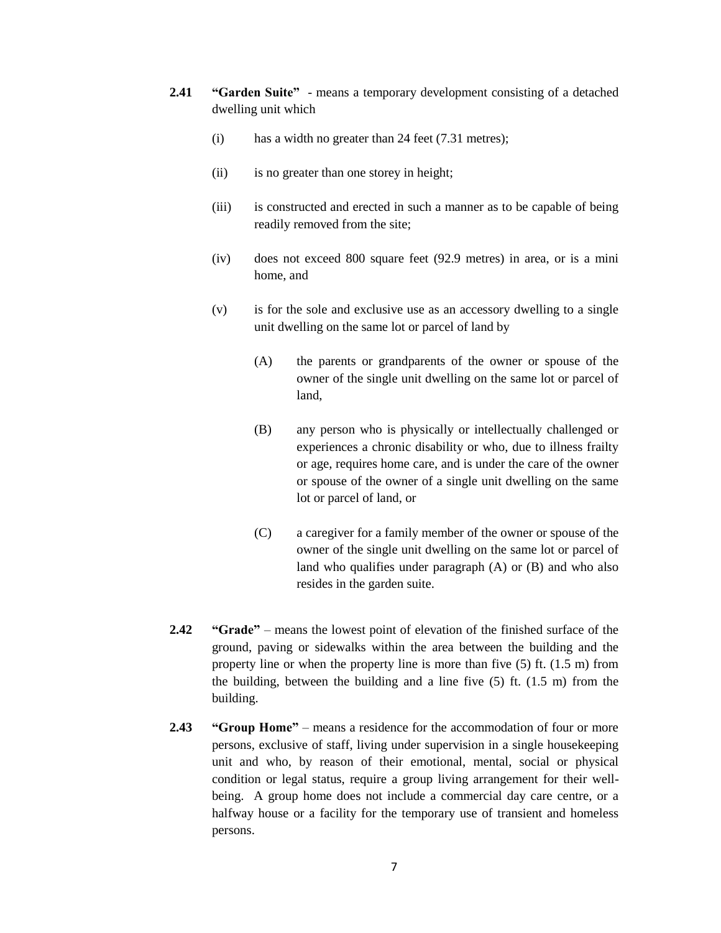- **2.41 "Garden Suite"**  means a temporary development consisting of a detached dwelling unit which
	- (i) has a width no greater than 24 feet (7.31 metres);
	- (ii) is no greater than one storey in height;
	- (iii) is constructed and erected in such a manner as to be capable of being readily removed from the site;
	- (iv) does not exceed 800 square feet (92.9 metres) in area, or is a mini home, and
	- (v) is for the sole and exclusive use as an accessory dwelling to a single unit dwelling on the same lot or parcel of land by
		- (A) the parents or grandparents of the owner or spouse of the owner of the single unit dwelling on the same lot or parcel of land,
		- (B) any person who is physically or intellectually challenged or experiences a chronic disability or who, due to illness frailty or age, requires home care, and is under the care of the owner or spouse of the owner of a single unit dwelling on the same lot or parcel of land, or
		- (C) a caregiver for a family member of the owner or spouse of the owner of the single unit dwelling on the same lot or parcel of land who qualifies under paragraph (A) or (B) and who also resides in the garden suite.
- **2.42 "Grade"** means the lowest point of elevation of the finished surface of the ground, paving or sidewalks within the area between the building and the property line or when the property line is more than five (5) ft. (1.5 m) from the building, between the building and a line five (5) ft. (1.5 m) from the building.
- **2.43 "Group Home"** means a residence for the accommodation of four or more persons, exclusive of staff, living under supervision in a single housekeeping unit and who, by reason of their emotional, mental, social or physical condition or legal status, require a group living arrangement for their wellbeing. A group home does not include a commercial day care centre, or a halfway house or a facility for the temporary use of transient and homeless persons.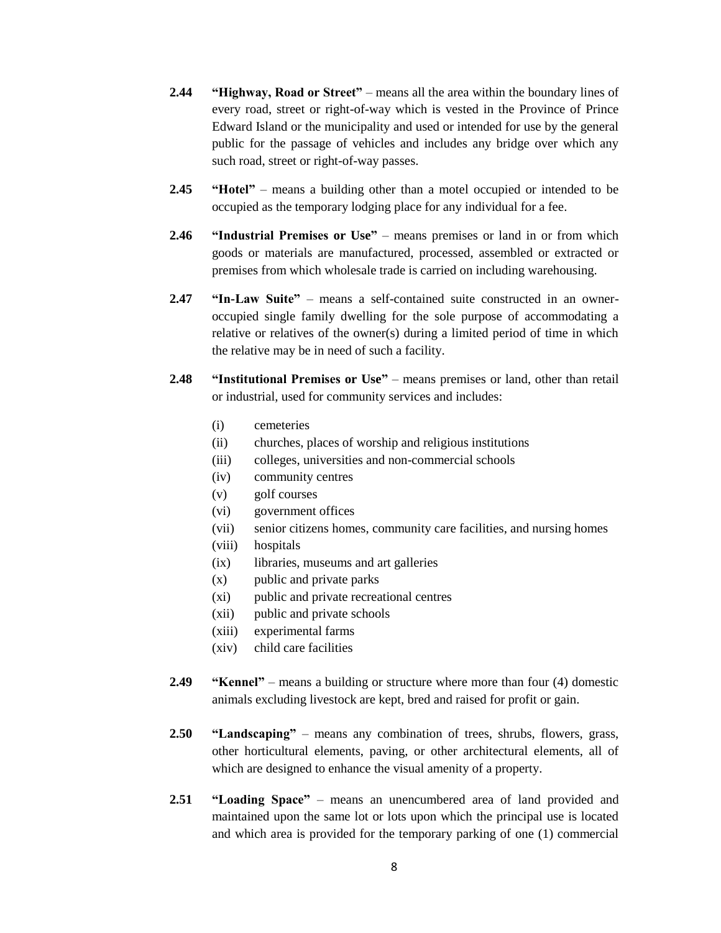- **2.44 "Highway, Road or Street"** means all the area within the boundary lines of every road, street or right-of-way which is vested in the Province of Prince Edward Island or the municipality and used or intended for use by the general public for the passage of vehicles and includes any bridge over which any such road, street or right-of-way passes.
- **2.45 "Hotel"** means a building other than a motel occupied or intended to be occupied as the temporary lodging place for any individual for a fee.
- **2.46 "Industrial Premises or Use"** means premises or land in or from which goods or materials are manufactured, processed, assembled or extracted or premises from which wholesale trade is carried on including warehousing.
- **2.47 "In-Law Suite"** means a self-contained suite constructed in an owneroccupied single family dwelling for the sole purpose of accommodating a relative or relatives of the owner(s) during a limited period of time in which the relative may be in need of such a facility.
- **2.48 "Institutional Premises or Use"** means premises or land, other than retail or industrial, used for community services and includes:
	- (i) cemeteries
	- (ii) churches, places of worship and religious institutions
	- (iii) colleges, universities and non-commercial schools
	- (iv) community centres
	- (v) golf courses
	- (vi) government offices
	- (vii) senior citizens homes, community care facilities, and nursing homes
	- (viii) hospitals
	- (ix) libraries, museums and art galleries
	- (x) public and private parks
	- (xi) public and private recreational centres
	- (xii) public and private schools
	- (xiii) experimental farms
	- (xiv) child care facilities
- **2.49 "Kennel"** means a building or structure where more than four (4) domestic animals excluding livestock are kept, bred and raised for profit or gain.
- **2.50 "Landscaping"** means any combination of trees, shrubs, flowers, grass, other horticultural elements, paving, or other architectural elements, all of which are designed to enhance the visual amenity of a property.
- **2.51 "Loading Space"** means an unencumbered area of land provided and maintained upon the same lot or lots upon which the principal use is located and which area is provided for the temporary parking of one (1) commercial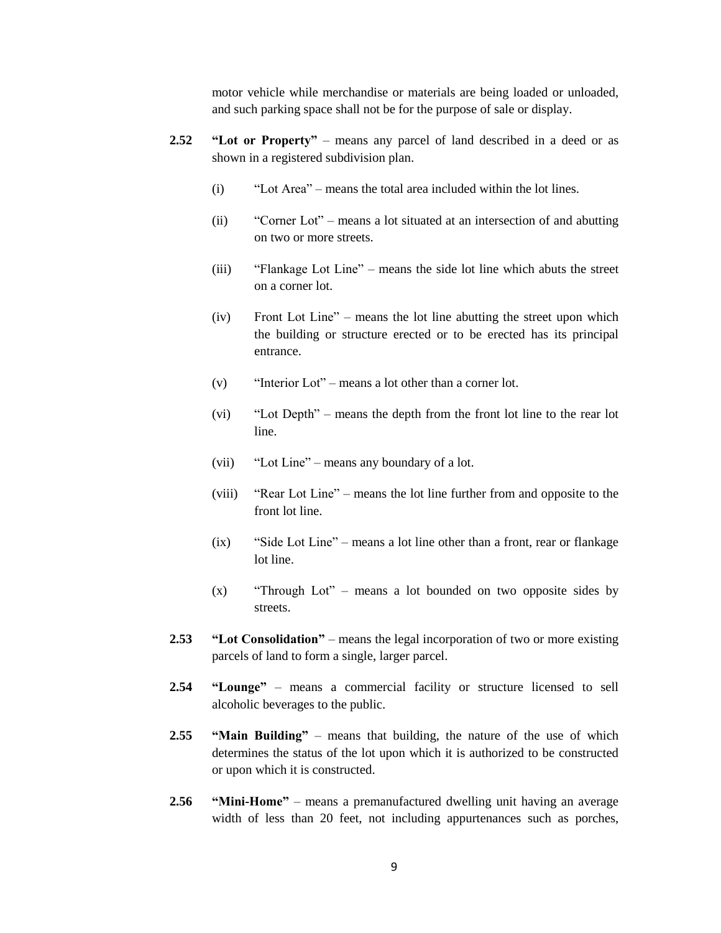motor vehicle while merchandise or materials are being loaded or unloaded, and such parking space shall not be for the purpose of sale or display.

- **2.52 "Lot or Property"** means any parcel of land described in a deed or as shown in a registered subdivision plan.
	- (i) "Lot Area" means the total area included within the lot lines.
	- (ii) "Corner Lot" means a lot situated at an intersection of and abutting on two or more streets.
	- (iii) "Flankage Lot Line" means the side lot line which abuts the street on a corner lot.
	- (iv) Front Lot Line" means the lot line abutting the street upon which the building or structure erected or to be erected has its principal entrance.
	- (v) "Interior Lot" means a lot other than a corner lot.
	- (vi) "Lot Depth" means the depth from the front lot line to the rear lot line.
	- (vii) "Lot Line" means any boundary of a lot.
	- (viii) "Rear Lot Line" means the lot line further from and opposite to the front lot line.
	- (ix) "Side Lot Line" means a lot line other than a front, rear or flankage lot line.
	- (x) "Through Lot" means a lot bounded on two opposite sides by streets.
- **2.53 "Lot Consolidation"** means the legal incorporation of two or more existing parcels of land to form a single, larger parcel.
- **2.54 "Lounge"** means a commercial facility or structure licensed to sell alcoholic beverages to the public.
- **2.55 "Main Building"** means that building, the nature of the use of which determines the status of the lot upon which it is authorized to be constructed or upon which it is constructed.
- **2.56 "Mini-Home"** means a premanufactured dwelling unit having an average width of less than 20 feet, not including appurtenances such as porches,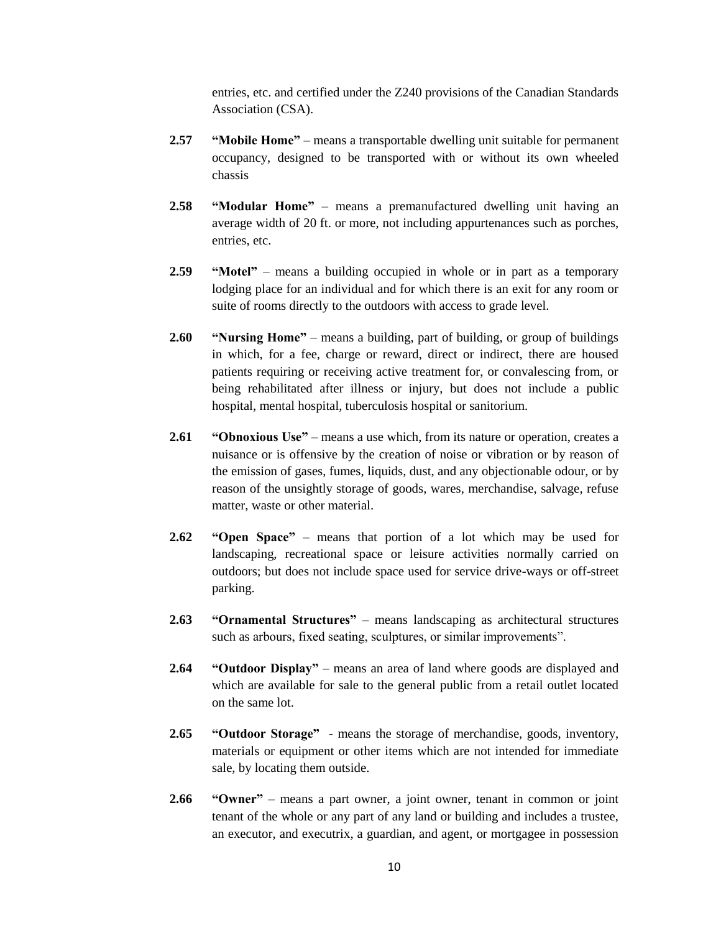entries, etc. and certified under the Z240 provisions of the Canadian Standards Association (CSA).

- **2.57 "Mobile Home"**  means a transportable dwelling unit suitable for permanent occupancy, designed to be transported with or without its own wheeled chassis
- **2.58 "Modular Home"**  means a premanufactured dwelling unit having an average width of 20 ft. or more, not including appurtenances such as porches, entries, etc.
- **2.59 "Motel"** means a building occupied in whole or in part as a temporary lodging place for an individual and for which there is an exit for any room or suite of rooms directly to the outdoors with access to grade level.
- **2.60 "Nursing Home"** means a building, part of building, or group of buildings in which, for a fee, charge or reward, direct or indirect, there are housed patients requiring or receiving active treatment for, or convalescing from, or being rehabilitated after illness or injury, but does not include a public hospital, mental hospital, tuberculosis hospital or sanitorium.
- **2.61 "Obnoxious Use"** means a use which, from its nature or operation, creates a nuisance or is offensive by the creation of noise or vibration or by reason of the emission of gases, fumes, liquids, dust, and any objectionable odour, or by reason of the unsightly storage of goods, wares, merchandise, salvage, refuse matter, waste or other material.
- **2.62 "Open Space"** means that portion of a lot which may be used for landscaping, recreational space or leisure activities normally carried on outdoors; but does not include space used for service drive-ways or off-street parking.
- **2.63 "Ornamental Structures"** means landscaping as architectural structures such as arbours, fixed seating, sculptures, or similar improvements".
- **2.64 "Outdoor Display"** means an area of land where goods are displayed and which are available for sale to the general public from a retail outlet located on the same lot.
- **2.65 "Outdoor Storage"**  means the storage of merchandise, goods, inventory, materials or equipment or other items which are not intended for immediate sale, by locating them outside.
- **2.66 "Owner"** means a part owner, a joint owner, tenant in common or joint tenant of the whole or any part of any land or building and includes a trustee, an executor, and executrix, a guardian, and agent, or mortgagee in possession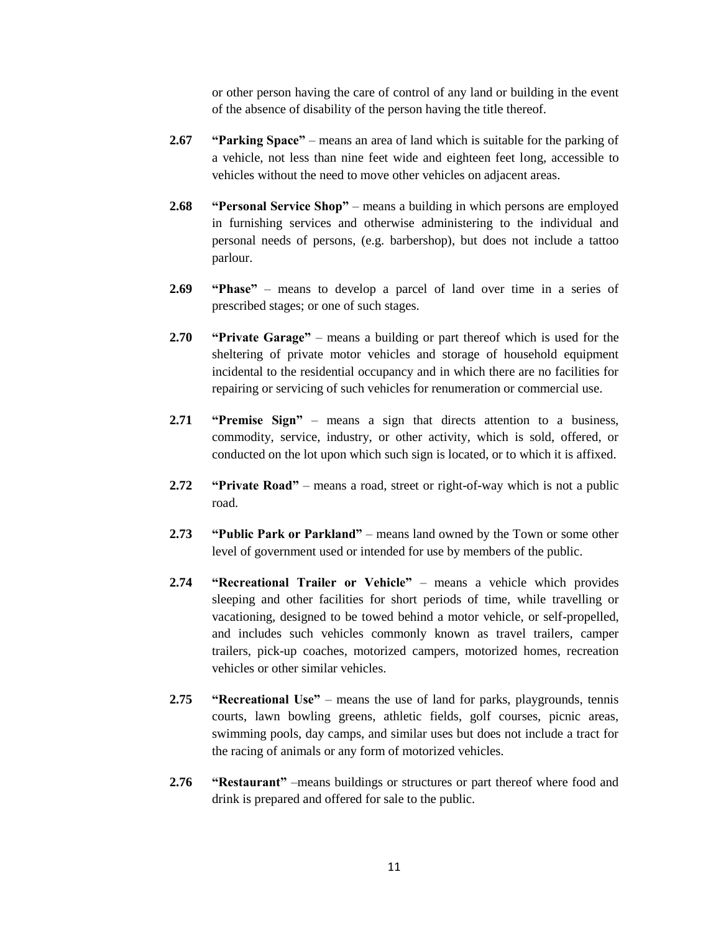or other person having the care of control of any land or building in the event of the absence of disability of the person having the title thereof.

- **2.67 "Parking Space"** means an area of land which is suitable for the parking of a vehicle, not less than nine feet wide and eighteen feet long, accessible to vehicles without the need to move other vehicles on adjacent areas.
- **2.68 "Personal Service Shop"** means a building in which persons are employed in furnishing services and otherwise administering to the individual and personal needs of persons, (e.g. barbershop), but does not include a tattoo parlour.
- **2.69 "Phase"** means to develop a parcel of land over time in a series of prescribed stages; or one of such stages.
- **2.70 "Private Garage"** means a building or part thereof which is used for the sheltering of private motor vehicles and storage of household equipment incidental to the residential occupancy and in which there are no facilities for repairing or servicing of such vehicles for renumeration or commercial use.
- **2.71 "Premise Sign"** means a sign that directs attention to a business, commodity, service, industry, or other activity, which is sold, offered, or conducted on the lot upon which such sign is located, or to which it is affixed.
- **2.72 "Private Road"** means a road, street or right-of-way which is not a public road.
- **2.73 "Public Park or Parkland"** means land owned by the Town or some other level of government used or intended for use by members of the public.
- **2.74 "Recreational Trailer or Vehicle"** means a vehicle which provides sleeping and other facilities for short periods of time, while travelling or vacationing, designed to be towed behind a motor vehicle, or self-propelled, and includes such vehicles commonly known as travel trailers, camper trailers, pick-up coaches, motorized campers, motorized homes, recreation vehicles or other similar vehicles.
- **2.75 "Recreational Use"** means the use of land for parks, playgrounds, tennis courts, lawn bowling greens, athletic fields, golf courses, picnic areas, swimming pools, day camps, and similar uses but does not include a tract for the racing of animals or any form of motorized vehicles.
- **2.76 "Restaurant"** –means buildings or structures or part thereof where food and drink is prepared and offered for sale to the public.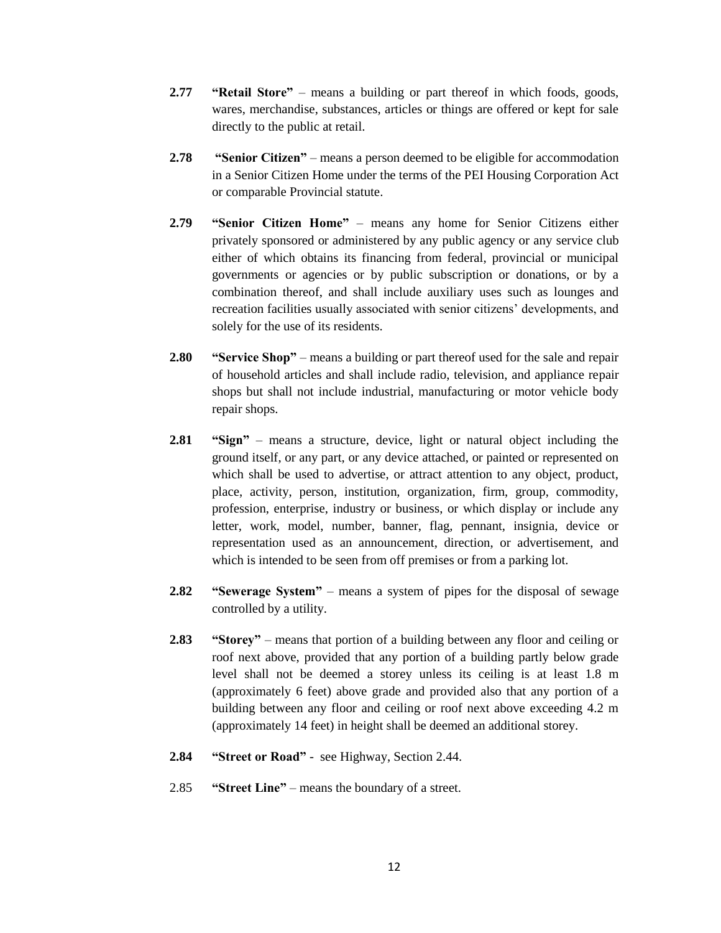- **2.77 "Retail Store"**  means a building or part thereof in which foods, goods, wares, merchandise, substances, articles or things are offered or kept for sale directly to the public at retail.
- **2.78 "Senior Citizen"** means a person deemed to be eligible for accommodation in a Senior Citizen Home under the terms of the PEI Housing Corporation Act or comparable Provincial statute.
- **2.79 "Senior Citizen Home"** means any home for Senior Citizens either privately sponsored or administered by any public agency or any service club either of which obtains its financing from federal, provincial or municipal governments or agencies or by public subscription or donations, or by a combination thereof, and shall include auxiliary uses such as lounges and recreation facilities usually associated with senior citizens" developments, and solely for the use of its residents.
- **2.80 "Service Shop"** means a building or part thereof used for the sale and repair of household articles and shall include radio, television, and appliance repair shops but shall not include industrial, manufacturing or motor vehicle body repair shops.
- **2.81 "Sign"** means a structure, device, light or natural object including the ground itself, or any part, or any device attached, or painted or represented on which shall be used to advertise, or attract attention to any object, product, place, activity, person, institution, organization, firm, group, commodity, profession, enterprise, industry or business, or which display or include any letter, work, model, number, banner, flag, pennant, insignia, device or representation used as an announcement, direction, or advertisement, and which is intended to be seen from off premises or from a parking lot.
- **2.82 "Sewerage System"** means a system of pipes for the disposal of sewage controlled by a utility.
- **2.83 "Storey"** means that portion of a building between any floor and ceiling or roof next above, provided that any portion of a building partly below grade level shall not be deemed a storey unless its ceiling is at least 1.8 m (approximately 6 feet) above grade and provided also that any portion of a building between any floor and ceiling or roof next above exceeding 4.2 m (approximately 14 feet) in height shall be deemed an additional storey.
- **2.84 "Street or Road"** see Highway, Section 2.44.
- 2.85 **"Street Line"** means the boundary of a street.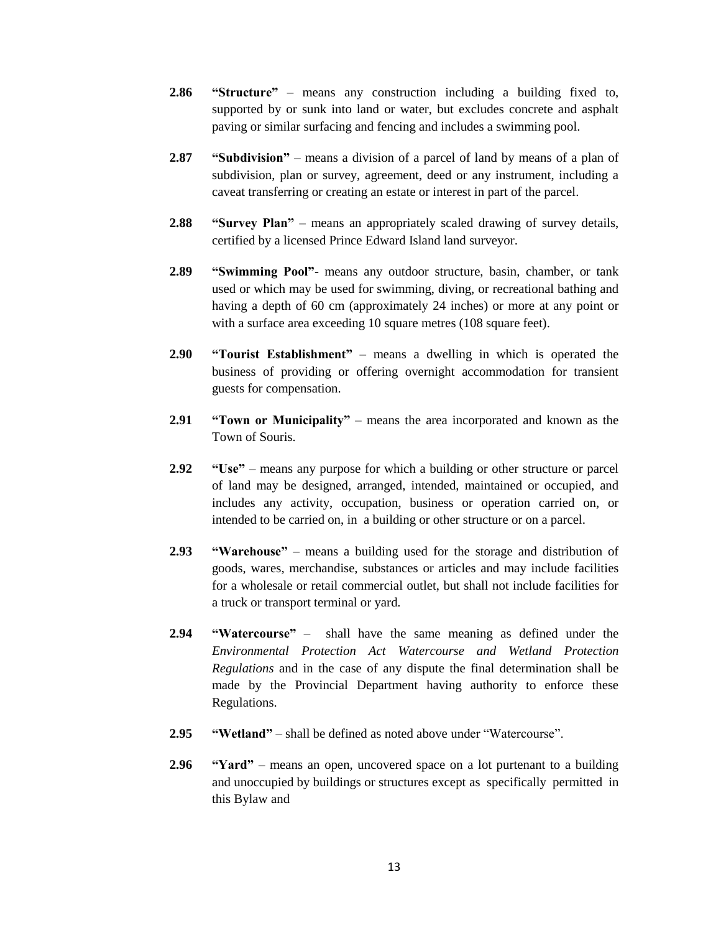- **2.86 "Structure"** means any construction including a building fixed to, supported by or sunk into land or water, but excludes concrete and asphalt paving or similar surfacing and fencing and includes a swimming pool.
- **2.87 "Subdivision"** means a division of a parcel of land by means of a plan of subdivision, plan or survey, agreement, deed or any instrument, including a caveat transferring or creating an estate or interest in part of the parcel.
- **2.88 "Survey Plan"** means an appropriately scaled drawing of survey details, certified by a licensed Prince Edward Island land surveyor.
- **2.89 "Swimming Pool"** means any outdoor structure, basin, chamber, or tank used or which may be used for swimming, diving, or recreational bathing and having a depth of 60 cm (approximately 24 inches) or more at any point or with a surface area exceeding 10 square metres (108 square feet).
- **2.90 "Tourist Establishment"** means a dwelling in which is operated the business of providing or offering overnight accommodation for transient guests for compensation.
- **2.91 "Town or Municipality"** means the area incorporated and known as the Town of Souris.
- **2.92 "Use"** means any purpose for which a building or other structure or parcel of land may be designed, arranged, intended, maintained or occupied, and includes any activity, occupation, business or operation carried on, or intended to be carried on, in a building or other structure or on a parcel.
- **2.93 "Warehouse"** means a building used for the storage and distribution of goods, wares, merchandise, substances or articles and may include facilities for a wholesale or retail commercial outlet, but shall not include facilities for a truck or transport terminal or yard.
- **2.94 "Watercourse"** shall have the same meaning as defined under the *Environmental Protection Act Watercourse and Wetland Protection Regulations* and in the case of any dispute the final determination shall be made by the Provincial Department having authority to enforce these Regulations.
- **2.95 "Wetland"** shall be defined as noted above under "Watercourse".
- **2.96 "Yard"** means an open, uncovered space on a lot purtenant to a building and unoccupied by buildings or structures except as specifically permitted in this Bylaw and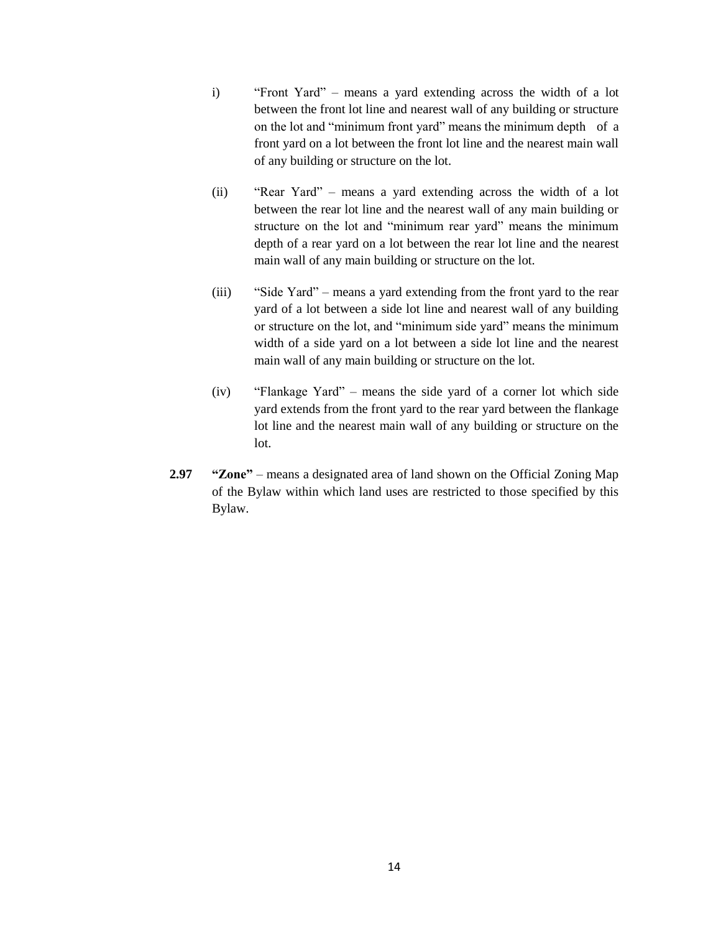- i) "Front Yard" means a yard extending across the width of a lot between the front lot line and nearest wall of any building or structure on the lot and "minimum front yard" means the minimum depth of a front yard on a lot between the front lot line and the nearest main wall of any building or structure on the lot.
- (ii) "Rear Yard" means a yard extending across the width of a lot between the rear lot line and the nearest wall of any main building or structure on the lot and "minimum rear yard" means the minimum depth of a rear yard on a lot between the rear lot line and the nearest main wall of any main building or structure on the lot.
- (iii) "Side Yard" means a yard extending from the front yard to the rear yard of a lot between a side lot line and nearest wall of any building or structure on the lot, and "minimum side yard" means the minimum width of a side yard on a lot between a side lot line and the nearest main wall of any main building or structure on the lot.
- (iv) "Flankage Yard" means the side yard of a corner lot which side yard extends from the front yard to the rear yard between the flankage lot line and the nearest main wall of any building or structure on the lot.
- **2.97 "Zone"** means a designated area of land shown on the Official Zoning Map of the Bylaw within which land uses are restricted to those specified by this Bylaw.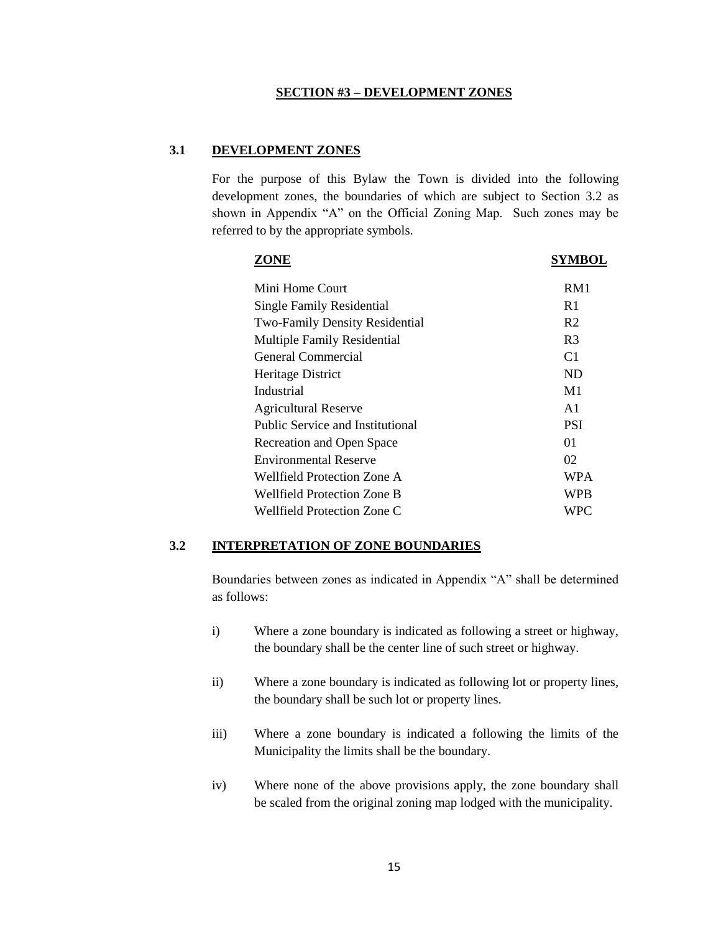#### **SECTION #3 – DEVELOPMENT ZONES**

#### **3.1 DEVELOPMENT ZONES**

For the purpose of this Bylaw the Town is divided into the following development zones, the boundaries of which are subject to Section 3.2 as shown in Appendix "A" on the Official Zoning Map. Such zones may be referred to by the appropriate symbols.

| ZONE                                    | SYMBOL         |
|-----------------------------------------|----------------|
| Mini Home Court                         | RM1            |
| Single Family Residential               | R1             |
| <b>Two-Family Density Residential</b>   | R <sub>2</sub> |
| <b>Multiple Family Residential</b>      | R <sub>3</sub> |
| General Commercial                      | C1             |
| Heritage District                       | ND             |
| Industrial                              | M1             |
| <b>Agricultural Reserve</b>             | A1             |
| <b>Public Service and Institutional</b> | <b>PSI</b>     |
| Recreation and Open Space               | 01             |
| <b>Environmental Reserve</b>            | 02             |
| Wellfield Protection Zone A             | <b>WPA</b>     |
| Wellfield Protection Zone B             | WPB            |
| Wellfield Protection Zone C             | WPC            |

## **3.2 INTERPRETATION OF ZONE BOUNDARIES**

Boundaries between zones as indicated in Appendix "A" shall be determined as follows:

- i) Where a zone boundary is indicated as following a street or highway, the boundary shall be the center line of such street or highway.
- ii) Where a zone boundary is indicated as following lot or property lines, the boundary shall be such lot or property lines.
- iii) Where a zone boundary is indicated a following the limits of the Municipality the limits shall be the boundary.
- iv) Where none of the above provisions apply, the zone boundary shall be scaled from the original zoning map lodged with the municipality.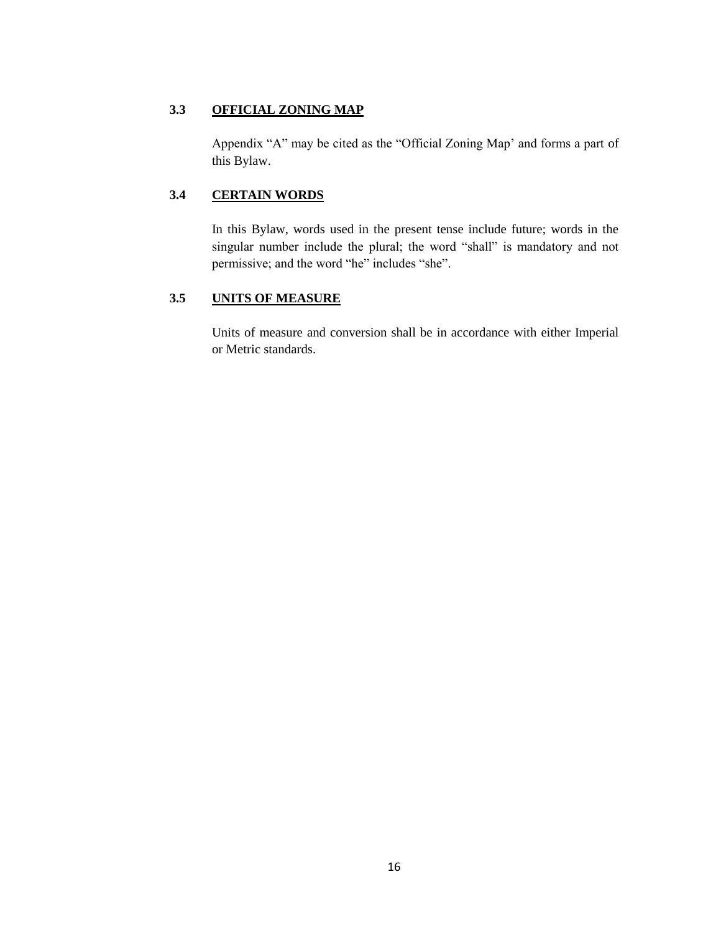# **3.3 OFFICIAL ZONING MAP**

Appendix "A" may be cited as the "Official Zoning Map" and forms a part of this Bylaw.

# **3.4 CERTAIN WORDS**

In this Bylaw, words used in the present tense include future; words in the singular number include the plural; the word "shall" is mandatory and not permissive; and the word "he" includes "she".

# **3.5 UNITS OF MEASURE**

Units of measure and conversion shall be in accordance with either Imperial or Metric standards.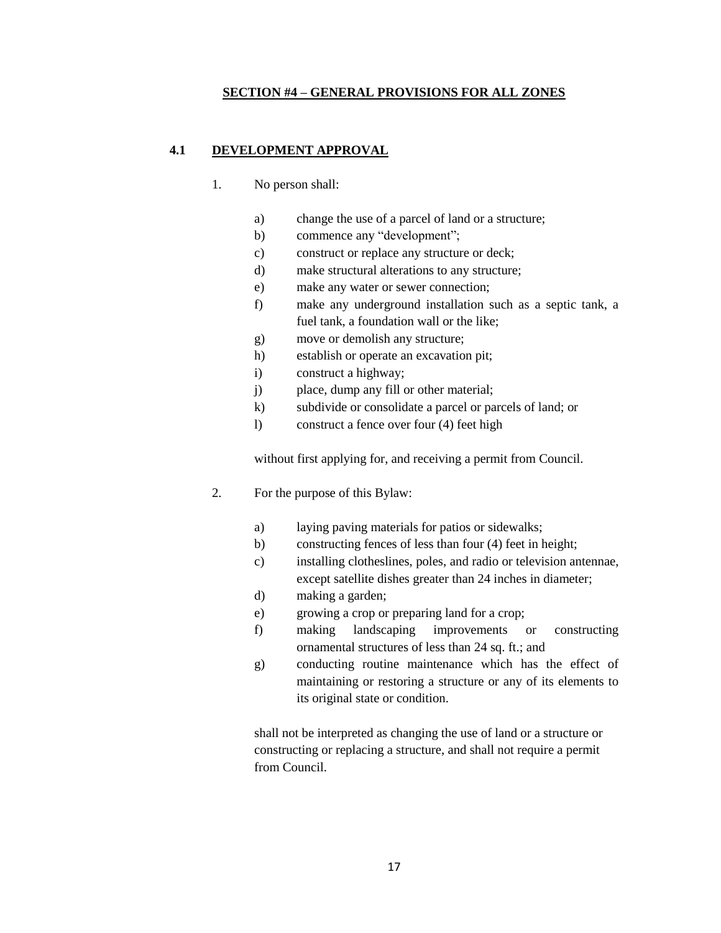### **SECTION #4 – GENERAL PROVISIONS FOR ALL ZONES**

## **4.1 DEVELOPMENT APPROVAL**

- 1. No person shall:
	- a) change the use of a parcel of land or a structure;
	- b) commence any "development";
	- c) construct or replace any structure or deck;
	- d) make structural alterations to any structure;
	- e) make any water or sewer connection;
	- f) make any underground installation such as a septic tank, a fuel tank, a foundation wall or the like;
	- g) move or demolish any structure;
	- h) establish or operate an excavation pit;
	- i) construct a highway;
	- j) place, dump any fill or other material;
	- k) subdivide or consolidate a parcel or parcels of land; or
	- l) construct a fence over four (4) feet high

without first applying for, and receiving a permit from Council.

- 2. For the purpose of this Bylaw:
	- a) laying paving materials for patios or sidewalks;
	- b) constructing fences of less than four (4) feet in height;
	- c) installing clotheslines, poles, and radio or television antennae, except satellite dishes greater than 24 inches in diameter;
	- d) making a garden;
	- e) growing a crop or preparing land for a crop;
	- f) making landscaping improvements or constructing ornamental structures of less than 24 sq. ft.; and
	- g) conducting routine maintenance which has the effect of maintaining or restoring a structure or any of its elements to its original state or condition.

shall not be interpreted as changing the use of land or a structure or constructing or replacing a structure, and shall not require a permit from Council.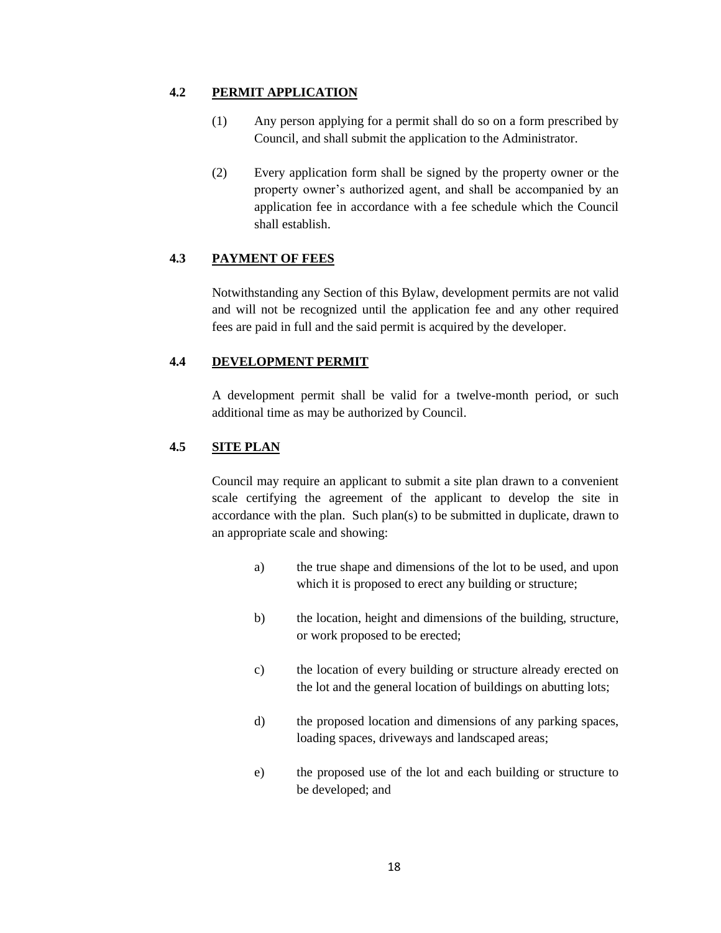## **4.2 PERMIT APPLICATION**

- (1) Any person applying for a permit shall do so on a form prescribed by Council, and shall submit the application to the Administrator.
- (2) Every application form shall be signed by the property owner or the property owner"s authorized agent, and shall be accompanied by an application fee in accordance with a fee schedule which the Council shall establish.

# **4.3 PAYMENT OF FEES**

Notwithstanding any Section of this Bylaw, development permits are not valid and will not be recognized until the application fee and any other required fees are paid in full and the said permit is acquired by the developer.

# **4.4 DEVELOPMENT PERMIT**

A development permit shall be valid for a twelve-month period, or such additional time as may be authorized by Council.

# **4.5 SITE PLAN**

Council may require an applicant to submit a site plan drawn to a convenient scale certifying the agreement of the applicant to develop the site in accordance with the plan. Such plan(s) to be submitted in duplicate, drawn to an appropriate scale and showing:

- a) the true shape and dimensions of the lot to be used, and upon which it is proposed to erect any building or structure;
- b) the location, height and dimensions of the building, structure, or work proposed to be erected;
- c) the location of every building or structure already erected on the lot and the general location of buildings on abutting lots;
- d) the proposed location and dimensions of any parking spaces, loading spaces, driveways and landscaped areas;
- e) the proposed use of the lot and each building or structure to be developed; and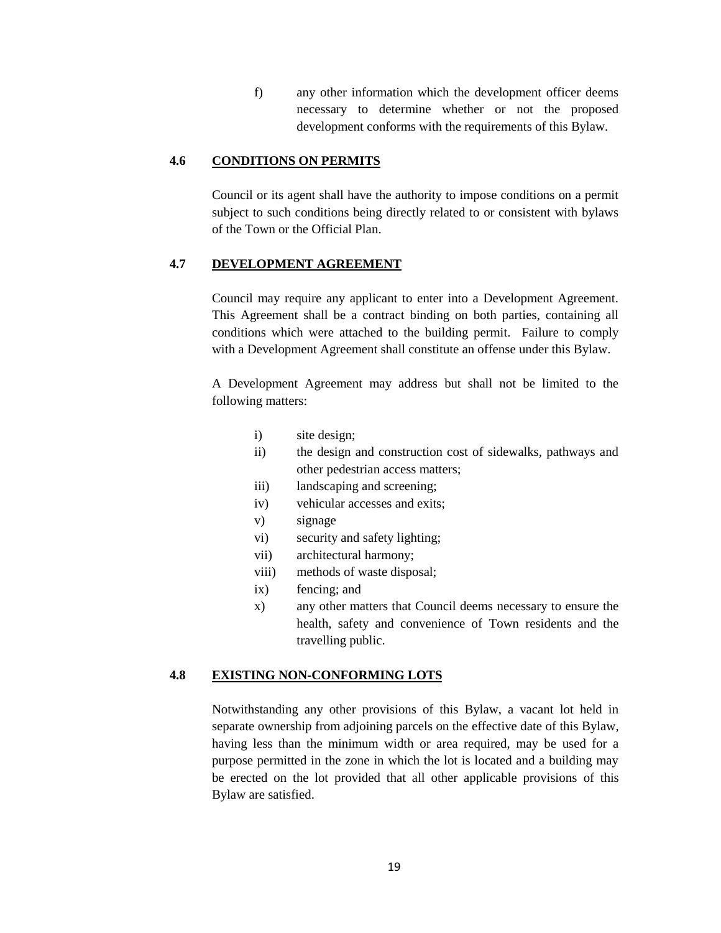f) any other information which the development officer deems necessary to determine whether or not the proposed development conforms with the requirements of this Bylaw.

## **4.6 CONDITIONS ON PERMITS**

Council or its agent shall have the authority to impose conditions on a permit subject to such conditions being directly related to or consistent with bylaws of the Town or the Official Plan.

## **4.7 DEVELOPMENT AGREEMENT**

Council may require any applicant to enter into a Development Agreement. This Agreement shall be a contract binding on both parties, containing all conditions which were attached to the building permit. Failure to comply with a Development Agreement shall constitute an offense under this Bylaw.

A Development Agreement may address but shall not be limited to the following matters:

- i) site design;
- ii) the design and construction cost of sidewalks, pathways and other pedestrian access matters;
- iii) landscaping and screening;
- iv) vehicular accesses and exits;
- v) signage
- vi) security and safety lighting;
- vii) architectural harmony;
- viii) methods of waste disposal;
- ix) fencing; and
- x) any other matters that Council deems necessary to ensure the health, safety and convenience of Town residents and the travelling public.

## **4.8 EXISTING NON-CONFORMING LOTS**

Notwithstanding any other provisions of this Bylaw, a vacant lot held in separate ownership from adjoining parcels on the effective date of this Bylaw, having less than the minimum width or area required, may be used for a purpose permitted in the zone in which the lot is located and a building may be erected on the lot provided that all other applicable provisions of this Bylaw are satisfied.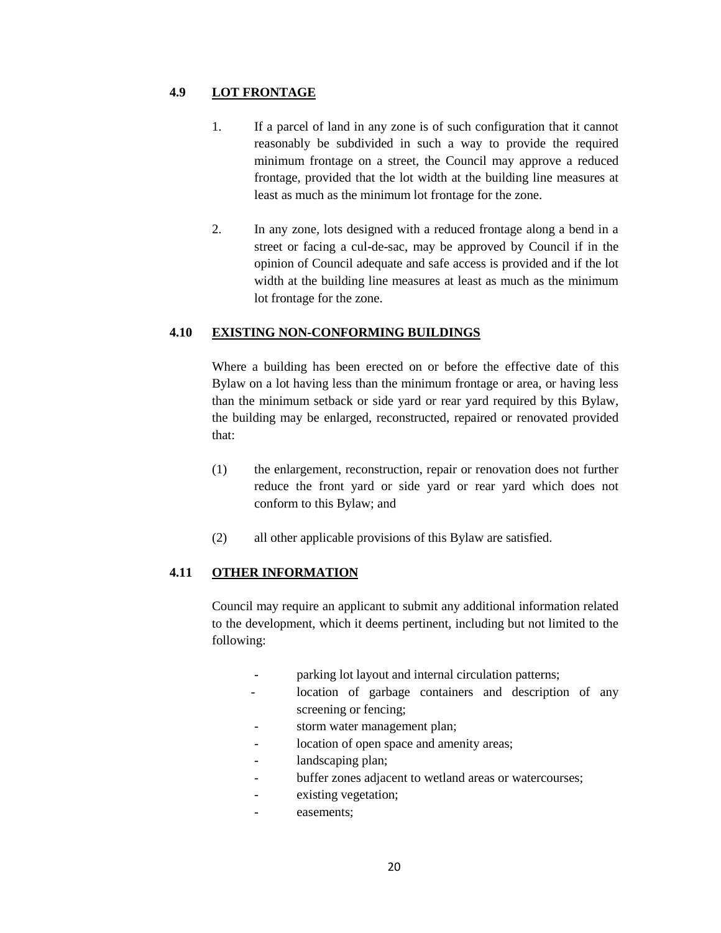## **4.9 LOT FRONTAGE**

- 1. If a parcel of land in any zone is of such configuration that it cannot reasonably be subdivided in such a way to provide the required minimum frontage on a street, the Council may approve a reduced frontage, provided that the lot width at the building line measures at least as much as the minimum lot frontage for the zone.
- 2. In any zone, lots designed with a reduced frontage along a bend in a street or facing a cul-de-sac, may be approved by Council if in the opinion of Council adequate and safe access is provided and if the lot width at the building line measures at least as much as the minimum lot frontage for the zone.

## **4.10 EXISTING NON-CONFORMING BUILDINGS**

Where a building has been erected on or before the effective date of this Bylaw on a lot having less than the minimum frontage or area, or having less than the minimum setback or side yard or rear yard required by this Bylaw, the building may be enlarged, reconstructed, repaired or renovated provided that:

- (1) the enlargement, reconstruction, repair or renovation does not further reduce the front yard or side yard or rear yard which does not conform to this Bylaw; and
- (2) all other applicable provisions of this Bylaw are satisfied.

# **4.11 OTHER INFORMATION**

Council may require an applicant to submit any additional information related to the development, which it deems pertinent, including but not limited to the following:

- parking lot layout and internal circulation patterns;
- location of garbage containers and description of any screening or fencing;
- storm water management plan;
- location of open space and amenity areas;
- landscaping plan;
- buffer zones adjacent to wetland areas or watercourses;
- existing vegetation;
- easements;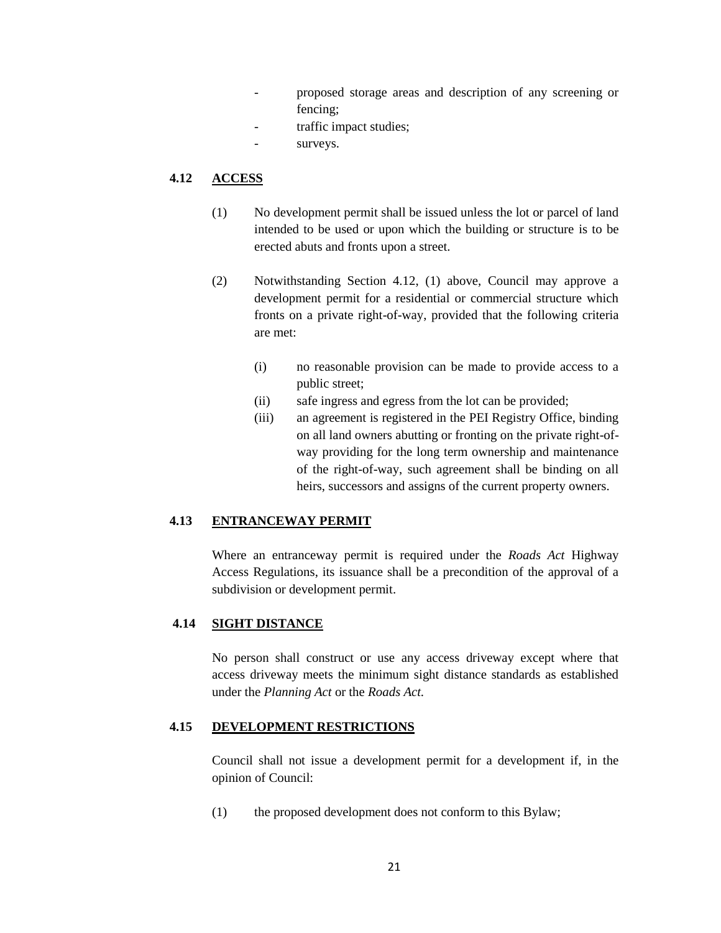- proposed storage areas and description of any screening or fencing;
- traffic impact studies;
- surveys.

# **4.12 ACCESS**

- (1) No development permit shall be issued unless the lot or parcel of land intended to be used or upon which the building or structure is to be erected abuts and fronts upon a street.
- (2) Notwithstanding Section 4.12, (1) above, Council may approve a development permit for a residential or commercial structure which fronts on a private right-of-way, provided that the following criteria are met:
	- (i) no reasonable provision can be made to provide access to a public street;
	- (ii) safe ingress and egress from the lot can be provided;
	- (iii) an agreement is registered in the PEI Registry Office, binding on all land owners abutting or fronting on the private right-ofway providing for the long term ownership and maintenance of the right-of-way, such agreement shall be binding on all heirs, successors and assigns of the current property owners.

# **4.13 ENTRANCEWAY PERMIT**

Where an entranceway permit is required under the *Roads Act* Highway Access Regulations, its issuance shall be a precondition of the approval of a subdivision or development permit.

## **4.14 SIGHT DISTANCE**

No person shall construct or use any access driveway except where that access driveway meets the minimum sight distance standards as established under the *Planning Act* or the *Roads Act.*

# **4.15 DEVELOPMENT RESTRICTIONS**

Council shall not issue a development permit for a development if, in the opinion of Council:

(1) the proposed development does not conform to this Bylaw;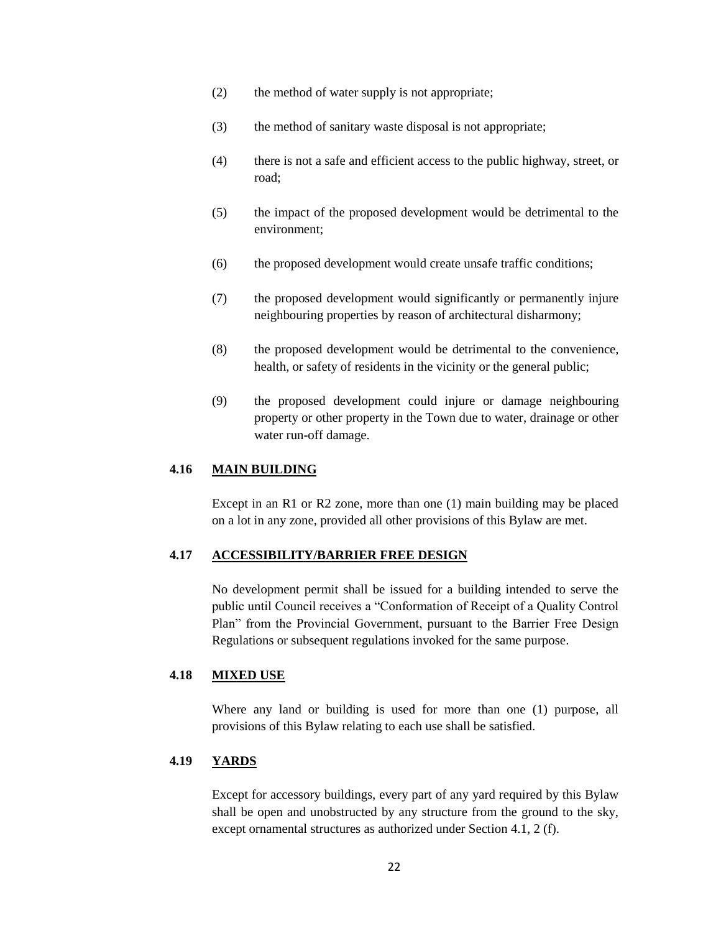- (2) the method of water supply is not appropriate;
- (3) the method of sanitary waste disposal is not appropriate;
- (4) there is not a safe and efficient access to the public highway, street, or road;
- (5) the impact of the proposed development would be detrimental to the environment;
- (6) the proposed development would create unsafe traffic conditions;
- (7) the proposed development would significantly or permanently injure neighbouring properties by reason of architectural disharmony;
- (8) the proposed development would be detrimental to the convenience, health, or safety of residents in the vicinity or the general public;
- (9) the proposed development could injure or damage neighbouring property or other property in the Town due to water, drainage or other water run-off damage.

### **4.16 MAIN BUILDING**

Except in an R1 or R2 zone, more than one (1) main building may be placed on a lot in any zone, provided all other provisions of this Bylaw are met.

## **4.17 ACCESSIBILITY/BARRIER FREE DESIGN**

No development permit shall be issued for a building intended to serve the public until Council receives a "Conformation of Receipt of a Quality Control Plan" from the Provincial Government, pursuant to the Barrier Free Design Regulations or subsequent regulations invoked for the same purpose.

#### **4.18 MIXED USE**

Where any land or building is used for more than one (1) purpose, all provisions of this Bylaw relating to each use shall be satisfied.

## **4.19 YARDS**

Except for accessory buildings, every part of any yard required by this Bylaw shall be open and unobstructed by any structure from the ground to the sky, except ornamental structures as authorized under Section 4.1, 2 (f).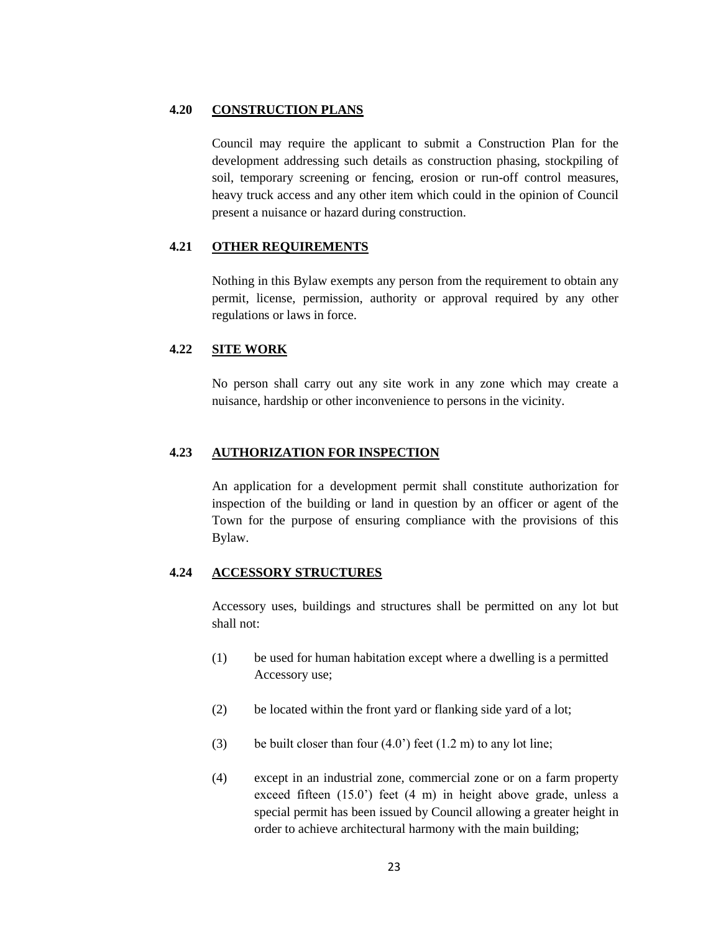## **4.20 CONSTRUCTION PLANS**

Council may require the applicant to submit a Construction Plan for the development addressing such details as construction phasing, stockpiling of soil, temporary screening or fencing, erosion or run-off control measures, heavy truck access and any other item which could in the opinion of Council present a nuisance or hazard during construction.

## **4.21 OTHER REQUIREMENTS**

Nothing in this Bylaw exempts any person from the requirement to obtain any permit, license, permission, authority or approval required by any other regulations or laws in force.

## **4.22 SITE WORK**

No person shall carry out any site work in any zone which may create a nuisance, hardship or other inconvenience to persons in the vicinity.

### **4.23 AUTHORIZATION FOR INSPECTION**

An application for a development permit shall constitute authorization for inspection of the building or land in question by an officer or agent of the Town for the purpose of ensuring compliance with the provisions of this Bylaw.

# **4.24 ACCESSORY STRUCTURES**

Accessory uses, buildings and structures shall be permitted on any lot but shall not:

- (1) be used for human habitation except where a dwelling is a permitted Accessory use;
- (2) be located within the front yard or flanking side yard of a lot;
- (3) be built closer than four  $(4.0^{\circ})$  feet  $(1.2 \text{ m})$  to any lot line;
- (4) except in an industrial zone, commercial zone or on a farm property exceed fifteen (15.0") feet (4 m) in height above grade, unless a special permit has been issued by Council allowing a greater height in order to achieve architectural harmony with the main building;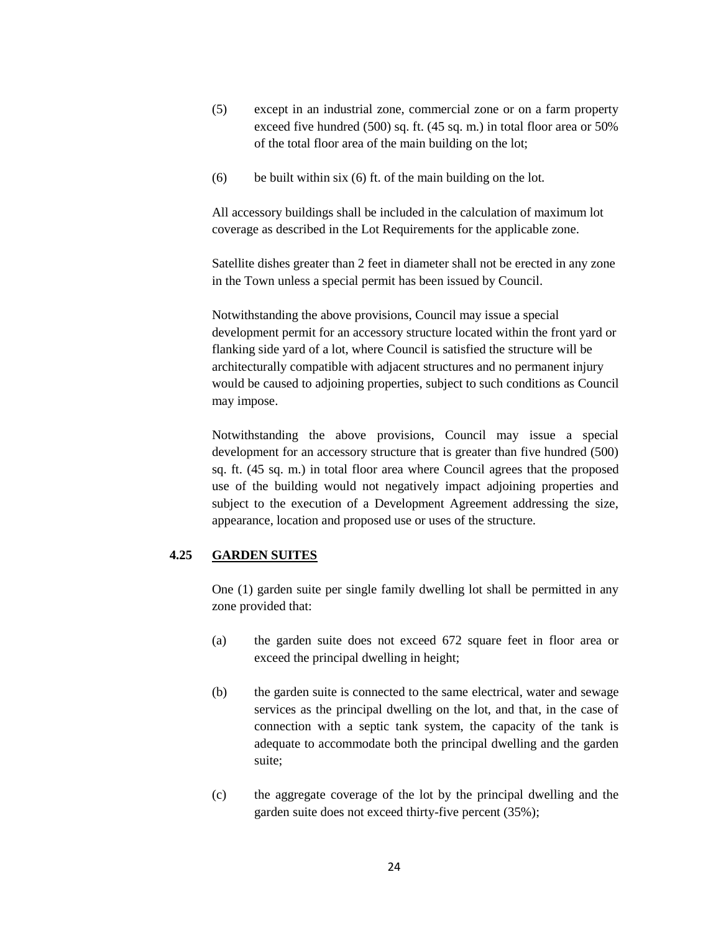- (5) except in an industrial zone, commercial zone or on a farm property exceed five hundred (500) sq. ft. (45 sq. m.) in total floor area or 50% of the total floor area of the main building on the lot;
- (6) be built within six (6) ft. of the main building on the lot.

All accessory buildings shall be included in the calculation of maximum lot coverage as described in the Lot Requirements for the applicable zone.

Satellite dishes greater than 2 feet in diameter shall not be erected in any zone in the Town unless a special permit has been issued by Council.

Notwithstanding the above provisions, Council may issue a special development permit for an accessory structure located within the front yard or flanking side yard of a lot, where Council is satisfied the structure will be architecturally compatible with adjacent structures and no permanent injury would be caused to adjoining properties, subject to such conditions as Council may impose.

Notwithstanding the above provisions, Council may issue a special development for an accessory structure that is greater than five hundred (500) sq. ft. (45 sq. m.) in total floor area where Council agrees that the proposed use of the building would not negatively impact adjoining properties and subject to the execution of a Development Agreement addressing the size, appearance, location and proposed use or uses of the structure.

## **4.25 GARDEN SUITES**

One (1) garden suite per single family dwelling lot shall be permitted in any zone provided that:

- (a) the garden suite does not exceed 672 square feet in floor area or exceed the principal dwelling in height;
- (b) the garden suite is connected to the same electrical, water and sewage services as the principal dwelling on the lot, and that, in the case of connection with a septic tank system, the capacity of the tank is adequate to accommodate both the principal dwelling and the garden suite;
- (c) the aggregate coverage of the lot by the principal dwelling and the garden suite does not exceed thirty-five percent (35%);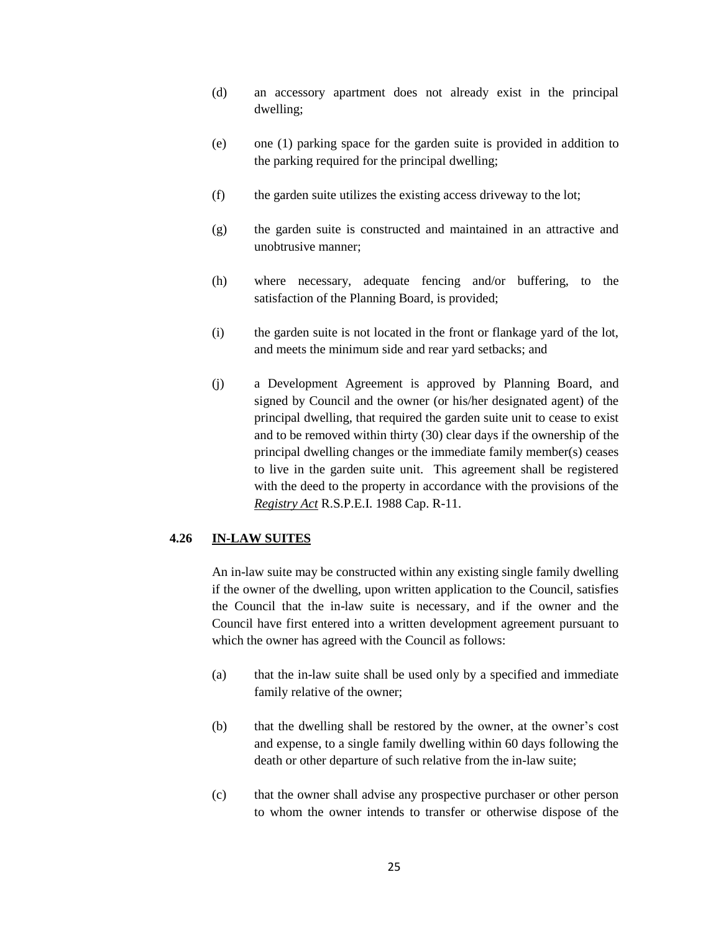- (d) an accessory apartment does not already exist in the principal dwelling;
- (e) one (1) parking space for the garden suite is provided in addition to the parking required for the principal dwelling;
- (f) the garden suite utilizes the existing access driveway to the lot;
- (g) the garden suite is constructed and maintained in an attractive and unobtrusive manner;
- (h) where necessary, adequate fencing and/or buffering, to the satisfaction of the Planning Board, is provided;
- (i) the garden suite is not located in the front or flankage yard of the lot, and meets the minimum side and rear yard setbacks; and
- (j) a Development Agreement is approved by Planning Board, and signed by Council and the owner (or his/her designated agent) of the principal dwelling, that required the garden suite unit to cease to exist and to be removed within thirty (30) clear days if the ownership of the principal dwelling changes or the immediate family member(s) ceases to live in the garden suite unit. This agreement shall be registered with the deed to the property in accordance with the provisions of the *Registry Act* R.S.P.E.I. 1988 Cap. R-11.

### **4.26 IN-LAW SUITES**

An in-law suite may be constructed within any existing single family dwelling if the owner of the dwelling, upon written application to the Council, satisfies the Council that the in-law suite is necessary, and if the owner and the Council have first entered into a written development agreement pursuant to which the owner has agreed with the Council as follows:

- (a) that the in-law suite shall be used only by a specified and immediate family relative of the owner;
- (b) that the dwelling shall be restored by the owner, at the owner"s cost and expense, to a single family dwelling within 60 days following the death or other departure of such relative from the in-law suite;
- (c) that the owner shall advise any prospective purchaser or other person to whom the owner intends to transfer or otherwise dispose of the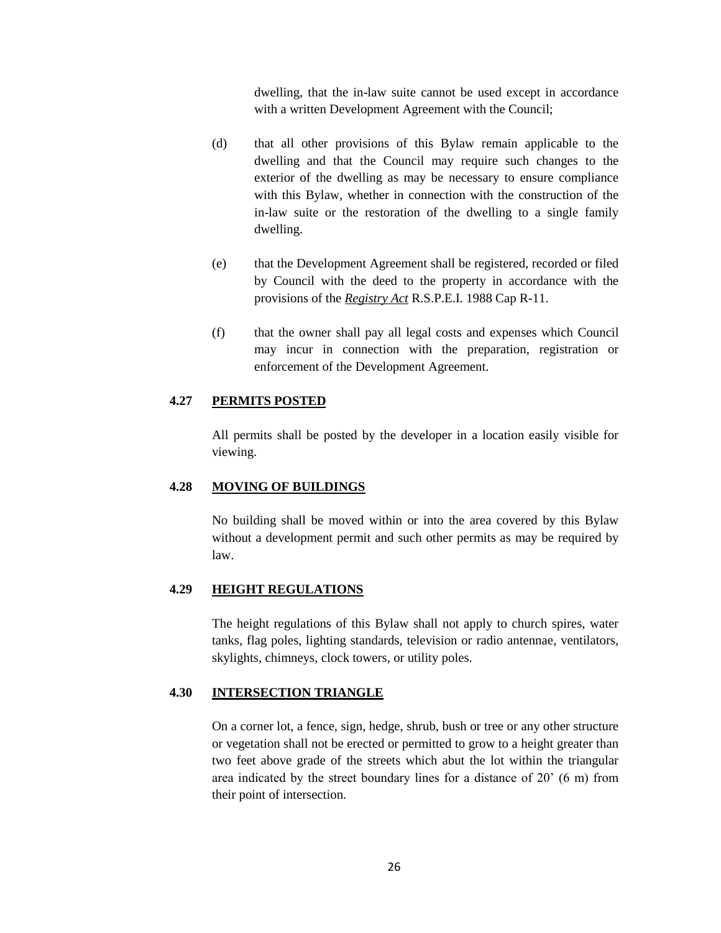dwelling, that the in-law suite cannot be used except in accordance with a written Development Agreement with the Council;

- (d) that all other provisions of this Bylaw remain applicable to the dwelling and that the Council may require such changes to the exterior of the dwelling as may be necessary to ensure compliance with this Bylaw, whether in connection with the construction of the in-law suite or the restoration of the dwelling to a single family dwelling.
- (e) that the Development Agreement shall be registered, recorded or filed by Council with the deed to the property in accordance with the provisions of the *Registry Act* R.S.P.E.I. 1988 Cap R-11.
- (f) that the owner shall pay all legal costs and expenses which Council may incur in connection with the preparation, registration or enforcement of the Development Agreement.

#### **4.27 PERMITS POSTED**

All permits shall be posted by the developer in a location easily visible for viewing.

## **4.28 MOVING OF BUILDINGS**

No building shall be moved within or into the area covered by this Bylaw without a development permit and such other permits as may be required by law.

## **4.29 HEIGHT REGULATIONS**

The height regulations of this Bylaw shall not apply to church spires, water tanks, flag poles, lighting standards, television or radio antennae, ventilators, skylights, chimneys, clock towers, or utility poles.

## **4.30 INTERSECTION TRIANGLE**

On a corner lot, a fence, sign, hedge, shrub, bush or tree or any other structure or vegetation shall not be erected or permitted to grow to a height greater than two feet above grade of the streets which abut the lot within the triangular area indicated by the street boundary lines for a distance of 20" (6 m) from their point of intersection.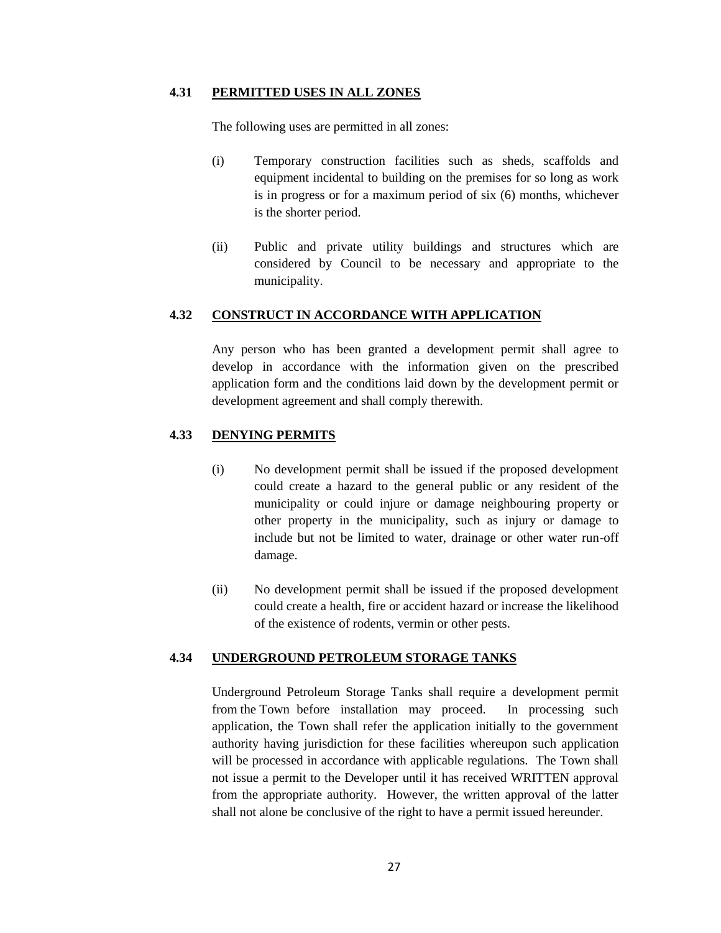### **4.31 PERMITTED USES IN ALL ZONES**

The following uses are permitted in all zones:

- (i) Temporary construction facilities such as sheds, scaffolds and equipment incidental to building on the premises for so long as work is in progress or for a maximum period of six (6) months, whichever is the shorter period.
- (ii) Public and private utility buildings and structures which are considered by Council to be necessary and appropriate to the municipality.

#### **4.32 CONSTRUCT IN ACCORDANCE WITH APPLICATION**

Any person who has been granted a development permit shall agree to develop in accordance with the information given on the prescribed application form and the conditions laid down by the development permit or development agreement and shall comply therewith.

## **4.33 DENYING PERMITS**

- (i) No development permit shall be issued if the proposed development could create a hazard to the general public or any resident of the municipality or could injure or damage neighbouring property or other property in the municipality, such as injury or damage to include but not be limited to water, drainage or other water run-off damage.
- (ii) No development permit shall be issued if the proposed development could create a health, fire or accident hazard or increase the likelihood of the existence of rodents, vermin or other pests.

## **4.34 UNDERGROUND PETROLEUM STORAGE TANKS**

Underground Petroleum Storage Tanks shall require a development permit from the Town before installation may proceed. In processing such application, the Town shall refer the application initially to the government authority having jurisdiction for these facilities whereupon such application will be processed in accordance with applicable regulations. The Town shall not issue a permit to the Developer until it has received WRITTEN approval from the appropriate authority. However, the written approval of the latter shall not alone be conclusive of the right to have a permit issued hereunder.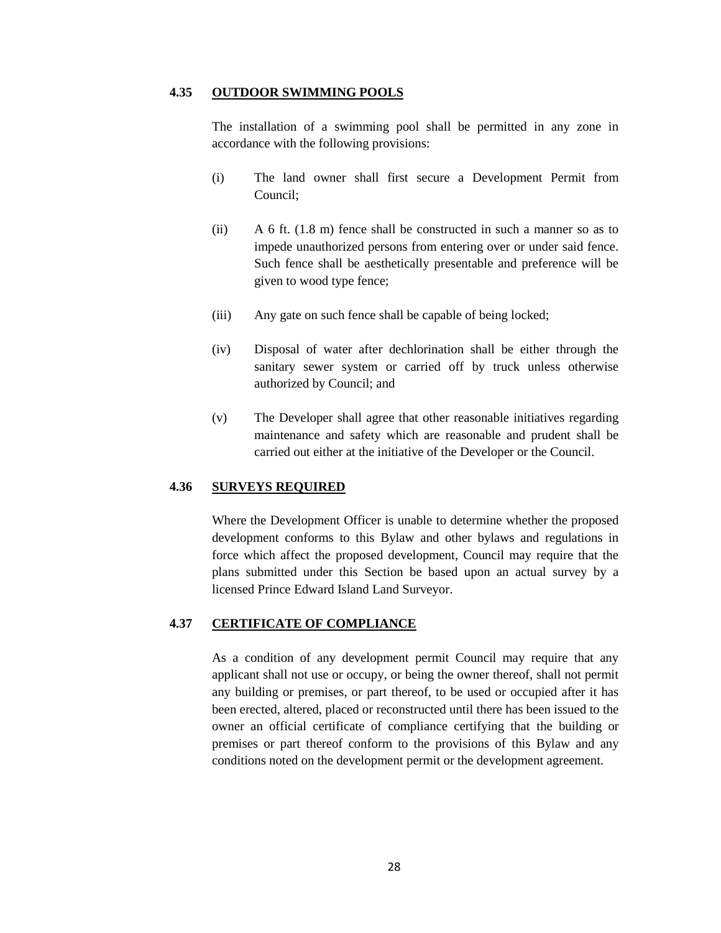### **4.35 OUTDOOR SWIMMING POOLS**

The installation of a swimming pool shall be permitted in any zone in accordance with the following provisions:

- (i) The land owner shall first secure a Development Permit from Council;
- (ii) A 6 ft. (1.8 m) fence shall be constructed in such a manner so as to impede unauthorized persons from entering over or under said fence. Such fence shall be aesthetically presentable and preference will be given to wood type fence;
- (iii) Any gate on such fence shall be capable of being locked;
- (iv) Disposal of water after dechlorination shall be either through the sanitary sewer system or carried off by truck unless otherwise authorized by Council; and
- (v) The Developer shall agree that other reasonable initiatives regarding maintenance and safety which are reasonable and prudent shall be carried out either at the initiative of the Developer or the Council.

### **4.36 SURVEYS REQUIRED**

Where the Development Officer is unable to determine whether the proposed development conforms to this Bylaw and other bylaws and regulations in force which affect the proposed development, Council may require that the plans submitted under this Section be based upon an actual survey by a licensed Prince Edward Island Land Surveyor.

### **4.37 CERTIFICATE OF COMPLIANCE**

As a condition of any development permit Council may require that any applicant shall not use or occupy, or being the owner thereof, shall not permit any building or premises, or part thereof, to be used or occupied after it has been erected, altered, placed or reconstructed until there has been issued to the owner an official certificate of compliance certifying that the building or premises or part thereof conform to the provisions of this Bylaw and any conditions noted on the development permit or the development agreement.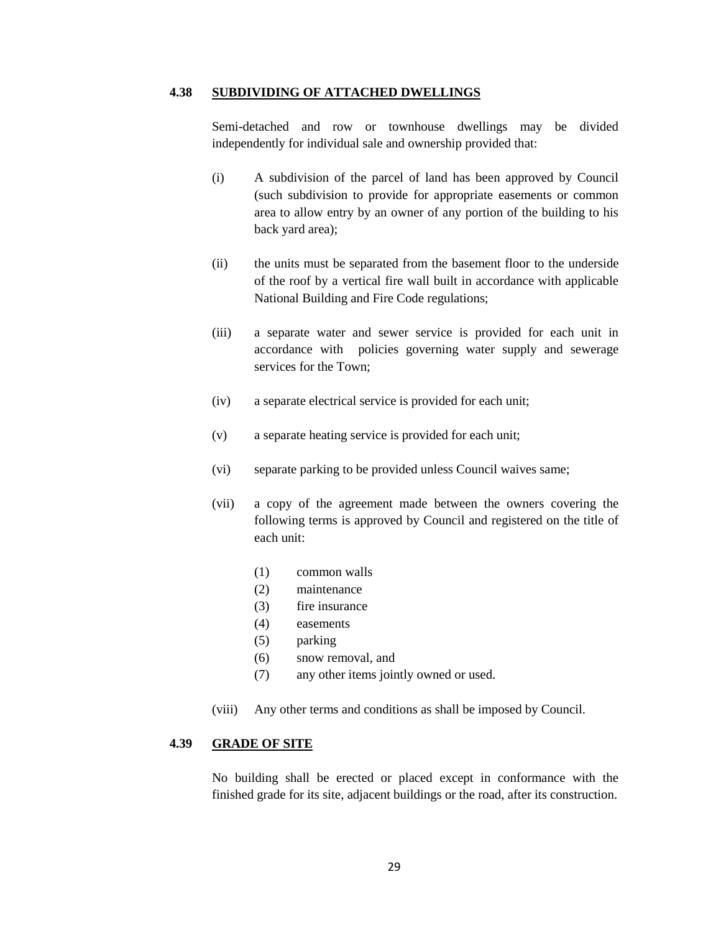### **4.38 SUBDIVIDING OF ATTACHED DWELLINGS**

Semi-detached and row or townhouse dwellings may be divided independently for individual sale and ownership provided that:

- (i) A subdivision of the parcel of land has been approved by Council (such subdivision to provide for appropriate easements or common area to allow entry by an owner of any portion of the building to his back yard area);
- (ii) the units must be separated from the basement floor to the underside of the roof by a vertical fire wall built in accordance with applicable National Building and Fire Code regulations;
- (iii) a separate water and sewer service is provided for each unit in accordance with policies governing water supply and sewerage services for the Town;
- (iv) a separate electrical service is provided for each unit;
- (v) a separate heating service is provided for each unit;
- (vi) separate parking to be provided unless Council waives same;
- (vii) a copy of the agreement made between the owners covering the following terms is approved by Council and registered on the title of each unit:
	- (1) common walls
	- (2) maintenance
	- (3) fire insurance
	- (4) easements
	- (5) parking
	- (6) snow removal, and
	- (7) any other items jointly owned or used.
- (viii) Any other terms and conditions as shall be imposed by Council.

### **4.39 GRADE OF SITE**

No building shall be erected or placed except in conformance with the finished grade for its site, adjacent buildings or the road, after its construction.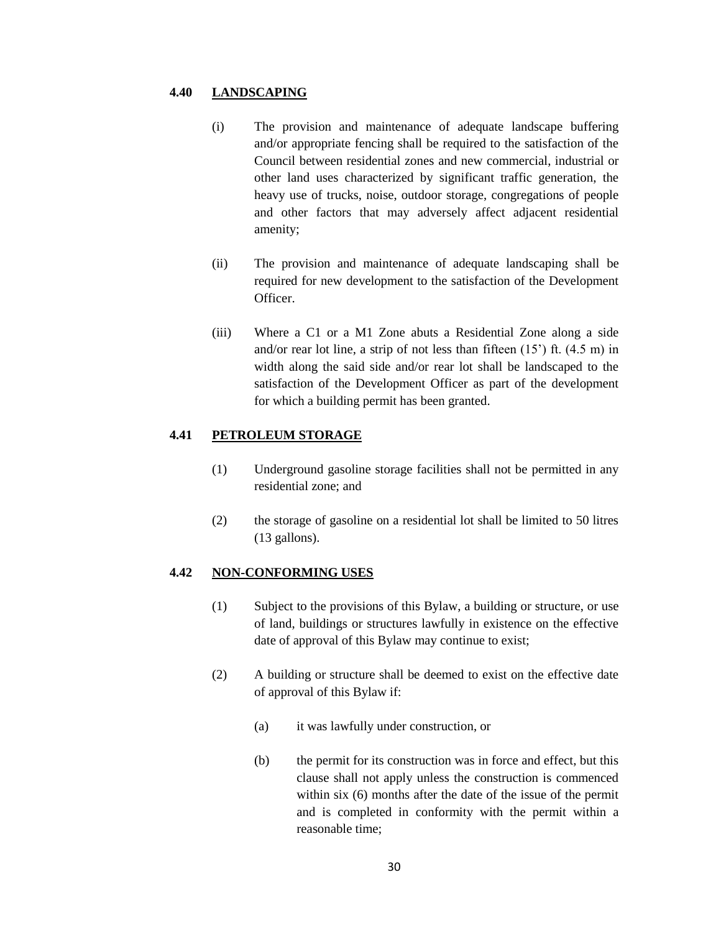## **4.40 LANDSCAPING**

- (i) The provision and maintenance of adequate landscape buffering and/or appropriate fencing shall be required to the satisfaction of the Council between residential zones and new commercial, industrial or other land uses characterized by significant traffic generation, the heavy use of trucks, noise, outdoor storage, congregations of people and other factors that may adversely affect adjacent residential amenity;
- (ii) The provision and maintenance of adequate landscaping shall be required for new development to the satisfaction of the Development Officer.
- (iii) Where a C1 or a M1 Zone abuts a Residential Zone along a side and/or rear lot line, a strip of not less than fifteen  $(15')$  ft.  $(4.5 \text{ m})$  in width along the said side and/or rear lot shall be landscaped to the satisfaction of the Development Officer as part of the development for which a building permit has been granted.

## **4.41 PETROLEUM STORAGE**

- (1) Underground gasoline storage facilities shall not be permitted in any residential zone; and
- (2) the storage of gasoline on a residential lot shall be limited to 50 litres (13 gallons).

## **4.42 NON-CONFORMING USES**

- (1) Subject to the provisions of this Bylaw, a building or structure, or use of land, buildings or structures lawfully in existence on the effective date of approval of this Bylaw may continue to exist;
- (2) A building or structure shall be deemed to exist on the effective date of approval of this Bylaw if:
	- (a) it was lawfully under construction, or
	- (b) the permit for its construction was in force and effect, but this clause shall not apply unless the construction is commenced within six (6) months after the date of the issue of the permit and is completed in conformity with the permit within a reasonable time;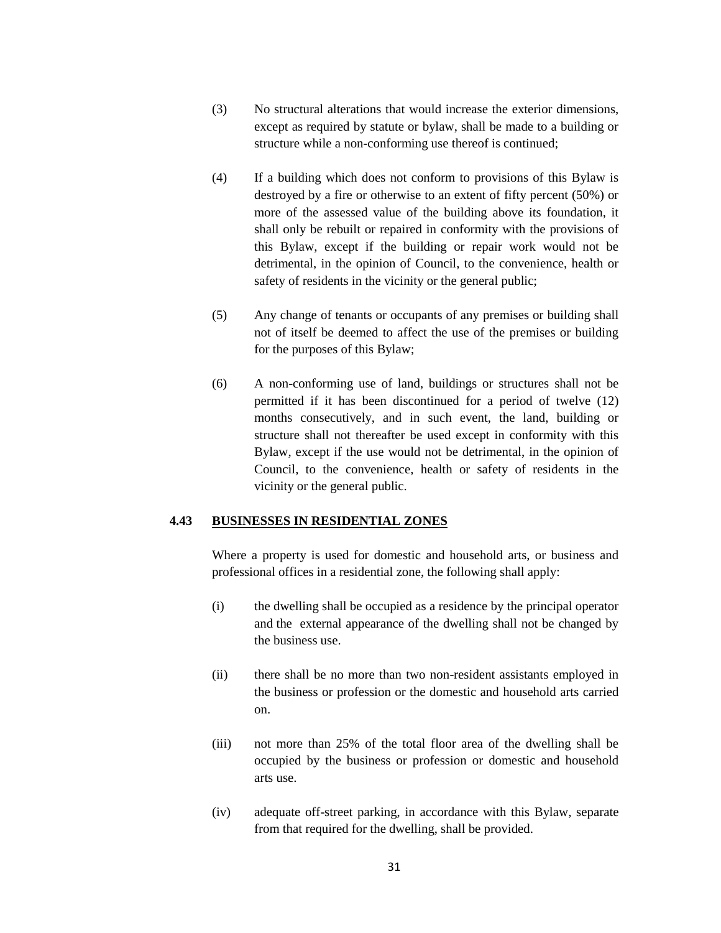- (3) No structural alterations that would increase the exterior dimensions, except as required by statute or bylaw, shall be made to a building or structure while a non-conforming use thereof is continued;
- (4) If a building which does not conform to provisions of this Bylaw is destroyed by a fire or otherwise to an extent of fifty percent (50%) or more of the assessed value of the building above its foundation, it shall only be rebuilt or repaired in conformity with the provisions of this Bylaw, except if the building or repair work would not be detrimental, in the opinion of Council, to the convenience, health or safety of residents in the vicinity or the general public;
- (5) Any change of tenants or occupants of any premises or building shall not of itself be deemed to affect the use of the premises or building for the purposes of this Bylaw;
- (6) A non-conforming use of land, buildings or structures shall not be permitted if it has been discontinued for a period of twelve (12) months consecutively, and in such event, the land, building or structure shall not thereafter be used except in conformity with this Bylaw, except if the use would not be detrimental, in the opinion of Council, to the convenience, health or safety of residents in the vicinity or the general public.

#### **4.43 BUSINESSES IN RESIDENTIAL ZONES**

Where a property is used for domestic and household arts, or business and professional offices in a residential zone, the following shall apply:

- (i) the dwelling shall be occupied as a residence by the principal operator and the external appearance of the dwelling shall not be changed by the business use.
- (ii) there shall be no more than two non-resident assistants employed in the business or profession or the domestic and household arts carried on.
- (iii) not more than 25% of the total floor area of the dwelling shall be occupied by the business or profession or domestic and household arts use.
- (iv) adequate off-street parking, in accordance with this Bylaw, separate from that required for the dwelling, shall be provided.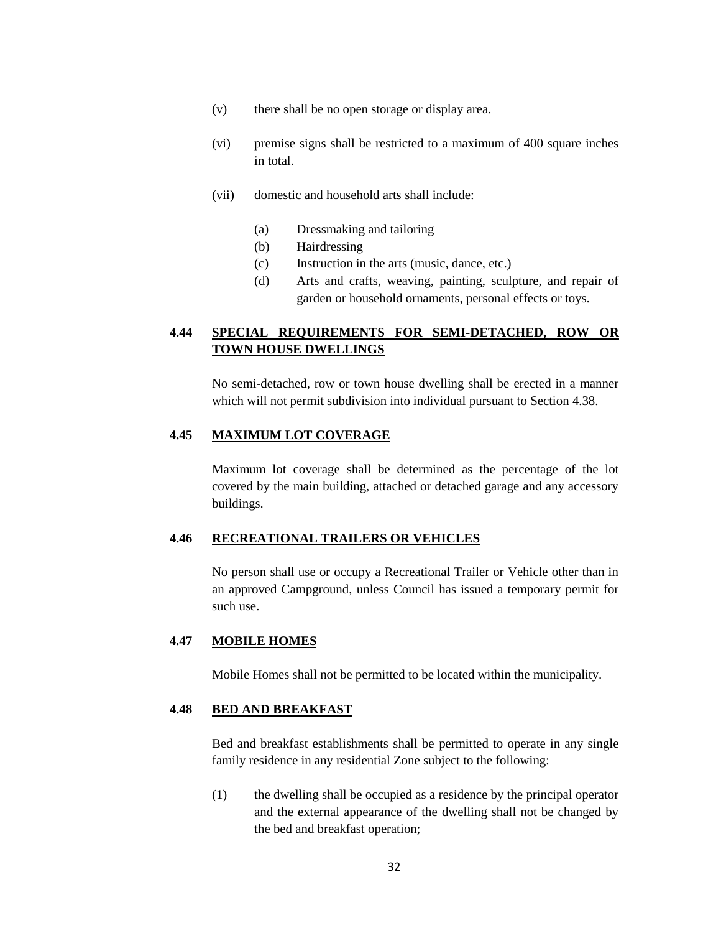- (v) there shall be no open storage or display area.
- (vi) premise signs shall be restricted to a maximum of 400 square inches in total.
- (vii) domestic and household arts shall include:
	- (a) Dressmaking and tailoring
	- (b) Hairdressing
	- (c) Instruction in the arts (music, dance, etc.)
	- (d) Arts and crafts, weaving, painting, sculpture, and repair of garden or household ornaments, personal effects or toys.

# **4.44 SPECIAL REQUIREMENTS FOR SEMI-DETACHED, ROW OR TOWN HOUSE DWELLINGS**

No semi-detached, row or town house dwelling shall be erected in a manner which will not permit subdivision into individual pursuant to Section 4.38.

#### **4.45 MAXIMUM LOT COVERAGE**

Maximum lot coverage shall be determined as the percentage of the lot covered by the main building, attached or detached garage and any accessory buildings.

### **4.46 RECREATIONAL TRAILERS OR VEHICLES**

No person shall use or occupy a Recreational Trailer or Vehicle other than in an approved Campground, unless Council has issued a temporary permit for such use.

### **4.47 MOBILE HOMES**

Mobile Homes shall not be permitted to be located within the municipality.

### **4.48 BED AND BREAKFAST**

Bed and breakfast establishments shall be permitted to operate in any single family residence in any residential Zone subject to the following:

(1) the dwelling shall be occupied as a residence by the principal operator and the external appearance of the dwelling shall not be changed by the bed and breakfast operation;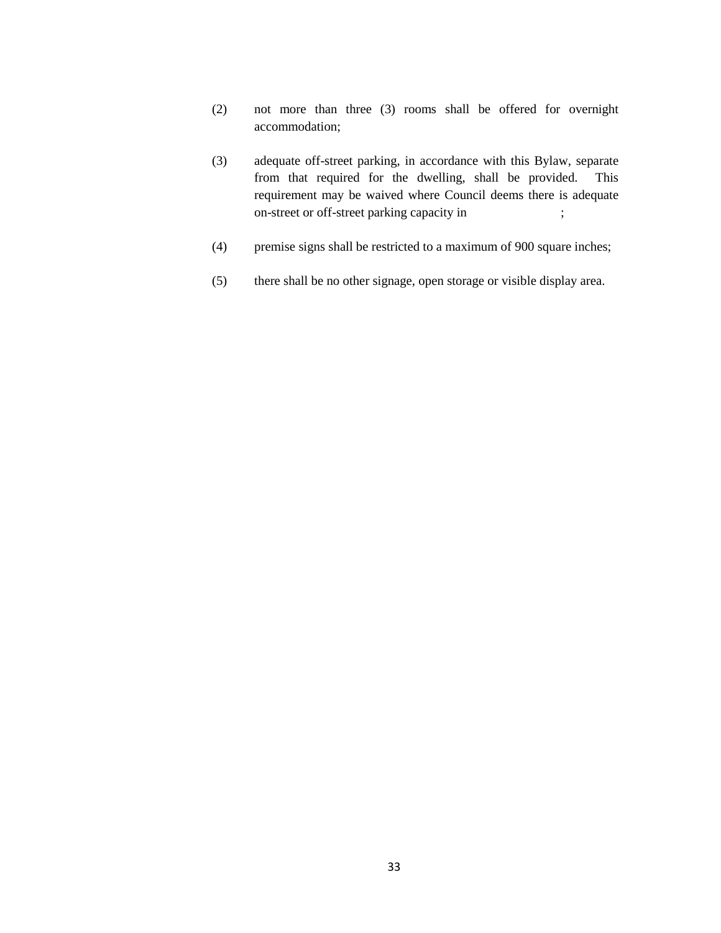- (2) not more than three (3) rooms shall be offered for overnight accommodation;
- (3) adequate off-street parking, in accordance with this Bylaw, separate from that required for the dwelling, shall be provided. This requirement may be waived where Council deems there is adequate on-street or off-street parking capacity in ;
- (4) premise signs shall be restricted to a maximum of 900 square inches;
- (5) there shall be no other signage, open storage or visible display area.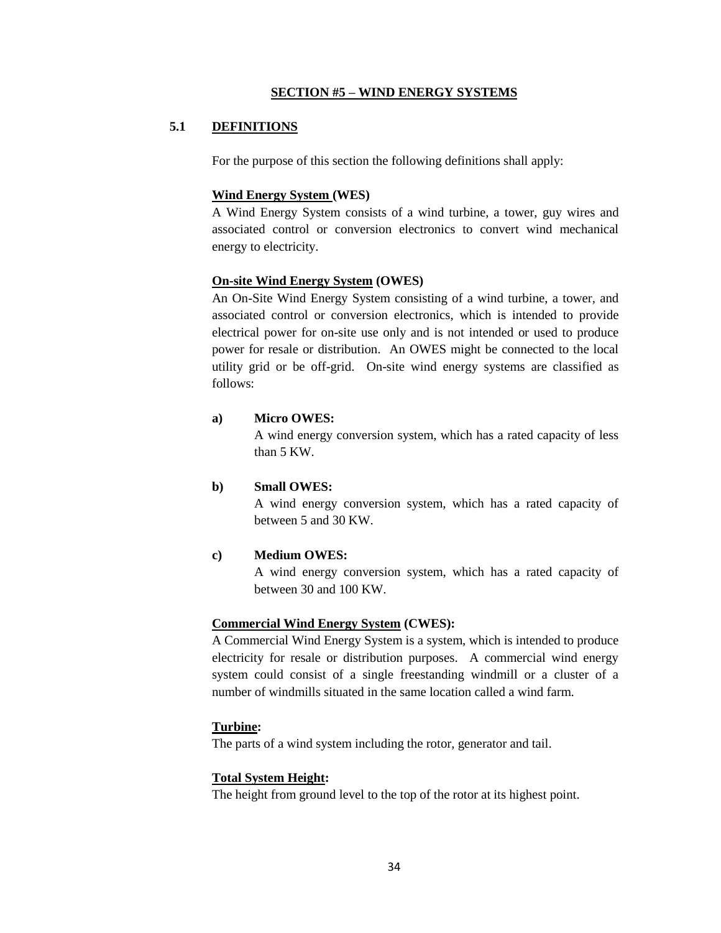### **SECTION #5 – WIND ENERGY SYSTEMS**

## **5.1 DEFINITIONS**

For the purpose of this section the following definitions shall apply:

### **Wind Energy System (WES)**

A Wind Energy System consists of a wind turbine, a tower, guy wires and associated control or conversion electronics to convert wind mechanical energy to electricity.

### **On-site Wind Energy System (OWES)**

An On-Site Wind Energy System consisting of a wind turbine, a tower, and associated control or conversion electronics, which is intended to provide electrical power for on-site use only and is not intended or used to produce power for resale or distribution. An OWES might be connected to the local utility grid or be off-grid. On-site wind energy systems are classified as follows:

### **a) Micro OWES:**

A wind energy conversion system, which has a rated capacity of less than 5 KW.

### **b) Small OWES:**

A wind energy conversion system, which has a rated capacity of between 5 and 30 KW.

## **c) Medium OWES:**

A wind energy conversion system, which has a rated capacity of between 30 and 100 KW.

#### **Commercial Wind Energy System (CWES):**

A Commercial Wind Energy System is a system, which is intended to produce electricity for resale or distribution purposes. A commercial wind energy system could consist of a single freestanding windmill or a cluster of a number of windmills situated in the same location called a wind farm.

## **Turbine:**

The parts of a wind system including the rotor, generator and tail.

### **Total System Height:**

The height from ground level to the top of the rotor at its highest point.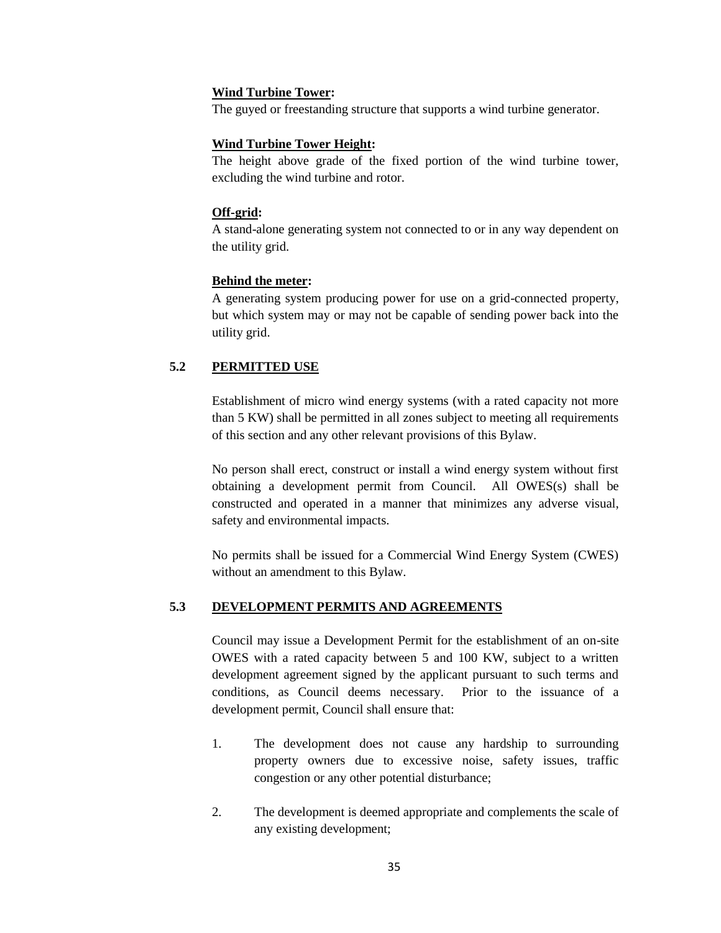### **Wind Turbine Tower:**

The guyed or freestanding structure that supports a wind turbine generator.

## **Wind Turbine Tower Height:**

The height above grade of the fixed portion of the wind turbine tower, excluding the wind turbine and rotor.

### **Off-grid:**

A stand-alone generating system not connected to or in any way dependent on the utility grid.

## **Behind the meter:**

A generating system producing power for use on a grid-connected property, but which system may or may not be capable of sending power back into the utility grid.

## **5.2 PERMITTED USE**

Establishment of micro wind energy systems (with a rated capacity not more than 5 KW) shall be permitted in all zones subject to meeting all requirements of this section and any other relevant provisions of this Bylaw.

No person shall erect, construct or install a wind energy system without first obtaining a development permit from Council. All OWES(s) shall be constructed and operated in a manner that minimizes any adverse visual, safety and environmental impacts.

No permits shall be issued for a Commercial Wind Energy System (CWES) without an amendment to this Bylaw.

## **5.3 DEVELOPMENT PERMITS AND AGREEMENTS**

Council may issue a Development Permit for the establishment of an on-site OWES with a rated capacity between 5 and 100 KW, subject to a written development agreement signed by the applicant pursuant to such terms and conditions, as Council deems necessary. Prior to the issuance of a development permit, Council shall ensure that:

- 1. The development does not cause any hardship to surrounding property owners due to excessive noise, safety issues, traffic congestion or any other potential disturbance;
- 2. The development is deemed appropriate and complements the scale of any existing development;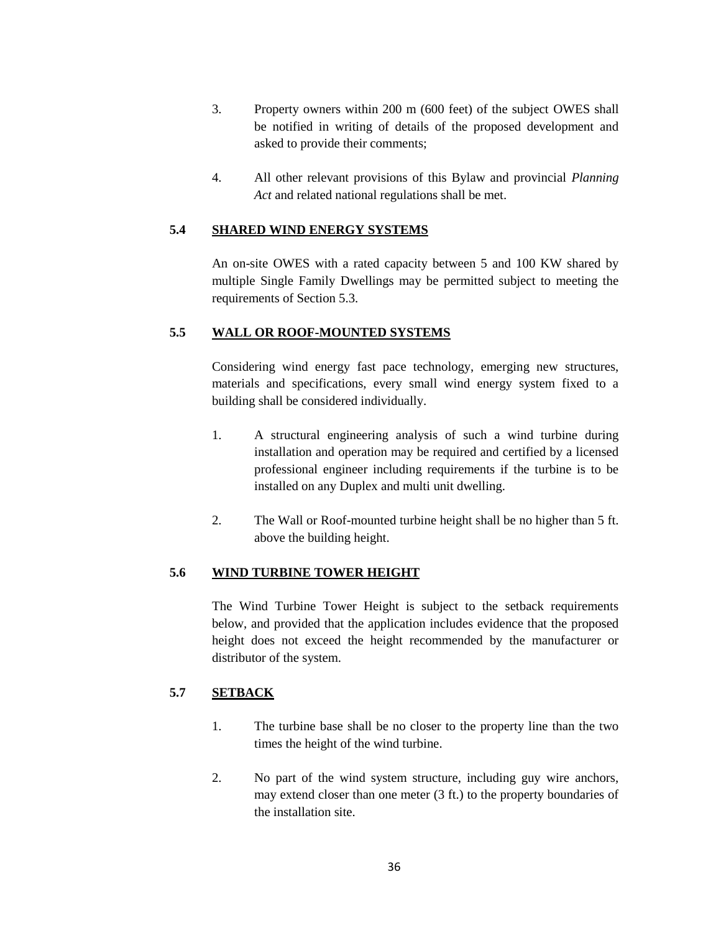- 3. Property owners within 200 m (600 feet) of the subject OWES shall be notified in writing of details of the proposed development and asked to provide their comments;
- 4. All other relevant provisions of this Bylaw and provincial *Planning Act* and related national regulations shall be met.

## **5.4 SHARED WIND ENERGY SYSTEMS**

An on-site OWES with a rated capacity between 5 and 100 KW shared by multiple Single Family Dwellings may be permitted subject to meeting the requirements of Section 5.3.

## **5.5 WALL OR ROOF-MOUNTED SYSTEMS**

Considering wind energy fast pace technology, emerging new structures, materials and specifications, every small wind energy system fixed to a building shall be considered individually.

- 1. A structural engineering analysis of such a wind turbine during installation and operation may be required and certified by a licensed professional engineer including requirements if the turbine is to be installed on any Duplex and multi unit dwelling.
- 2. The Wall or Roof-mounted turbine height shall be no higher than 5 ft. above the building height.

# **5.6 WIND TURBINE TOWER HEIGHT**

The Wind Turbine Tower Height is subject to the setback requirements below, and provided that the application includes evidence that the proposed height does not exceed the height recommended by the manufacturer or distributor of the system.

# **5.7 SETBACK**

- 1. The turbine base shall be no closer to the property line than the two times the height of the wind turbine.
- 2. No part of the wind system structure, including guy wire anchors, may extend closer than one meter (3 ft.) to the property boundaries of the installation site.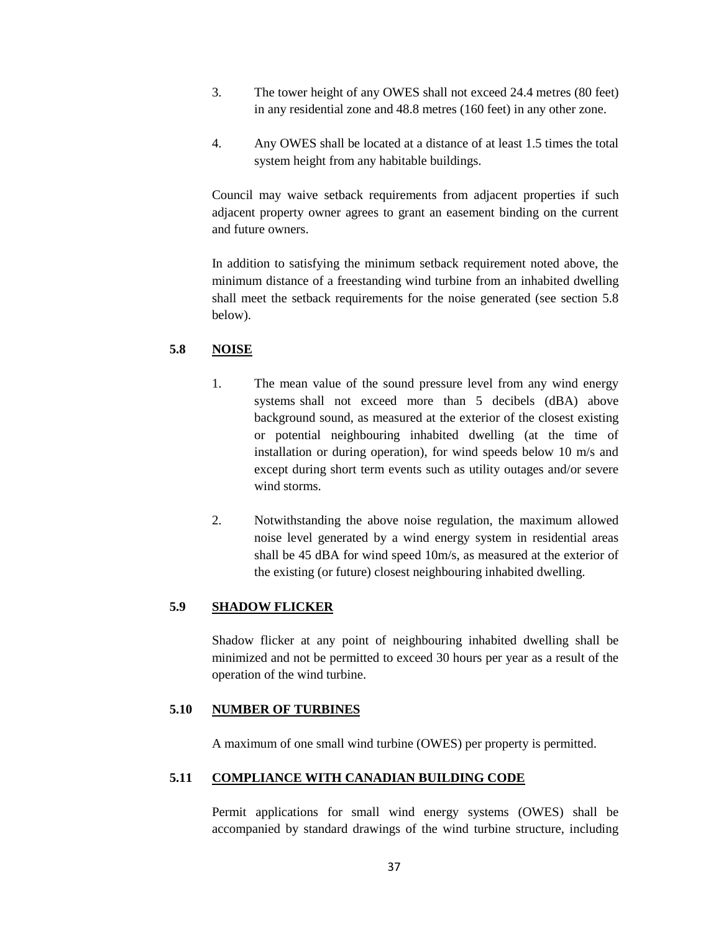- 3. The tower height of any OWES shall not exceed 24.4 metres (80 feet) in any residential zone and 48.8 metres (160 feet) in any other zone.
- 4. Any OWES shall be located at a distance of at least 1.5 times the total system height from any habitable buildings.

Council may waive setback requirements from adjacent properties if such adjacent property owner agrees to grant an easement binding on the current and future owners.

In addition to satisfying the minimum setback requirement noted above, the minimum distance of a freestanding wind turbine from an inhabited dwelling shall meet the setback requirements for the noise generated (see section 5.8 below).

# **5.8 NOISE**

- 1. The mean value of the sound pressure level from any wind energy systems shall not exceed more than 5 decibels (dBA) above background sound, as measured at the exterior of the closest existing or potential neighbouring inhabited dwelling (at the time of installation or during operation), for wind speeds below 10 m/s and except during short term events such as utility outages and/or severe wind storms.
- 2. Notwithstanding the above noise regulation, the maximum allowed noise level generated by a wind energy system in residential areas shall be 45 dBA for wind speed 10m/s, as measured at the exterior of the existing (or future) closest neighbouring inhabited dwelling.

## **5.9 SHADOW FLICKER**

Shadow flicker at any point of neighbouring inhabited dwelling shall be minimized and not be permitted to exceed 30 hours per year as a result of the operation of the wind turbine.

## **5.10 NUMBER OF TURBINES**

A maximum of one small wind turbine (OWES) per property is permitted.

#### **5.11 COMPLIANCE WITH CANADIAN BUILDING CODE**

Permit applications for small wind energy systems (OWES) shall be accompanied by standard drawings of the wind turbine structure, including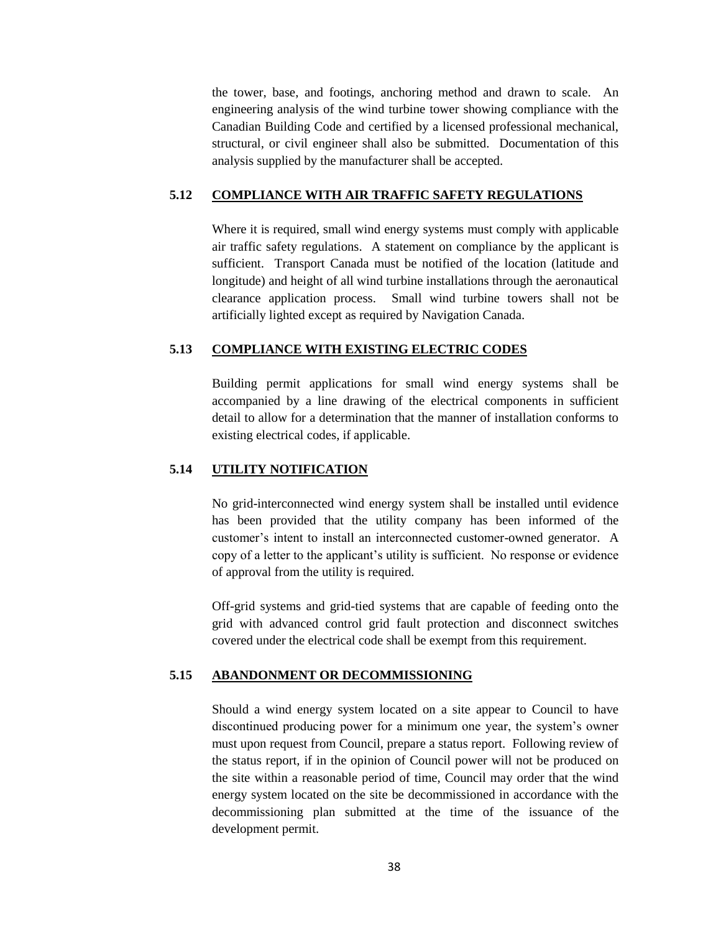the tower, base, and footings, anchoring method and drawn to scale. An engineering analysis of the wind turbine tower showing compliance with the Canadian Building Code and certified by a licensed professional mechanical, structural, or civil engineer shall also be submitted. Documentation of this analysis supplied by the manufacturer shall be accepted.

#### **5.12 COMPLIANCE WITH AIR TRAFFIC SAFETY REGULATIONS**

Where it is required, small wind energy systems must comply with applicable air traffic safety regulations. A statement on compliance by the applicant is sufficient. Transport Canada must be notified of the location (latitude and longitude) and height of all wind turbine installations through the aeronautical clearance application process. Small wind turbine towers shall not be artificially lighted except as required by Navigation Canada.

### **5.13 COMPLIANCE WITH EXISTING ELECTRIC CODES**

Building permit applications for small wind energy systems shall be accompanied by a line drawing of the electrical components in sufficient detail to allow for a determination that the manner of installation conforms to existing electrical codes, if applicable.

# **5.14 UTILITY NOTIFICATION**

No grid-interconnected wind energy system shall be installed until evidence has been provided that the utility company has been informed of the customer"s intent to install an interconnected customer-owned generator. A copy of a letter to the applicant"s utility is sufficient. No response or evidence of approval from the utility is required.

Off-grid systems and grid-tied systems that are capable of feeding onto the grid with advanced control grid fault protection and disconnect switches covered under the electrical code shall be exempt from this requirement.

#### **5.15 ABANDONMENT OR DECOMMISSIONING**

Should a wind energy system located on a site appear to Council to have discontinued producing power for a minimum one year, the system"s owner must upon request from Council, prepare a status report. Following review of the status report, if in the opinion of Council power will not be produced on the site within a reasonable period of time, Council may order that the wind energy system located on the site be decommissioned in accordance with the decommissioning plan submitted at the time of the issuance of the development permit.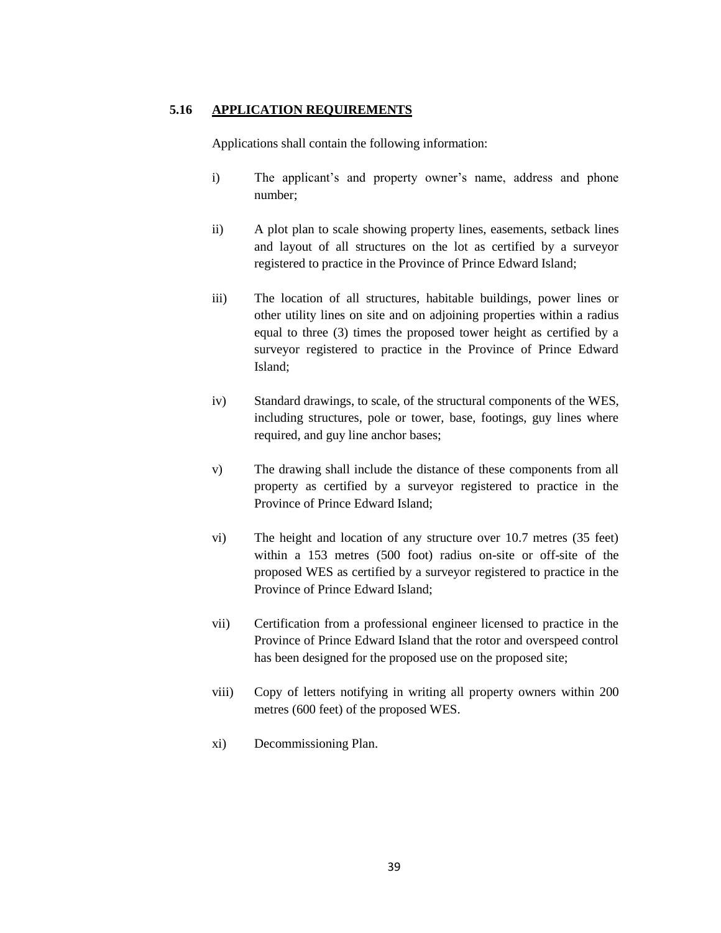# **5.16 APPLICATION REQUIREMENTS**

Applications shall contain the following information:

- i) The applicant's and property owner's name, address and phone number;
- ii) A plot plan to scale showing property lines, easements, setback lines and layout of all structures on the lot as certified by a surveyor registered to practice in the Province of Prince Edward Island;
- iii) The location of all structures, habitable buildings, power lines or other utility lines on site and on adjoining properties within a radius equal to three (3) times the proposed tower height as certified by a surveyor registered to practice in the Province of Prince Edward Island;
- iv) Standard drawings, to scale, of the structural components of the WES, including structures, pole or tower, base, footings, guy lines where required, and guy line anchor bases;
- v) The drawing shall include the distance of these components from all property as certified by a surveyor registered to practice in the Province of Prince Edward Island;
- vi) The height and location of any structure over 10.7 metres (35 feet) within a 153 metres (500 foot) radius on-site or off-site of the proposed WES as certified by a surveyor registered to practice in the Province of Prince Edward Island;
- vii) Certification from a professional engineer licensed to practice in the Province of Prince Edward Island that the rotor and overspeed control has been designed for the proposed use on the proposed site;
- viii) Copy of letters notifying in writing all property owners within 200 metres (600 feet) of the proposed WES.
- xi) Decommissioning Plan.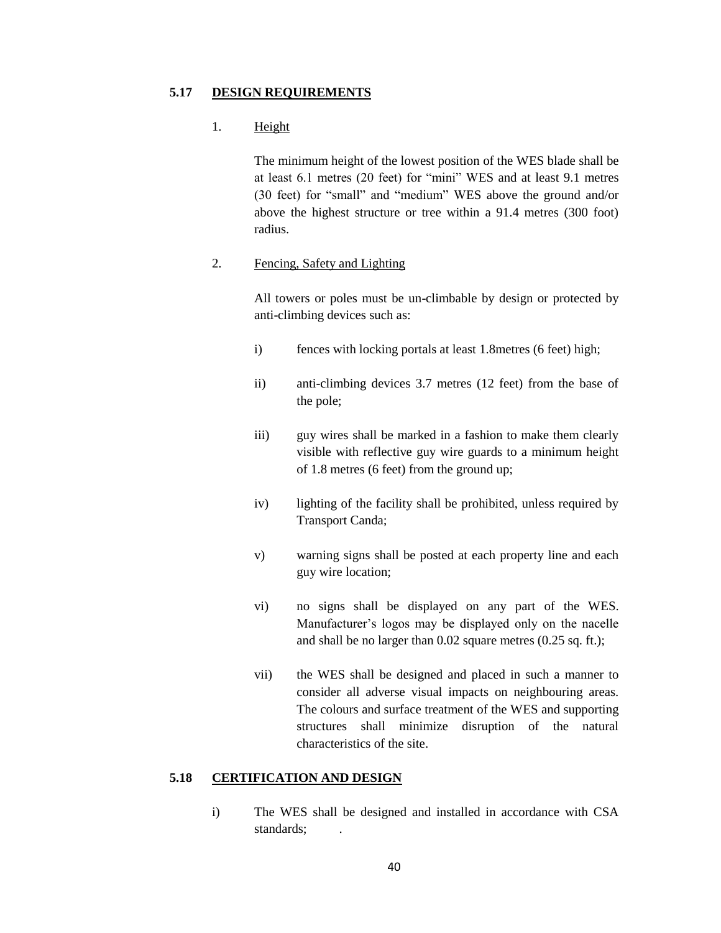#### **5.17 DESIGN REQUIREMENTS**

## 1. Height

The minimum height of the lowest position of the WES blade shall be at least 6.1 metres (20 feet) for "mini" WES and at least 9.1 metres (30 feet) for "small" and "medium" WES above the ground and/or above the highest structure or tree within a 91.4 metres (300 foot) radius.

## 2. Fencing, Safety and Lighting

All towers or poles must be un-climbable by design or protected by anti-climbing devices such as:

- i) fences with locking portals at least 1.8metres (6 feet) high;
- ii) anti-climbing devices 3.7 metres (12 feet) from the base of the pole;
- iii) guy wires shall be marked in a fashion to make them clearly visible with reflective guy wire guards to a minimum height of 1.8 metres (6 feet) from the ground up;
- iv) lighting of the facility shall be prohibited, unless required by Transport Canda;
- v) warning signs shall be posted at each property line and each guy wire location;
- vi) no signs shall be displayed on any part of the WES. Manufacturer's logos may be displayed only on the nacelle and shall be no larger than 0.02 square metres (0.25 sq. ft.);
- vii) the WES shall be designed and placed in such a manner to consider all adverse visual impacts on neighbouring areas. The colours and surface treatment of the WES and supporting structures shall minimize disruption of the natural characteristics of the site.

# **5.18 CERTIFICATION AND DESIGN**

i) The WES shall be designed and installed in accordance with CSA standards; .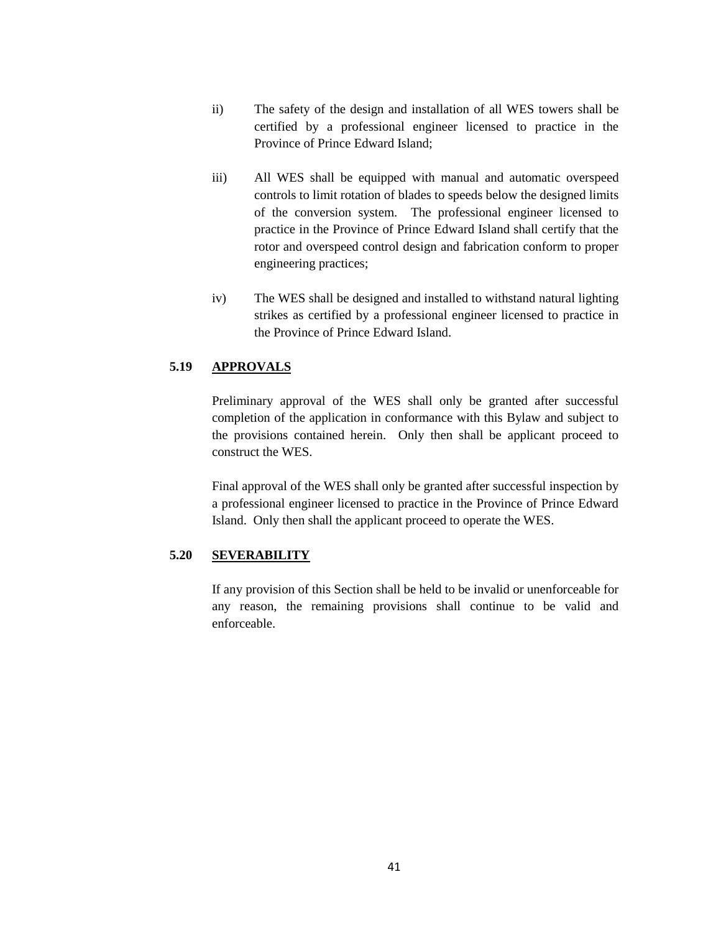- ii) The safety of the design and installation of all WES towers shall be certified by a professional engineer licensed to practice in the Province of Prince Edward Island;
- iii) All WES shall be equipped with manual and automatic overspeed controls to limit rotation of blades to speeds below the designed limits of the conversion system. The professional engineer licensed to practice in the Province of Prince Edward Island shall certify that the rotor and overspeed control design and fabrication conform to proper engineering practices;
- iv) The WES shall be designed and installed to withstand natural lighting strikes as certified by a professional engineer licensed to practice in the Province of Prince Edward Island.

# **5.19 APPROVALS**

Preliminary approval of the WES shall only be granted after successful completion of the application in conformance with this Bylaw and subject to the provisions contained herein. Only then shall be applicant proceed to construct the WES.

Final approval of the WES shall only be granted after successful inspection by a professional engineer licensed to practice in the Province of Prince Edward Island. Only then shall the applicant proceed to operate the WES.

## **5.20 SEVERABILITY**

If any provision of this Section shall be held to be invalid or unenforceable for any reason, the remaining provisions shall continue to be valid and enforceable.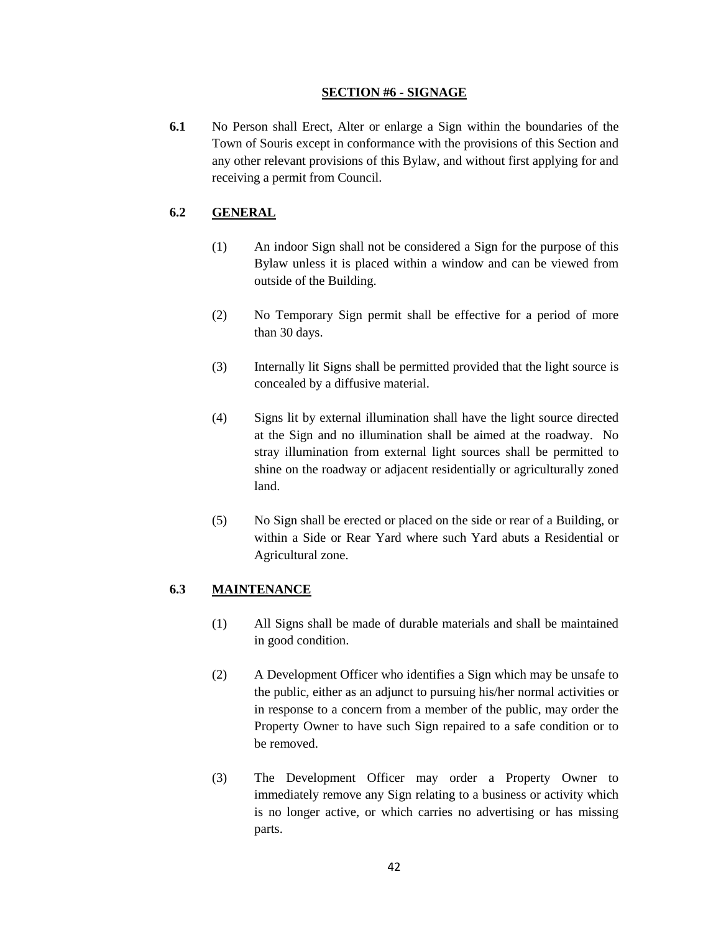### **SECTION #6 - SIGNAGE**

**6.1** No Person shall Erect, Alter or enlarge a Sign within the boundaries of the Town of Souris except in conformance with the provisions of this Section and any other relevant provisions of this Bylaw, and without first applying for and receiving a permit from Council.

# **6.2 GENERAL**

- (1) An indoor Sign shall not be considered a Sign for the purpose of this Bylaw unless it is placed within a window and can be viewed from outside of the Building.
- (2) No Temporary Sign permit shall be effective for a period of more than 30 days.
- (3) Internally lit Signs shall be permitted provided that the light source is concealed by a diffusive material.
- (4) Signs lit by external illumination shall have the light source directed at the Sign and no illumination shall be aimed at the roadway. No stray illumination from external light sources shall be permitted to shine on the roadway or adjacent residentially or agriculturally zoned land.
- (5) No Sign shall be erected or placed on the side or rear of a Building, or within a Side or Rear Yard where such Yard abuts a Residential or Agricultural zone.

## **6.3 MAINTENANCE**

- (1) All Signs shall be made of durable materials and shall be maintained in good condition.
- (2) A Development Officer who identifies a Sign which may be unsafe to the public, either as an adjunct to pursuing his/her normal activities or in response to a concern from a member of the public, may order the Property Owner to have such Sign repaired to a safe condition or to be removed.
- (3) The Development Officer may order a Property Owner to immediately remove any Sign relating to a business or activity which is no longer active, or which carries no advertising or has missing parts.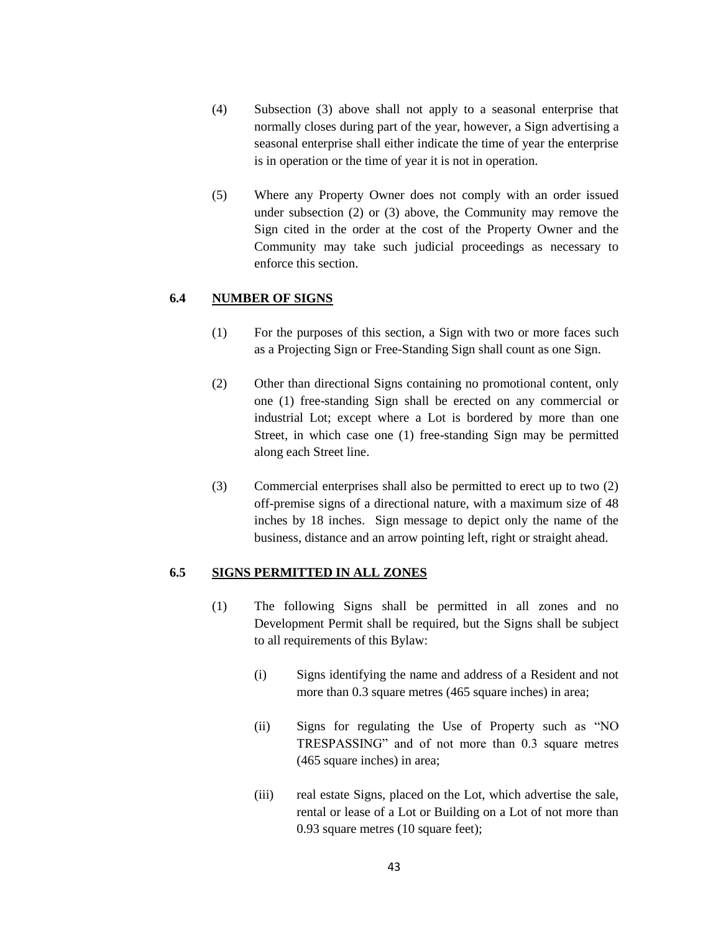- (4) Subsection (3) above shall not apply to a seasonal enterprise that normally closes during part of the year, however, a Sign advertising a seasonal enterprise shall either indicate the time of year the enterprise is in operation or the time of year it is not in operation.
- (5) Where any Property Owner does not comply with an order issued under subsection (2) or (3) above, the Community may remove the Sign cited in the order at the cost of the Property Owner and the Community may take such judicial proceedings as necessary to enforce this section.

## **6.4 NUMBER OF SIGNS**

- (1) For the purposes of this section, a Sign with two or more faces such as a Projecting Sign or Free-Standing Sign shall count as one Sign.
- (2) Other than directional Signs containing no promotional content, only one (1) free-standing Sign shall be erected on any commercial or industrial Lot; except where a Lot is bordered by more than one Street, in which case one (1) free-standing Sign may be permitted along each Street line.
- (3) Commercial enterprises shall also be permitted to erect up to two (2) off-premise signs of a directional nature, with a maximum size of 48 inches by 18 inches. Sign message to depict only the name of the business, distance and an arrow pointing left, right or straight ahead.

#### **6.5 SIGNS PERMITTED IN ALL ZONES**

- (1) The following Signs shall be permitted in all zones and no Development Permit shall be required, but the Signs shall be subject to all requirements of this Bylaw:
	- (i) Signs identifying the name and address of a Resident and not more than 0.3 square metres (465 square inches) in area;
	- (ii) Signs for regulating the Use of Property such as "NO TRESPASSING" and of not more than 0.3 square metres (465 square inches) in area;
	- (iii) real estate Signs, placed on the Lot, which advertise the sale, rental or lease of a Lot or Building on a Lot of not more than 0.93 square metres (10 square feet);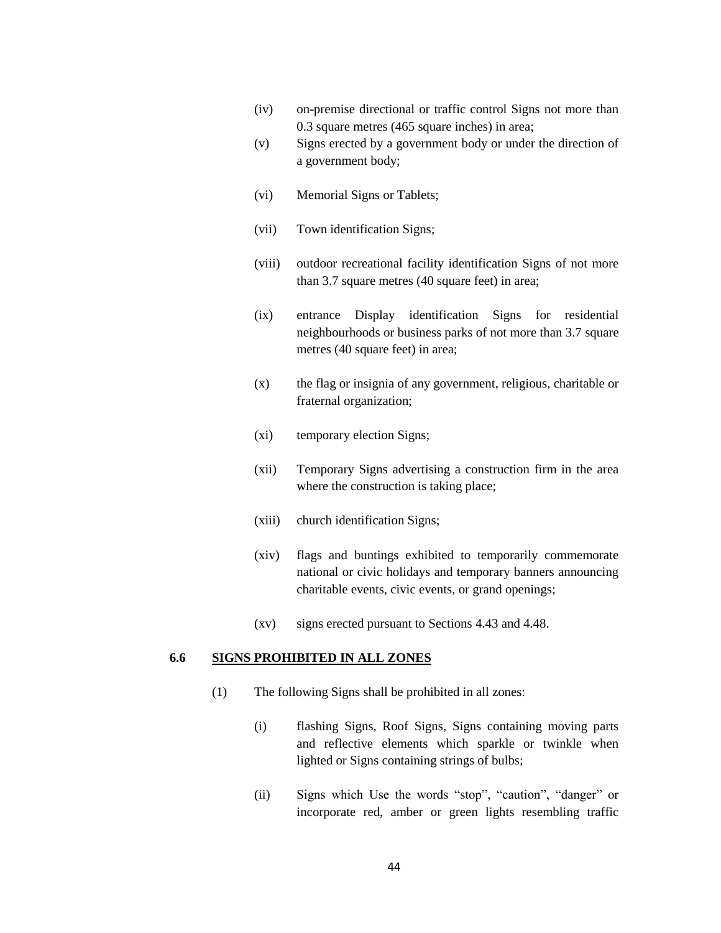- (iv) on-premise directional or traffic control Signs not more than 0.3 square metres (465 square inches) in area;
- (v) Signs erected by a government body or under the direction of a government body;
- (vi) Memorial Signs or Tablets;
- (vii) Town identification Signs;
- (viii) outdoor recreational facility identification Signs of not more than 3.7 square metres (40 square feet) in area;
- (ix) entrance Display identification Signs for residential neighbourhoods or business parks of not more than 3.7 square metres (40 square feet) in area;
- (x) the flag or insignia of any government, religious, charitable or fraternal organization;
- (xi) temporary election Signs;
- (xii) Temporary Signs advertising a construction firm in the area where the construction is taking place;
- (xiii) church identification Signs;
- (xiv) flags and buntings exhibited to temporarily commemorate national or civic holidays and temporary banners announcing charitable events, civic events, or grand openings;
- (xv) signs erected pursuant to Sections 4.43 and 4.48.

#### **6.6 SIGNS PROHIBITED IN ALL ZONES**

- (1) The following Signs shall be prohibited in all zones:
	- (i) flashing Signs, Roof Signs, Signs containing moving parts and reflective elements which sparkle or twinkle when lighted or Signs containing strings of bulbs;
	- (ii) Signs which Use the words "stop", "caution", "danger" or incorporate red, amber or green lights resembling traffic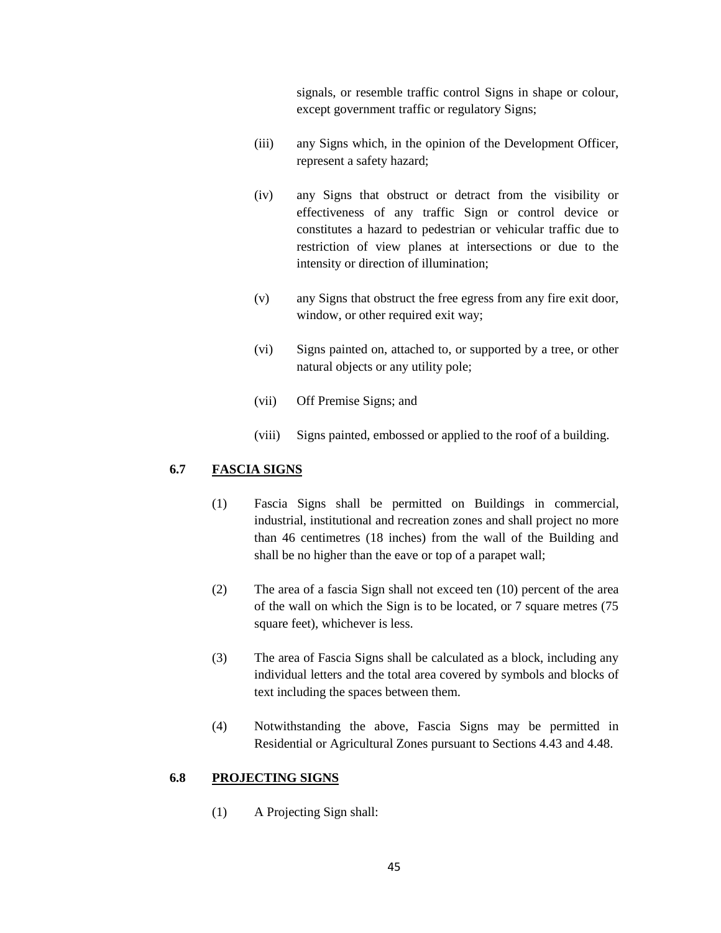signals, or resemble traffic control Signs in shape or colour, except government traffic or regulatory Signs;

- (iii) any Signs which, in the opinion of the Development Officer, represent a safety hazard;
- (iv) any Signs that obstruct or detract from the visibility or effectiveness of any traffic Sign or control device or constitutes a hazard to pedestrian or vehicular traffic due to restriction of view planes at intersections or due to the intensity or direction of illumination;
- (v) any Signs that obstruct the free egress from any fire exit door, window, or other required exit way;
- (vi) Signs painted on, attached to, or supported by a tree, or other natural objects or any utility pole;
- (vii) Off Premise Signs; and
- (viii) Signs painted, embossed or applied to the roof of a building.

# **6.7 FASCIA SIGNS**

- (1) Fascia Signs shall be permitted on Buildings in commercial, industrial, institutional and recreation zones and shall project no more than 46 centimetres (18 inches) from the wall of the Building and shall be no higher than the eave or top of a parapet wall;
- (2) The area of a fascia Sign shall not exceed ten (10) percent of the area of the wall on which the Sign is to be located, or 7 square metres (75 square feet), whichever is less.
- (3) The area of Fascia Signs shall be calculated as a block, including any individual letters and the total area covered by symbols and blocks of text including the spaces between them.
- (4) Notwithstanding the above, Fascia Signs may be permitted in Residential or Agricultural Zones pursuant to Sections 4.43 and 4.48.

## **6.8 PROJECTING SIGNS**

(1) A Projecting Sign shall: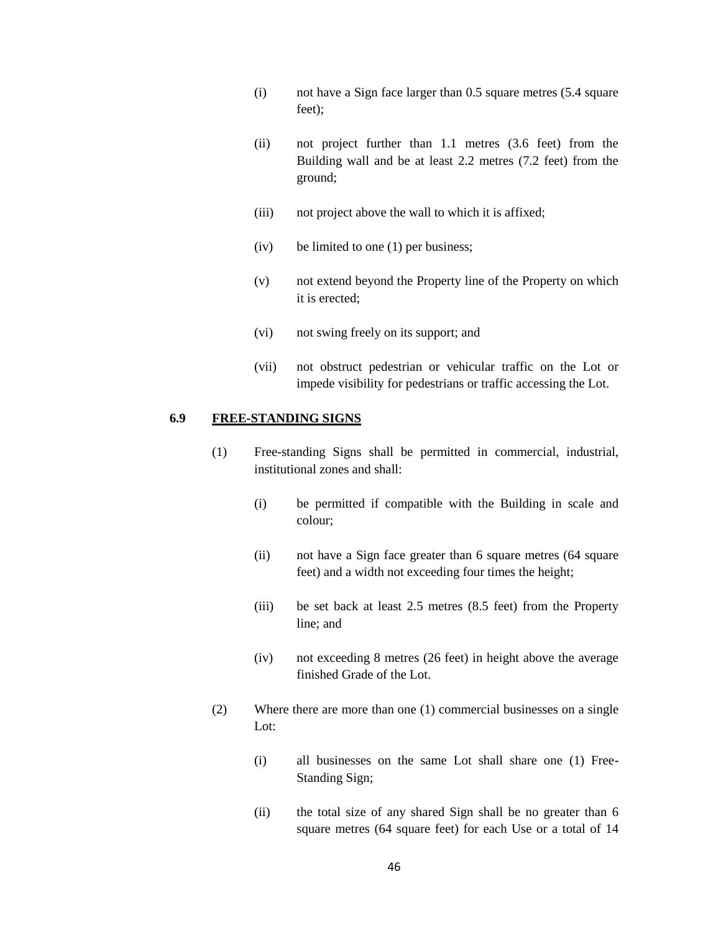- (i) not have a Sign face larger than 0.5 square metres (5.4 square feet);
- (ii) not project further than 1.1 metres (3.6 feet) from the Building wall and be at least 2.2 metres (7.2 feet) from the ground;
- (iii) not project above the wall to which it is affixed;
- (iv) be limited to one (1) per business;
- (v) not extend beyond the Property line of the Property on which it is erected;
- (vi) not swing freely on its support; and
- (vii) not obstruct pedestrian or vehicular traffic on the Lot or impede visibility for pedestrians or traffic accessing the Lot.

## **6.9 FREE-STANDING SIGNS**

- (1) Free-standing Signs shall be permitted in commercial, industrial, institutional zones and shall:
	- (i) be permitted if compatible with the Building in scale and colour;
	- (ii) not have a Sign face greater than 6 square metres (64 square feet) and a width not exceeding four times the height;
	- (iii) be set back at least 2.5 metres (8.5 feet) from the Property line; and
	- (iv) not exceeding 8 metres (26 feet) in height above the average finished Grade of the Lot.
- (2) Where there are more than one (1) commercial businesses on a single Lot:
	- (i) all businesses on the same Lot shall share one (1) Free-Standing Sign;
	- (ii) the total size of any shared Sign shall be no greater than 6 square metres (64 square feet) for each Use or a total of 14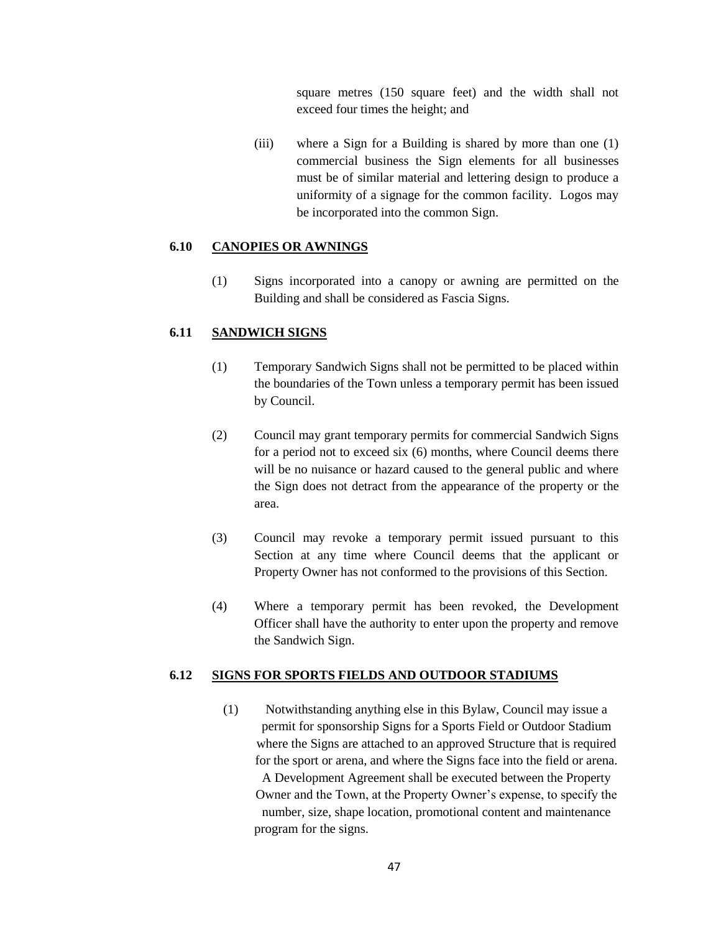square metres (150 square feet) and the width shall not exceed four times the height; and

(iii) where a Sign for a Building is shared by more than one (1) commercial business the Sign elements for all businesses must be of similar material and lettering design to produce a uniformity of a signage for the common facility. Logos may be incorporated into the common Sign.

## **6.10 CANOPIES OR AWNINGS**

(1) Signs incorporated into a canopy or awning are permitted on the Building and shall be considered as Fascia Signs.

### **6.11 SANDWICH SIGNS**

- (1) Temporary Sandwich Signs shall not be permitted to be placed within the boundaries of the Town unless a temporary permit has been issued by Council.
- (2) Council may grant temporary permits for commercial Sandwich Signs for a period not to exceed six (6) months, where Council deems there will be no nuisance or hazard caused to the general public and where the Sign does not detract from the appearance of the property or the area.
- (3) Council may revoke a temporary permit issued pursuant to this Section at any time where Council deems that the applicant or Property Owner has not conformed to the provisions of this Section.
- (4) Where a temporary permit has been revoked, the Development Officer shall have the authority to enter upon the property and remove the Sandwich Sign.

#### **6.12 SIGNS FOR SPORTS FIELDS AND OUTDOOR STADIUMS**

(1) Notwithstanding anything else in this Bylaw, Council may issue a permit for sponsorship Signs for a Sports Field or Outdoor Stadium where the Signs are attached to an approved Structure that is required for the sport or arena, and where the Signs face into the field or arena. A Development Agreement shall be executed between the Property Owner and the Town, at the Property Owner"s expense, to specify the number, size, shape location, promotional content and maintenance program for the signs.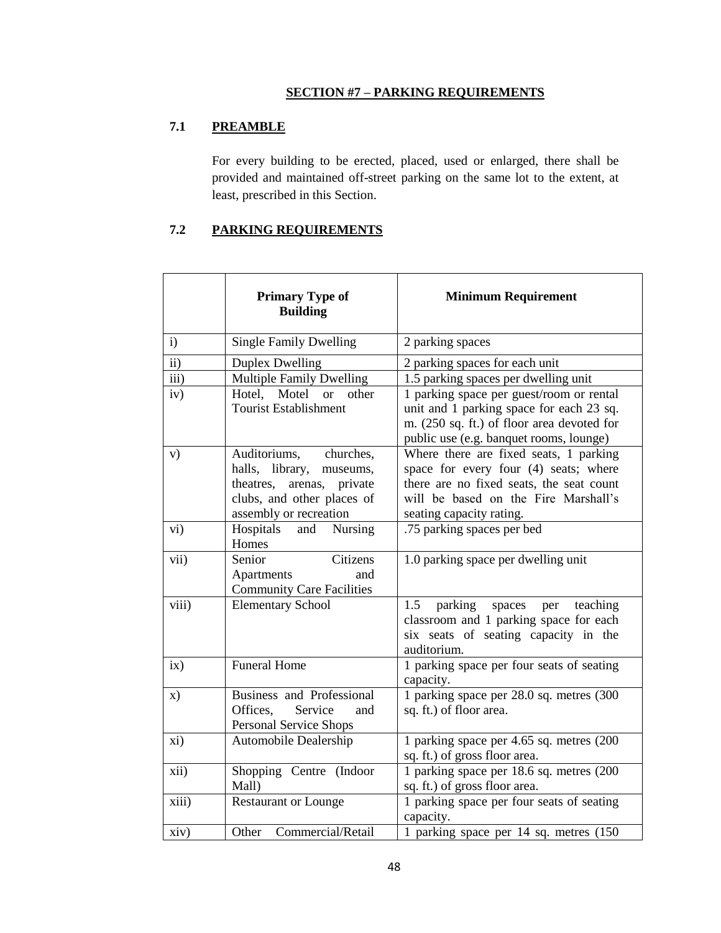# **SECTION #7 – PARKING REQUIREMENTS**

# **7.1 PREAMBLE**

For every building to be erected, placed, used or enlarged, there shall be provided and maintained off-street parking on the same lot to the extent, at least, prescribed in this Section.

# **7.2 PARKING REQUIREMENTS**

|                   | <b>Primary Type of</b><br><b>Building</b>                                                                                                           | <b>Minimum Requirement</b>                                                                                                                                                                      |
|-------------------|-----------------------------------------------------------------------------------------------------------------------------------------------------|-------------------------------------------------------------------------------------------------------------------------------------------------------------------------------------------------|
| $\mathbf{i}$      | <b>Single Family Dwelling</b>                                                                                                                       | 2 parking spaces                                                                                                                                                                                |
| ii)               | <b>Duplex Dwelling</b>                                                                                                                              | 2 parking spaces for each unit                                                                                                                                                                  |
| $\overline{iii}$  | <b>Multiple Family Dwelling</b>                                                                                                                     | 1.5 parking spaces per dwelling unit                                                                                                                                                            |
| iv)               | Hotel,<br>Motel<br><b>or</b><br>other<br><b>Tourist Establishment</b>                                                                               | 1 parking space per guest/room or rental<br>unit and 1 parking space for each 23 sq.<br>m. (250 sq. ft.) of floor area devoted for<br>public use (e.g. banquet rooms, lounge)                   |
| V)                | Auditoriums,<br>churches,<br>halls, library,<br>museums,<br>theatres,<br>private<br>arenas,<br>clubs, and other places of<br>assembly or recreation | Where there are fixed seats, 1 parking<br>space for every four (4) seats; where<br>there are no fixed seats, the seat count<br>will be based on the Fire Marshall's<br>seating capacity rating. |
| $\overline{vi}$ ) | Hospitals<br>Nursing<br>and<br>Homes                                                                                                                | .75 parking spaces per bed                                                                                                                                                                      |
| vii)              | Citizens<br>Senior<br>Apartments<br>and<br><b>Community Care Facilities</b>                                                                         | 1.0 parking space per dwelling unit                                                                                                                                                             |
| viii)             | <b>Elementary School</b>                                                                                                                            | 1.5<br>parking<br>teaching<br>spaces<br>per<br>classroom and 1 parking space for each<br>six seats of seating capacity in the<br>auditorium.                                                    |
| ix)               | <b>Funeral Home</b>                                                                                                                                 | 1 parking space per four seats of seating<br>capacity.                                                                                                                                          |
| $\mathbf{x})$     | <b>Business and Professional</b><br>Service<br>Offices.<br>and<br><b>Personal Service Shops</b>                                                     | 1 parking space per 28.0 sq. metres (300<br>sq. ft.) of floor area.                                                                                                                             |
| xi)               | Automobile Dealership                                                                                                                               | 1 parking space per 4.65 sq. metres (200<br>sq. ft.) of gross floor area.                                                                                                                       |
| xii)              | Shopping Centre (Indoor<br>Mall)                                                                                                                    | 1 parking space per 18.6 sq. metres (200<br>sq. ft.) of gross floor area.                                                                                                                       |
| xiii)             | <b>Restaurant or Lounge</b>                                                                                                                         | 1 parking space per four seats of seating<br>capacity.                                                                                                                                          |
| xiv)              | Other<br>Commercial/Retail                                                                                                                          | 1 parking space per 14 sq. metres (150)                                                                                                                                                         |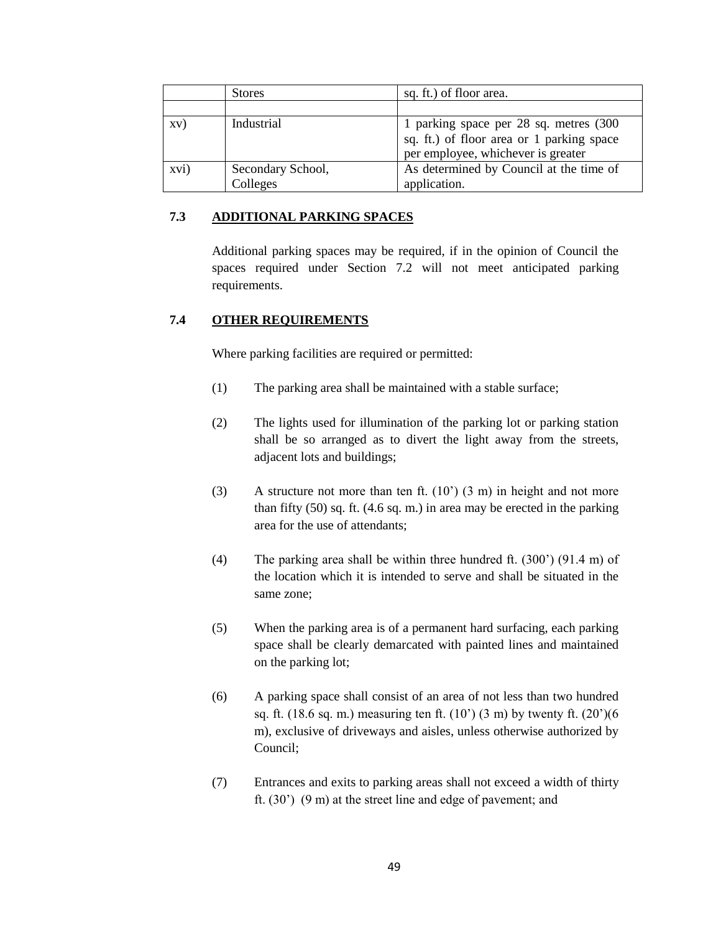|      | <b>Stores</b>                 | sq. ft.) of floor area.                                                                                                    |
|------|-------------------------------|----------------------------------------------------------------------------------------------------------------------------|
|      |                               |                                                                                                                            |
| XV)  | Industrial                    | 1 parking space per 28 sq. metres (300)<br>sq. ft.) of floor area or 1 parking space<br>per employee, whichever is greater |
| xvi) | Secondary School,<br>Colleges | As determined by Council at the time of<br>application.                                                                    |

# **7.3 ADDITIONAL PARKING SPACES**

Additional parking spaces may be required, if in the opinion of Council the spaces required under Section 7.2 will not meet anticipated parking requirements.

# **7.4 OTHER REQUIREMENTS**

Where parking facilities are required or permitted:

- (1) The parking area shall be maintained with a stable surface;
- (2) The lights used for illumination of the parking lot or parking station shall be so arranged as to divert the light away from the streets, adjacent lots and buildings;
- (3) A structure not more than ten ft.  $(10^{\circ})$  (3 m) in height and not more than fifty (50) sq. ft. (4.6 sq. m.) in area may be erected in the parking area for the use of attendants;
- (4) The parking area shall be within three hundred ft. (300") (91.4 m) of the location which it is intended to serve and shall be situated in the same zone;
- (5) When the parking area is of a permanent hard surfacing, each parking space shall be clearly demarcated with painted lines and maintained on the parking lot;
- (6) A parking space shall consist of an area of not less than two hundred sq. ft. (18.6 sq. m.) measuring ten ft. (10") (3 m) by twenty ft. (20")(6 m), exclusive of driveways and aisles, unless otherwise authorized by Council;
- (7) Entrances and exits to parking areas shall not exceed a width of thirty ft.  $(30')$   $(9 \text{ m})$  at the street line and edge of pavement; and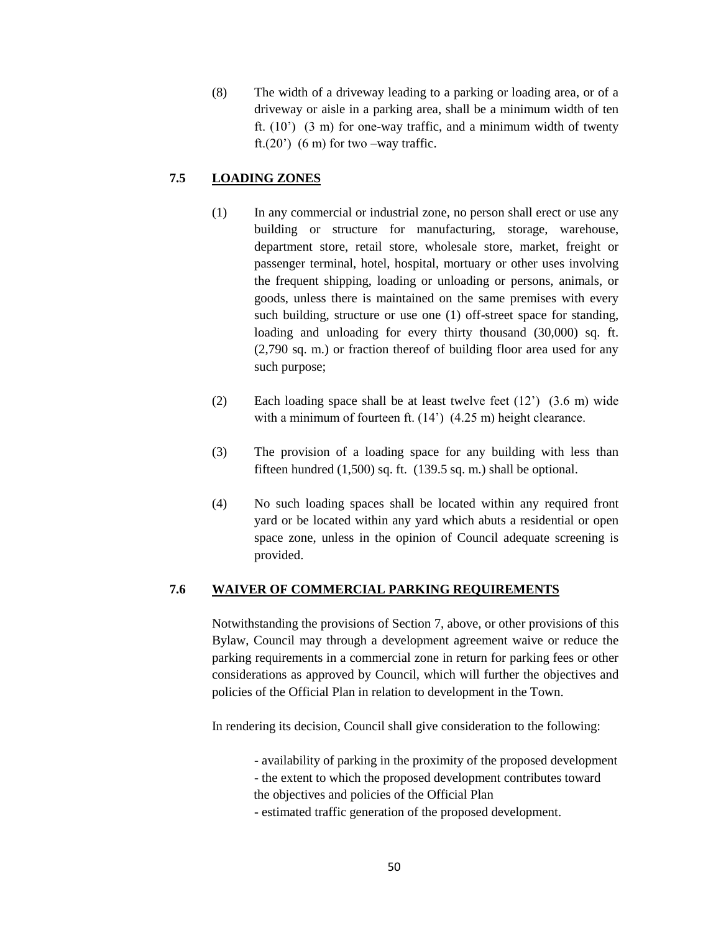(8) The width of a driveway leading to a parking or loading area, or of a driveway or aisle in a parking area, shall be a minimum width of ten ft.  $(10^{\circ})$   $(3 \text{ m})$  for one-way traffic, and a minimum width of twenty ft. $(20')$  (6 m) for two –way traffic.

# **7.5 LOADING ZONES**

- (1) In any commercial or industrial zone, no person shall erect or use any building or structure for manufacturing, storage, warehouse, department store, retail store, wholesale store, market, freight or passenger terminal, hotel, hospital, mortuary or other uses involving the frequent shipping, loading or unloading or persons, animals, or goods, unless there is maintained on the same premises with every such building, structure or use one (1) off-street space for standing, loading and unloading for every thirty thousand (30,000) sq. ft. (2,790 sq. m.) or fraction thereof of building floor area used for any such purpose;
- (2) Each loading space shall be at least twelve feet (12") (3.6 m) wide with a minimum of fourteen ft. (14<sup>°</sup>) (4.25 m) height clearance.
- (3) The provision of a loading space for any building with less than fifteen hundred  $(1,500)$  sq. ft.  $(139.5 \text{ sq. m.})$  shall be optional.
- (4) No such loading spaces shall be located within any required front yard or be located within any yard which abuts a residential or open space zone, unless in the opinion of Council adequate screening is provided.

# **7.6 WAIVER OF COMMERCIAL PARKING REQUIREMENTS**

Notwithstanding the provisions of Section 7, above, or other provisions of this Bylaw, Council may through a development agreement waive or reduce the parking requirements in a commercial zone in return for parking fees or other considerations as approved by Council, which will further the objectives and policies of the Official Plan in relation to development in the Town.

In rendering its decision, Council shall give consideration to the following:

- availability of parking in the proximity of the proposed development
- the extent to which the proposed development contributes toward

the objectives and policies of the Official Plan

- estimated traffic generation of the proposed development.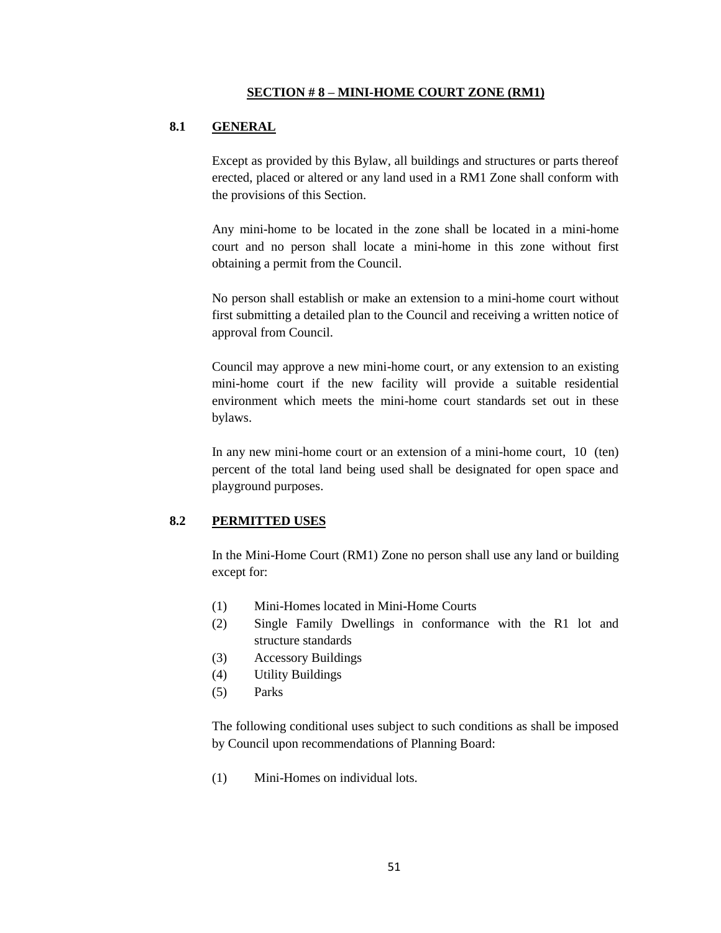# **8.1 GENERAL**

Except as provided by this Bylaw, all buildings and structures or parts thereof erected, placed or altered or any land used in a RM1 Zone shall conform with the provisions of this Section.

Any mini-home to be located in the zone shall be located in a mini-home court and no person shall locate a mini-home in this zone without first obtaining a permit from the Council.

No person shall establish or make an extension to a mini-home court without first submitting a detailed plan to the Council and receiving a written notice of approval from Council.

Council may approve a new mini-home court, or any extension to an existing mini-home court if the new facility will provide a suitable residential environment which meets the mini-home court standards set out in these bylaws.

In any new mini-home court or an extension of a mini-home court, 10 (ten) percent of the total land being used shall be designated for open space and playground purposes.

## **8.2 PERMITTED USES**

In the Mini-Home Court (RM1) Zone no person shall use any land or building except for:

- (1) Mini-Homes located in Mini-Home Courts
- (2) Single Family Dwellings in conformance with the R1 lot and structure standards
- (3) Accessory Buildings
- (4) Utility Buildings
- (5) Parks

The following conditional uses subject to such conditions as shall be imposed by Council upon recommendations of Planning Board:

(1) Mini-Homes on individual lots.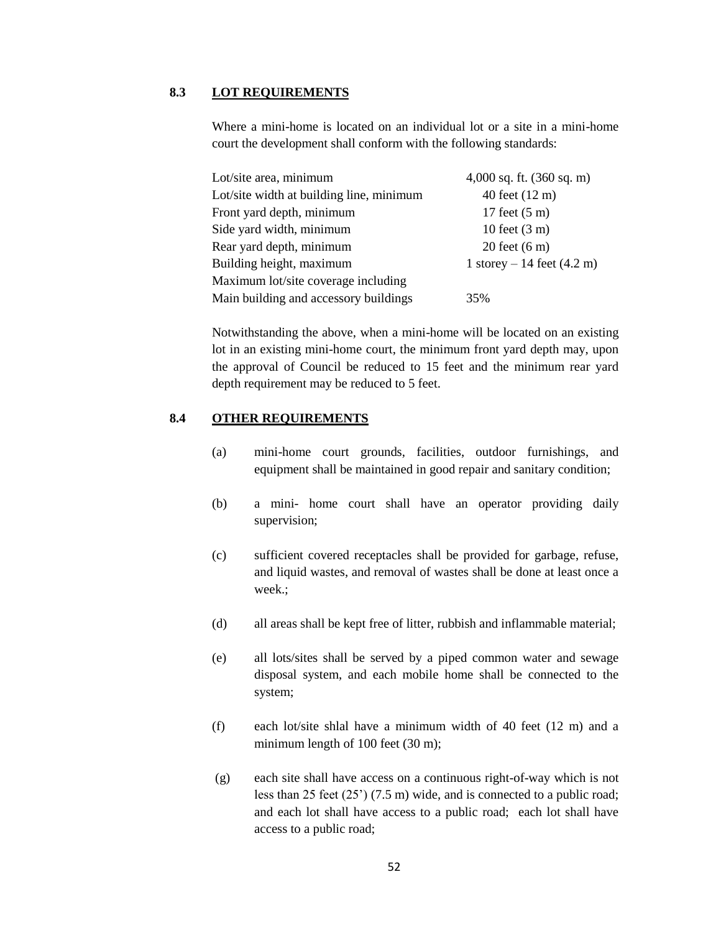## **8.3 LOT REQUIREMENTS**

Where a mini-home is located on an individual lot or a site in a mini-home court the development shall conform with the following standards:

| Lot/site area, minimum                   | $4,000$ sq. ft. $(360$ sq. m)         |
|------------------------------------------|---------------------------------------|
| Lot/site width at building line, minimum | 40 feet (12 m)                        |
| Front yard depth, minimum                | 17 feet $(5 \text{ m})$               |
| Side yard width, minimum                 | 10 feet $(3 \text{ m})$               |
| Rear yard depth, minimum                 | $20$ feet $(6 \text{ m})$             |
| Building height, maximum                 | 1 storey $-14$ feet $(4.2 \text{ m})$ |
| Maximum lot/site coverage including      |                                       |
| Main building and accessory buildings    | 35%                                   |

Notwithstanding the above, when a mini-home will be located on an existing lot in an existing mini-home court, the minimum front yard depth may, upon the approval of Council be reduced to 15 feet and the minimum rear yard depth requirement may be reduced to 5 feet.

# **8.4 OTHER REQUIREMENTS**

- (a) mini-home court grounds, facilities, outdoor furnishings, and equipment shall be maintained in good repair and sanitary condition;
- (b) a mini- home court shall have an operator providing daily supervision;
- (c) sufficient covered receptacles shall be provided for garbage, refuse, and liquid wastes, and removal of wastes shall be done at least once a week.;
- (d) all areas shall be kept free of litter, rubbish and inflammable material;
- (e) all lots/sites shall be served by a piped common water and sewage disposal system, and each mobile home shall be connected to the system;
- (f) each lot/site shlal have a minimum width of 40 feet (12 m) and a minimum length of 100 feet (30 m);
- (g) each site shall have access on a continuous right-of-way which is not less than 25 feet (25") (7.5 m) wide, and is connected to a public road; and each lot shall have access to a public road; each lot shall have access to a public road;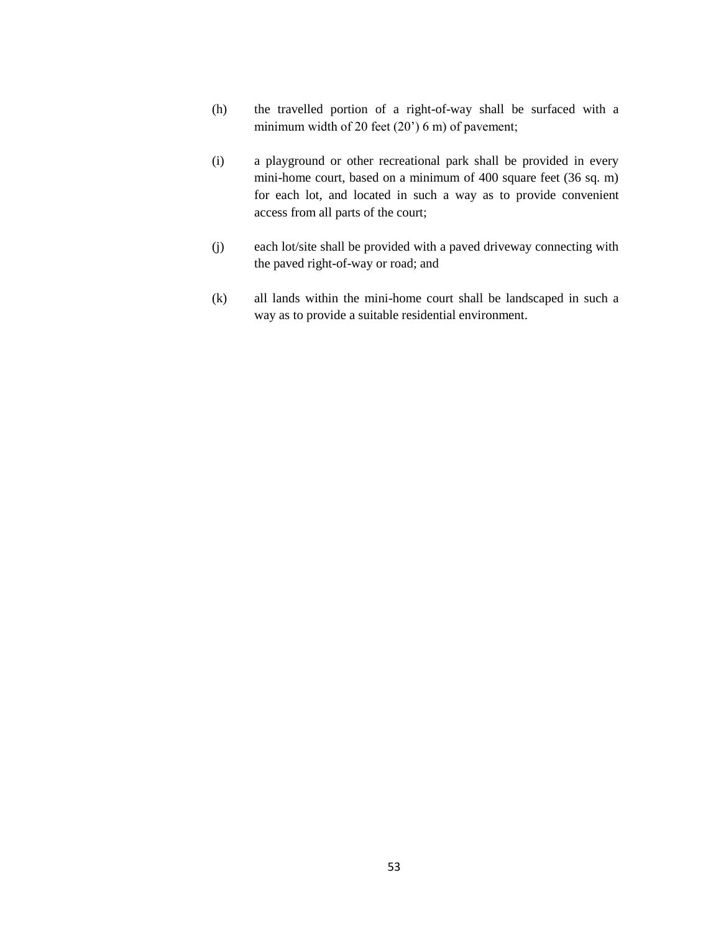- (h) the travelled portion of a right-of-way shall be surfaced with a minimum width of 20 feet (20') 6 m) of pavement;
- (i) a playground or other recreational park shall be provided in every mini-home court, based on a minimum of 400 square feet (36 sq. m) for each lot, and located in such a way as to provide convenient access from all parts of the court;
- (j) each lot/site shall be provided with a paved driveway connecting with the paved right-of-way or road; and
- (k) all lands within the mini-home court shall be landscaped in such a way as to provide a suitable residential environment.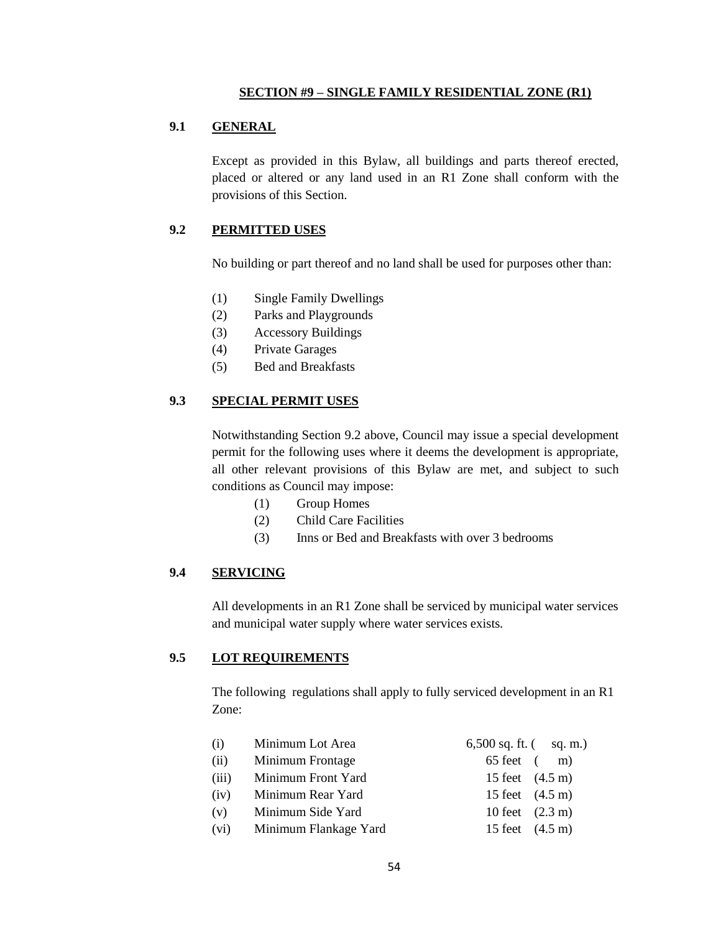#### **SECTION #9 – SINGLE FAMILY RESIDENTIAL ZONE (R1)**

# **9.1 GENERAL**

Except as provided in this Bylaw, all buildings and parts thereof erected, placed or altered or any land used in an R1 Zone shall conform with the provisions of this Section.

# **9.2 PERMITTED USES**

No building or part thereof and no land shall be used for purposes other than:

- (1) Single Family Dwellings
- (2) Parks and Playgrounds
- (3) Accessory Buildings
- (4) Private Garages
- (5) Bed and Breakfasts

#### **9.3 SPECIAL PERMIT USES**

Notwithstanding Section 9.2 above, Council may issue a special development permit for the following uses where it deems the development is appropriate, all other relevant provisions of this Bylaw are met, and subject to such conditions as Council may impose:

- (1) Group Homes
- (2) Child Care Facilities
- (3) Inns or Bed and Breakfasts with over 3 bedrooms

# **9.4 SERVICING**

All developments in an R1 Zone shall be serviced by municipal water services and municipal water supply where water services exists.

#### **9.5 LOT REQUIREMENTS**

The following regulations shall apply to fully serviced development in an R1 Zone:

| (i)   | Minimum Lot Area      | 6,500 sq. ft. $\frac{1}{2}$ sq. m.) |  |
|-------|-----------------------|-------------------------------------|--|
| (ii)  | Minimum Frontage      | $65 \text{ feet} \quad (\text{m})$  |  |
| (iii) | Minimum Front Yard    | 15 feet $(4.5 \text{ m})$           |  |
| (iv)  | Minimum Rear Yard     | 15 feet $(4.5 \text{ m})$           |  |
| (v)   | Minimum Side Yard     | 10 feet $(2.3 \text{ m})$           |  |
| (vi)  | Minimum Flankage Yard | 15 feet $(4.5 \text{ m})$           |  |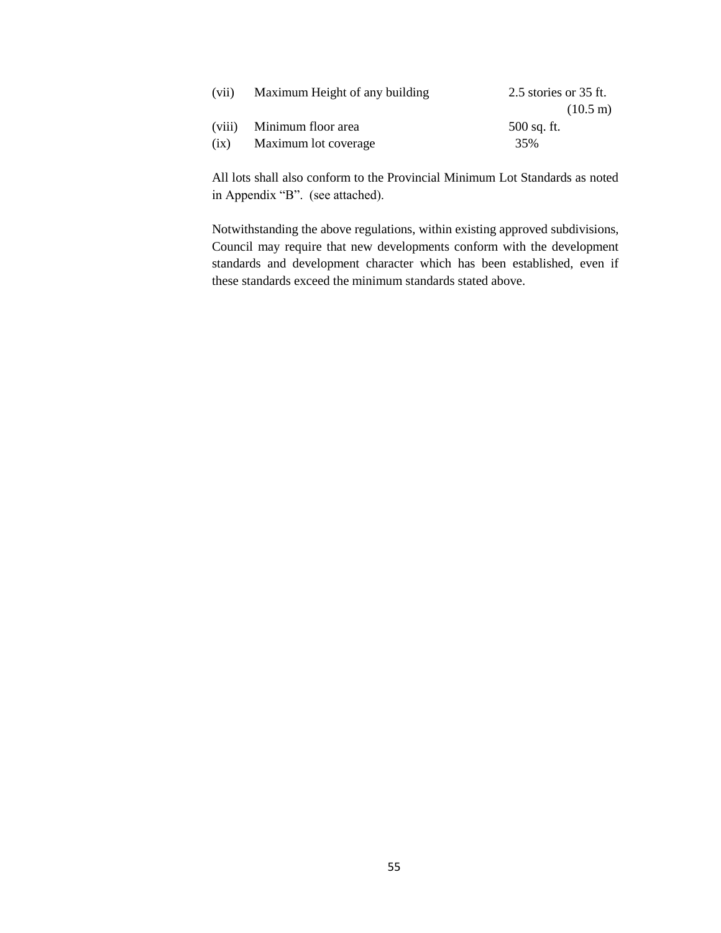| (vii) | Maximum Height of any building | 2.5 stories or 35 ft. |
|-------|--------------------------------|-----------------------|
|       |                                | $(10.5 \text{ m})$    |
|       | (viii) Minimum floor area      | 500 sq. ft.           |
| (ix)  | Maximum lot coverage           | 35%                   |

All lots shall also conform to the Provincial Minimum Lot Standards as noted in Appendix "B". (see attached).

Notwithstanding the above regulations, within existing approved subdivisions, Council may require that new developments conform with the development standards and development character which has been established, even if these standards exceed the minimum standards stated above.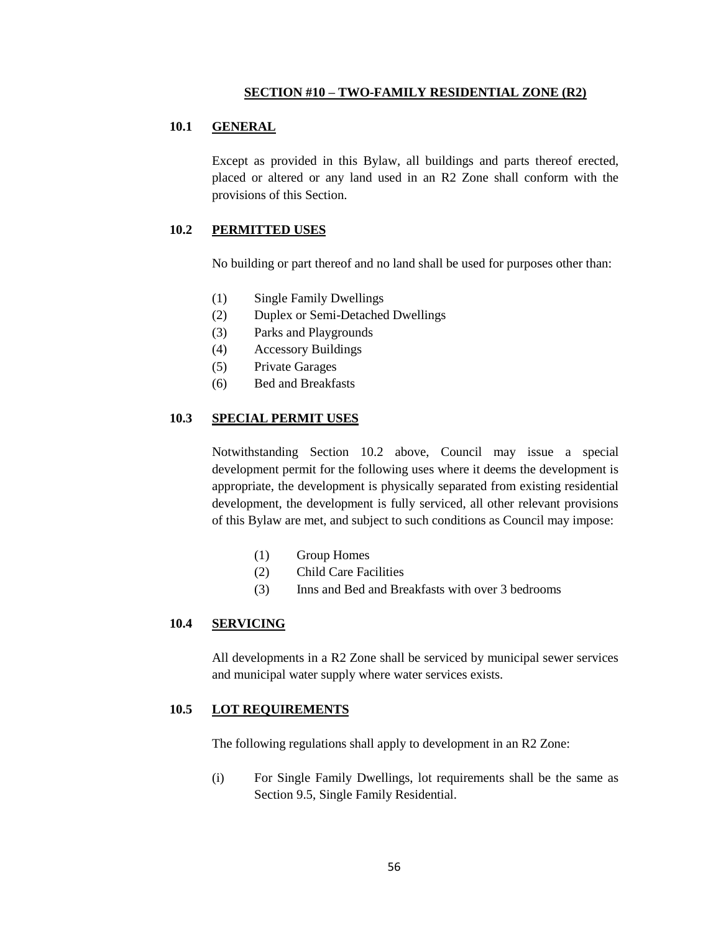#### **SECTION #10 – TWO-FAMILY RESIDENTIAL ZONE (R2)**

#### **10.1 GENERAL**

Except as provided in this Bylaw, all buildings and parts thereof erected, placed or altered or any land used in an R2 Zone shall conform with the provisions of this Section.

### **10.2 PERMITTED USES**

No building or part thereof and no land shall be used for purposes other than:

- (1) Single Family Dwellings
- (2) Duplex or Semi-Detached Dwellings
- (3) Parks and Playgrounds
- (4) Accessory Buildings
- (5) Private Garages
- (6) Bed and Breakfasts

## **10.3 SPECIAL PERMIT USES**

Notwithstanding Section 10.2 above, Council may issue a special development permit for the following uses where it deems the development is appropriate, the development is physically separated from existing residential development, the development is fully serviced, all other relevant provisions of this Bylaw are met, and subject to such conditions as Council may impose:

- (1) Group Homes
- (2) Child Care Facilities
- (3) Inns and Bed and Breakfasts with over 3 bedrooms

### **10.4 SERVICING**

All developments in a R2 Zone shall be serviced by municipal sewer services and municipal water supply where water services exists.

#### **10.5 LOT REQUIREMENTS**

The following regulations shall apply to development in an R2 Zone:

(i) For Single Family Dwellings, lot requirements shall be the same as Section 9.5, Single Family Residential.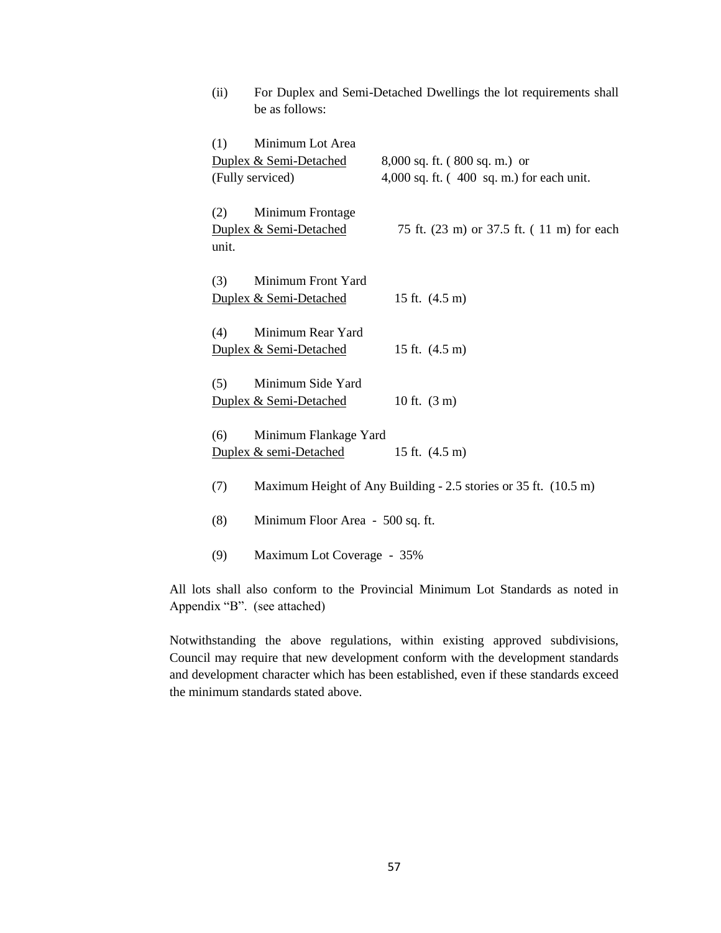| (ii)         | be as follows:                                                 | For Duplex and Semi-Detached Dwellings the lot requirements shall                        |
|--------------|----------------------------------------------------------------|------------------------------------------------------------------------------------------|
| (1)          | Minimum Lot Area<br>Duplex & Semi-Detached<br>(Fully serviced) | $8,000$ sq. ft. $(800$ sq. m.) or<br>4,000 sq. ft. $(400 \text{ sq. m.})$ for each unit. |
| (2)<br>unit. | Minimum Frontage<br>Duplex & Semi-Detached                     | 75 ft. (23 m) or 37.5 ft. (11 m) for each                                                |
| (3)          | Minimum Front Yard<br>Duplex & Semi-Detached                   | 15 ft. $(4.5 \text{ m})$                                                                 |
| (4)          | Minimum Rear Yard<br>Duplex & Semi-Detached                    | 15 ft. (4.5 m)                                                                           |
| (5)          | Minimum Side Yard<br>Duplex & Semi-Detached                    | 10 ft. $(3 m)$                                                                           |
| (6)          | Minimum Flankage Yard<br>Duplex & semi-Detached                | 15 ft. $(4.5 \text{ m})$                                                                 |
| (7)          |                                                                | Maximum Height of Any Building - 2.5 stories or 35 ft. (10.5 m)                          |
| (8)          | Minimum Floor Area - 500 sq. ft.                               |                                                                                          |
| (9)          | Maximum Lot Coverage - 35%                                     |                                                                                          |

All lots shall also conform to the Provincial Minimum Lot Standards as noted in Appendix "B". (see attached)

Notwithstanding the above regulations, within existing approved subdivisions, Council may require that new development conform with the development standards and development character which has been established, even if these standards exceed the minimum standards stated above.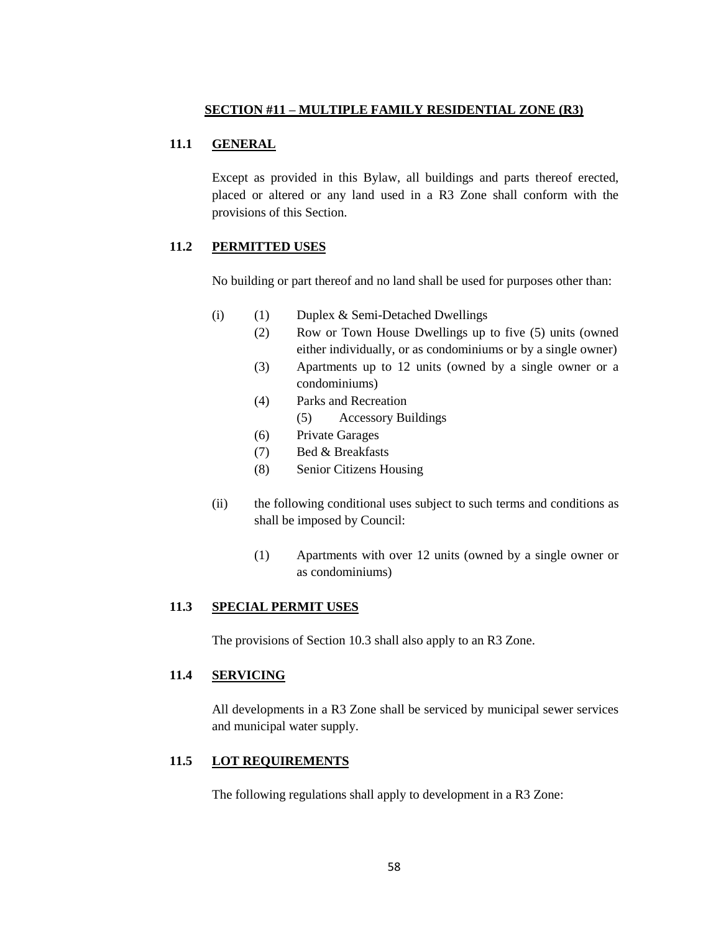# **11.1 GENERAL**

Except as provided in this Bylaw, all buildings and parts thereof erected, placed or altered or any land used in a R3 Zone shall conform with the provisions of this Section.

# **11.2 PERMITTED USES**

No building or part thereof and no land shall be used for purposes other than:

- (i) (1) Duplex & Semi-Detached Dwellings
	- (2) Row or Town House Dwellings up to five (5) units (owned either individually, or as condominiums or by a single owner)
	- (3) Apartments up to 12 units (owned by a single owner or a condominiums)
	- (4) Parks and Recreation
		- (5) Accessory Buildings
	- (6) Private Garages
	- (7) Bed & Breakfasts
	- (8) Senior Citizens Housing
- (ii) the following conditional uses subject to such terms and conditions as shall be imposed by Council:
	- (1) Apartments with over 12 units (owned by a single owner or as condominiums)

## **11.3 SPECIAL PERMIT USES**

The provisions of Section 10.3 shall also apply to an R3 Zone.

## **11.4 SERVICING**

All developments in a R3 Zone shall be serviced by municipal sewer services and municipal water supply.

# **11.5 LOT REQUIREMENTS**

The following regulations shall apply to development in a R3 Zone: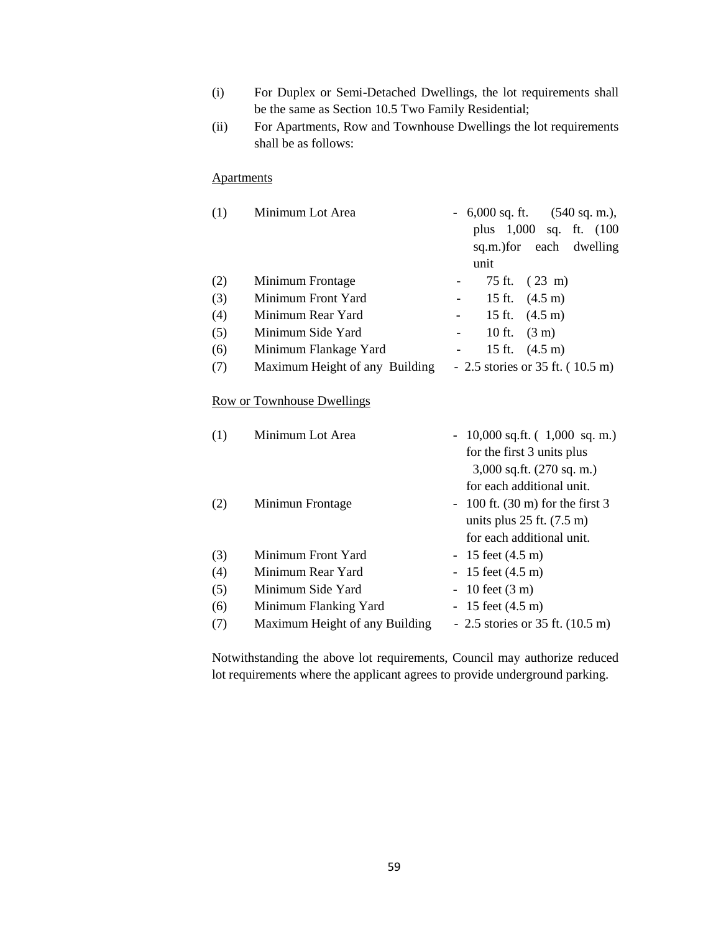- (i) For Duplex or Semi-Detached Dwellings, the lot requirements shall be the same as Section 10.5 Two Family Residential;
- (ii) For Apartments, Row and Townhouse Dwellings the lot requirements shall be as follows:

## **Apartments**

| (1) | Minimum Lot Area               | $-6,000$ sq. ft. $(540$ sq. m.),  |
|-----|--------------------------------|-----------------------------------|
|     |                                | plus 1,000 sq. ft. (100           |
|     |                                | sq.m.) for each dwelling          |
|     |                                | unit                              |
| (2) | Minimum Frontage               | 75 ft. (23 m)                     |
| (3) | Minimum Front Yard             | 15 ft. $(4.5 \text{ m})$          |
| (4) | Minimum Rear Yard              | 15 ft. $(4.5 \text{ m})$          |
| (5) | Minimum Side Yard              | 10 ft. $(3 m)$                    |
| (6) | Minimum Flankage Yard          | 15 ft. $(4.5 \text{ m})$          |
| (7) | Maximum Height of any Building | $-2.5$ stories or 35 ft. (10.5 m) |
|     |                                |                                   |
|     | Row or Townhouse Dwellings     |                                   |
| (1) | Minimum Lot Area               | $-10,000$ sq.ft. $(1,000$ sq.m.)  |
|     |                                | for the first 3 units plus        |
|     |                                | $3,000$ sq.ft. $(270$ sq. m.)     |
|     |                                | for each additional unit.         |

| (2) | Minimun Frontage               | $-100$ ft. (30 m) for the first 3          |
|-----|--------------------------------|--------------------------------------------|
|     |                                | units plus $25$ ft. $(7.5 \text{ m})$      |
|     |                                | for each additional unit.                  |
| (3) | Minimum Front Yard             | $-15$ feet $(4.5 \text{ m})$               |
| (4) | Minimum Rear Yard              | $-15$ feet $(4.5 \text{ m})$               |
| (5) | Minimum Side Yard              | $-10$ feet $(3 \text{ m})$                 |
| (6) | Minimum Flanking Yard          | $-15$ feet $(4.5 \text{ m})$               |
| (7) | Maximum Height of any Building | - 2.5 stories or 35 ft. $(10.5 \text{ m})$ |

Notwithstanding the above lot requirements, Council may authorize reduced lot requirements where the applicant agrees to provide underground parking.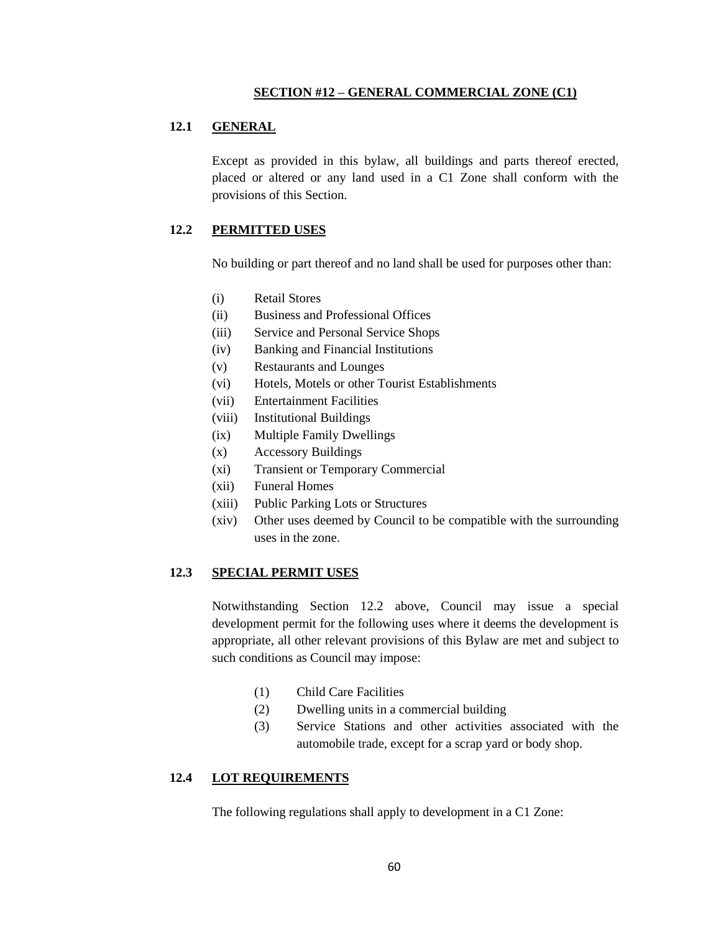#### **SECTION #12 – GENERAL COMMERCIAL ZONE (C1)**

### **12.1 GENERAL**

Except as provided in this bylaw, all buildings and parts thereof erected, placed or altered or any land used in a C1 Zone shall conform with the provisions of this Section.

### **12.2 PERMITTED USES**

No building or part thereof and no land shall be used for purposes other than:

- (i) Retail Stores
- (ii) Business and Professional Offices
- (iii) Service and Personal Service Shops
- (iv) Banking and Financial Institutions
- (v) Restaurants and Lounges
- (vi) Hotels, Motels or other Tourist Establishments
- (vii) Entertainment Facilities
- (viii) Institutional Buildings
- (ix) Multiple Family Dwellings
- (x) Accessory Buildings
- (xi) Transient or Temporary Commercial
- (xii) Funeral Homes
- (xiii) Public Parking Lots or Structures
- (xiv) Other uses deemed by Council to be compatible with the surrounding uses in the zone.

#### **12.3 SPECIAL PERMIT USES**

Notwithstanding Section 12.2 above, Council may issue a special development permit for the following uses where it deems the development is appropriate, all other relevant provisions of this Bylaw are met and subject to such conditions as Council may impose:

- (1) Child Care Facilities
- (2) Dwelling units in a commercial building
- (3) Service Stations and other activities associated with the automobile trade, except for a scrap yard or body shop.

## **12.4 LOT REQUIREMENTS**

The following regulations shall apply to development in a C1 Zone: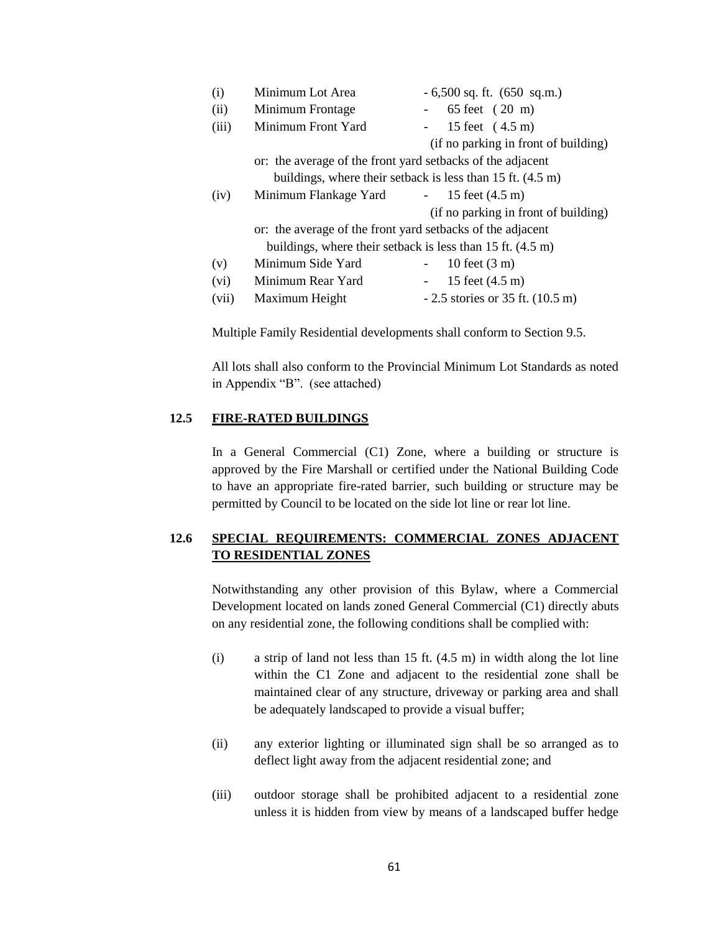| (i)   | Minimum Lot Area                                                       | $-6,500$ sq. ft. $(650 \text{ sq.m.})$                                 |
|-------|------------------------------------------------------------------------|------------------------------------------------------------------------|
| (ii)  | Minimum Frontage                                                       | 65 feet (20 m)                                                         |
| (iii) | Minimum Front Yard                                                     | 15 feet (4.5 m)                                                        |
|       |                                                                        | (if no parking in front of building)                                   |
|       | or: the average of the front yard setbacks of the adjacent             |                                                                        |
|       |                                                                        | buildings, where their setback is less than $15$ ft. $(4.5 \text{ m})$ |
| (iv)  | Minimum Flankage Yard                                                  | $-15$ feet $(4.5 \text{ m})$                                           |
|       |                                                                        | (if no parking in front of building)                                   |
|       | or: the average of the front yard setbacks of the adjacent             |                                                                        |
|       | buildings, where their setback is less than $15$ ft. $(4.5 \text{ m})$ |                                                                        |
| (v)   | Minimum Side Yard                                                      | 10 feet $(3 \text{ m})$                                                |
| (vi)  | Minimum Rear Yard                                                      | 15 feet (4.5 m)                                                        |
| (vii) | Maximum Height                                                         | $-2.5$ stories or 35 ft. $(10.5 \text{ m})$                            |
|       |                                                                        |                                                                        |

Multiple Family Residential developments shall conform to Section 9.5.

All lots shall also conform to the Provincial Minimum Lot Standards as noted in Appendix "B". (see attached)

# **12.5 FIRE-RATED BUILDINGS**

In a General Commercial (C1) Zone, where a building or structure is approved by the Fire Marshall or certified under the National Building Code to have an appropriate fire-rated barrier, such building or structure may be permitted by Council to be located on the side lot line or rear lot line.

# **12.6 SPECIAL REQUIREMENTS: COMMERCIAL ZONES ADJACENT TO RESIDENTIAL ZONES**

Notwithstanding any other provision of this Bylaw, where a Commercial Development located on lands zoned General Commercial (C1) directly abuts on any residential zone, the following conditions shall be complied with:

- (i) a strip of land not less than 15 ft. (4.5 m) in width along the lot line within the C1 Zone and adjacent to the residential zone shall be maintained clear of any structure, driveway or parking area and shall be adequately landscaped to provide a visual buffer;
- (ii) any exterior lighting or illuminated sign shall be so arranged as to deflect light away from the adjacent residential zone; and
- (iii) outdoor storage shall be prohibited adjacent to a residential zone unless it is hidden from view by means of a landscaped buffer hedge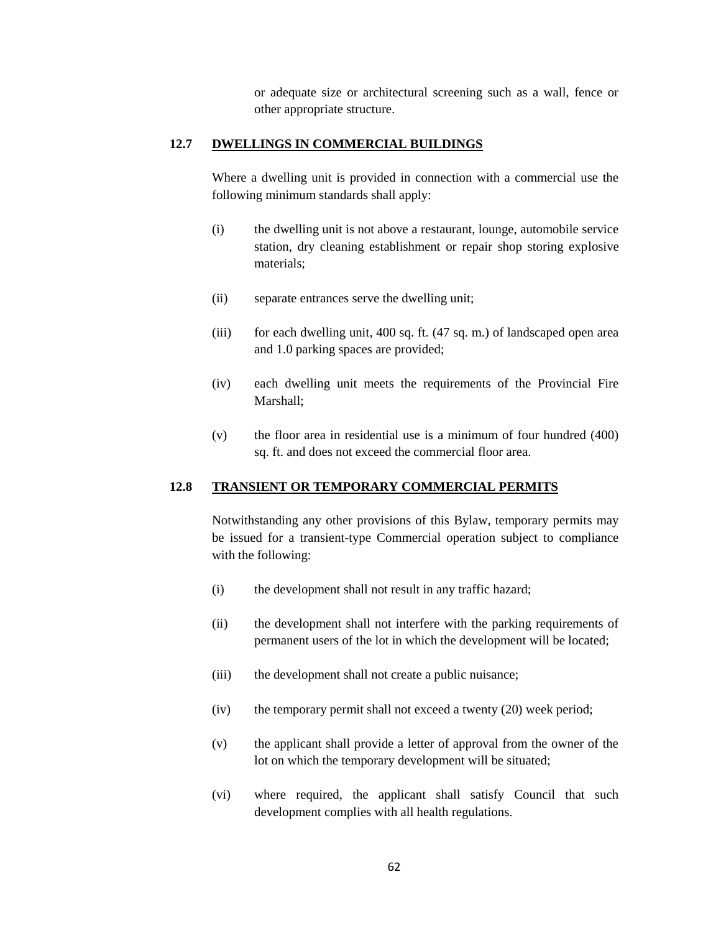or adequate size or architectural screening such as a wall, fence or other appropriate structure.

### **12.7 DWELLINGS IN COMMERCIAL BUILDINGS**

Where a dwelling unit is provided in connection with a commercial use the following minimum standards shall apply:

- (i) the dwelling unit is not above a restaurant, lounge, automobile service station, dry cleaning establishment or repair shop storing explosive materials;
- (ii) separate entrances serve the dwelling unit;
- (iii) for each dwelling unit, 400 sq. ft. (47 sq. m.) of landscaped open area and 1.0 parking spaces are provided;
- (iv) each dwelling unit meets the requirements of the Provincial Fire Marshall;
- (v) the floor area in residential use is a minimum of four hundred (400) sq. ft. and does not exceed the commercial floor area.

#### **12.8 TRANSIENT OR TEMPORARY COMMERCIAL PERMITS**

Notwithstanding any other provisions of this Bylaw, temporary permits may be issued for a transient-type Commercial operation subject to compliance with the following:

- (i) the development shall not result in any traffic hazard;
- (ii) the development shall not interfere with the parking requirements of permanent users of the lot in which the development will be located;
- (iii) the development shall not create a public nuisance;
- (iv) the temporary permit shall not exceed a twenty (20) week period;
- (v) the applicant shall provide a letter of approval from the owner of the lot on which the temporary development will be situated;
- (vi) where required, the applicant shall satisfy Council that such development complies with all health regulations.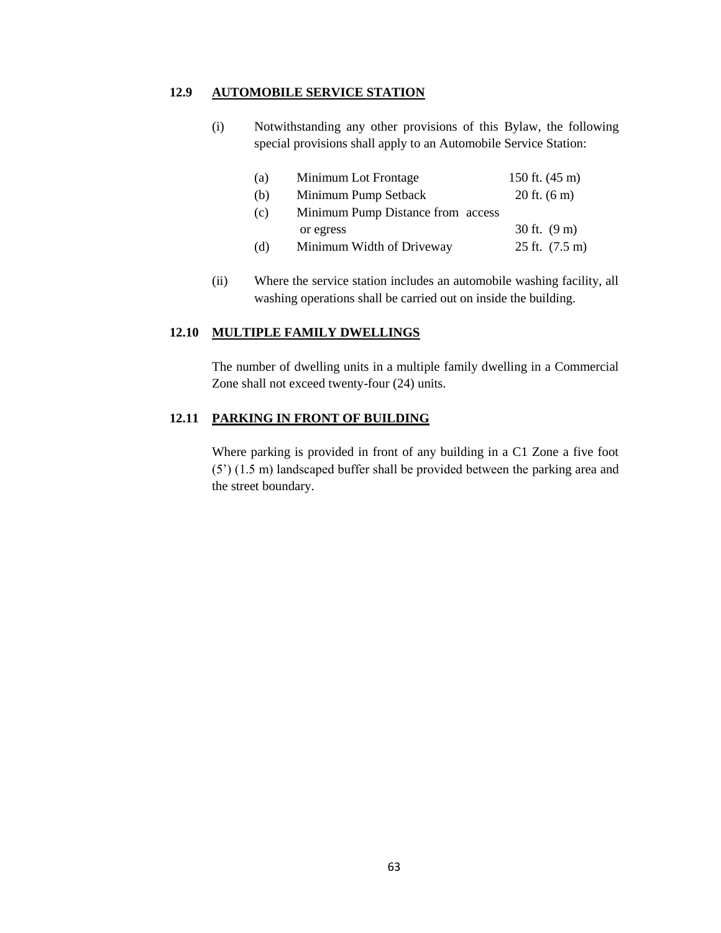# **12.9 AUTOMOBILE SERVICE STATION**

(i) Notwithstanding any other provisions of this Bylaw, the following special provisions shall apply to an Automobile Service Station:

| (a) | Minimum Lot Frontage              | 150 ft. $(45 \text{ m})$   |
|-----|-----------------------------------|----------------------------|
| (b) | Minimum Pump Setback              | $20$ ft. $(6 \text{ m})$   |
| (c) | Minimum Pump Distance from access |                            |
|     | or egress                         | 30 ft. $(9 \text{ m})$     |
| (d) | Minimum Width of Driveway         | $25$ ft. $(7.5 \text{ m})$ |

(ii) Where the service station includes an automobile washing facility, all washing operations shall be carried out on inside the building.

#### **12.10 MULTIPLE FAMILY DWELLINGS**

The number of dwelling units in a multiple family dwelling in a Commercial Zone shall not exceed twenty-four (24) units.

## **12.11 PARKING IN FRONT OF BUILDING**

Where parking is provided in front of any building in a C1 Zone a five foot (5") (1.5 m) landscaped buffer shall be provided between the parking area and the street boundary.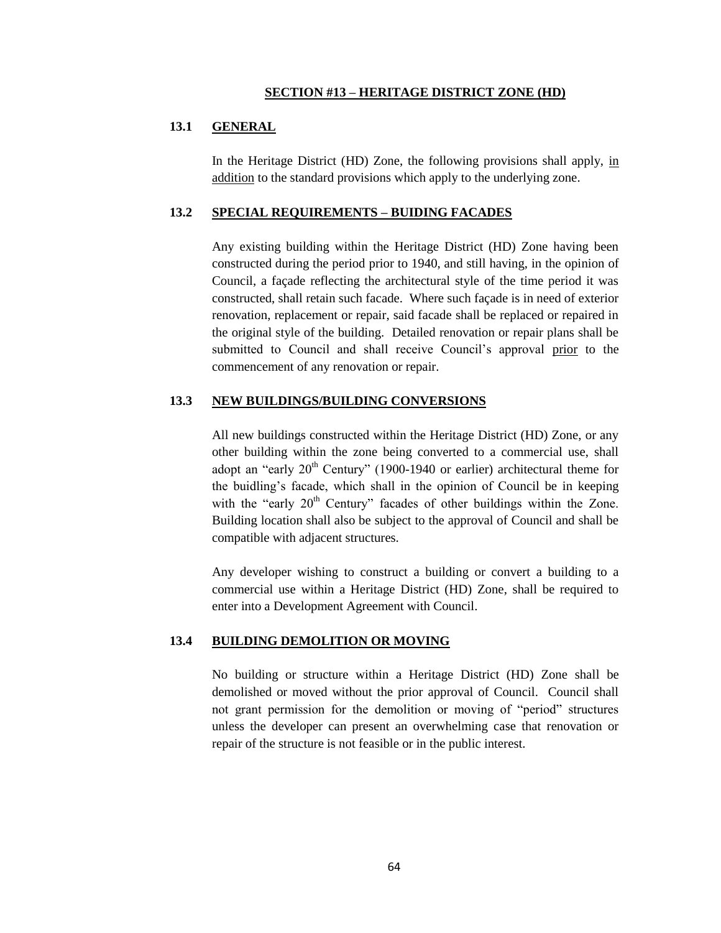#### **SECTION #13 – HERITAGE DISTRICT ZONE (HD)**

### **13.1 GENERAL**

In the Heritage District (HD) Zone, the following provisions shall apply, in addition to the standard provisions which apply to the underlying zone.

#### **13.2 SPECIAL REQUIREMENTS – BUIDING FACADES**

Any existing building within the Heritage District (HD) Zone having been constructed during the period prior to 1940, and still having, in the opinion of Council, a façade reflecting the architectural style of the time period it was constructed, shall retain such facade. Where such façade is in need of exterior renovation, replacement or repair, said facade shall be replaced or repaired in the original style of the building. Detailed renovation or repair plans shall be submitted to Council and shall receive Council's approval prior to the commencement of any renovation or repair.

#### **13.3 NEW BUILDINGS/BUILDING CONVERSIONS**

All new buildings constructed within the Heritage District (HD) Zone, or any other building within the zone being converted to a commercial use, shall adopt an "early  $20<sup>th</sup>$  Century" (1900-1940 or earlier) architectural theme for the buidling"s facade, which shall in the opinion of Council be in keeping with the "early  $20<sup>th</sup>$  Century" facades of other buildings within the Zone. Building location shall also be subject to the approval of Council and shall be compatible with adjacent structures.

Any developer wishing to construct a building or convert a building to a commercial use within a Heritage District (HD) Zone, shall be required to enter into a Development Agreement with Council.

### **13.4 BUILDING DEMOLITION OR MOVING**

No building or structure within a Heritage District (HD) Zone shall be demolished or moved without the prior approval of Council. Council shall not grant permission for the demolition or moving of "period" structures unless the developer can present an overwhelming case that renovation or repair of the structure is not feasible or in the public interest.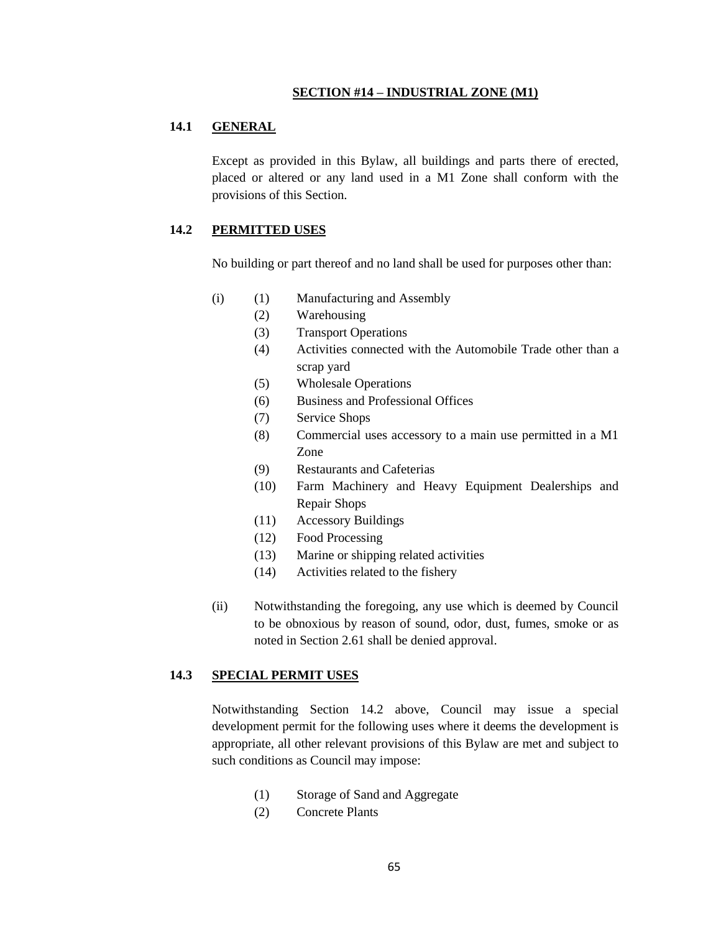#### **SECTION #14 – INDUSTRIAL ZONE (M1)**

### **14.1 GENERAL**

Except as provided in this Bylaw, all buildings and parts there of erected, placed or altered or any land used in a M1 Zone shall conform with the provisions of this Section.

## **14.2 PERMITTED USES**

No building or part thereof and no land shall be used for purposes other than:

- (i) (1) Manufacturing and Assembly
	- (2) Warehousing
	- (3) Transport Operations
	- (4) Activities connected with the Automobile Trade other than a scrap yard
	- (5) Wholesale Operations
	- (6) Business and Professional Offices
	- (7) Service Shops
	- (8) Commercial uses accessory to a main use permitted in a M1 Zone
	- (9) Restaurants and Cafeterias
	- (10) Farm Machinery and Heavy Equipment Dealerships and Repair Shops
	- (11) Accessory Buildings
	- (12) Food Processing
	- (13) Marine or shipping related activities
	- (14) Activities related to the fishery
- (ii) Notwithstanding the foregoing, any use which is deemed by Council to be obnoxious by reason of sound, odor, dust, fumes, smoke or as noted in Section 2.61 shall be denied approval.

#### **14.3 SPECIAL PERMIT USES**

Notwithstanding Section 14.2 above, Council may issue a special development permit for the following uses where it deems the development is appropriate, all other relevant provisions of this Bylaw are met and subject to such conditions as Council may impose:

- (1) Storage of Sand and Aggregate
- (2) Concrete Plants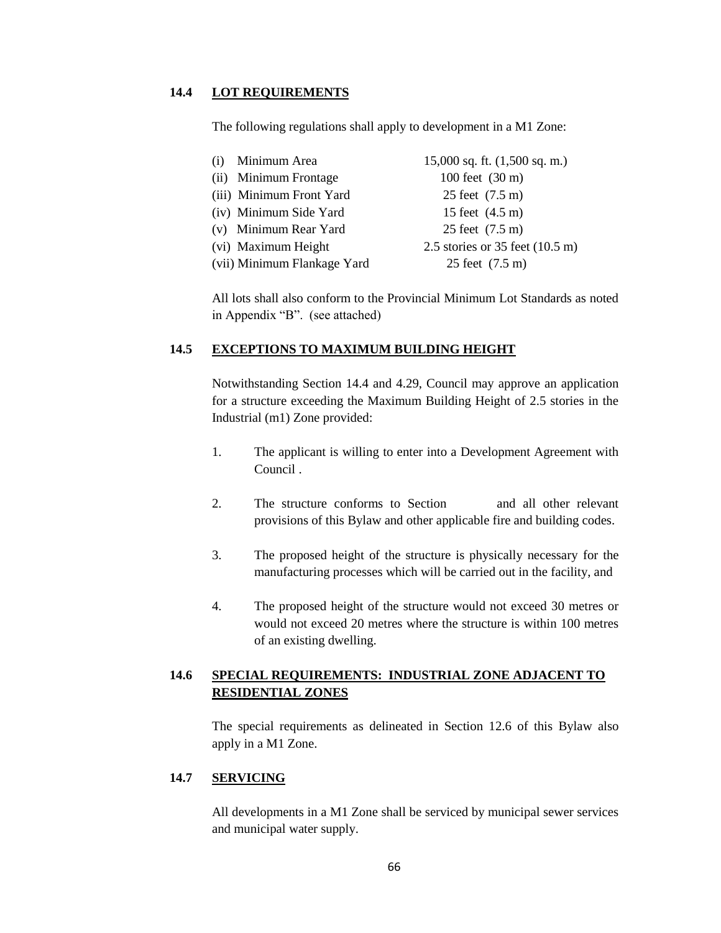### **14.4 LOT REQUIREMENTS**

The following regulations shall apply to development in a M1 Zone:

| (i) Minimum Area            | $15,000$ sq. ft. $(1,500$ sq. m.)         |
|-----------------------------|-------------------------------------------|
| (ii) Minimum Frontage       | 100 feet $(30 \text{ m})$                 |
| (iii) Minimum Front Yard    | 25 feet (7.5 m)                           |
| (iv) Minimum Side Yard      | 15 feet $(4.5 \text{ m})$                 |
| (v) Minimum Rear Yard       | 25 feet (7.5 m)                           |
| (vi) Maximum Height         | 2.5 stories or 35 feet $(10.5 \text{ m})$ |
| (vii) Minimum Flankage Yard | 25 feet (7.5 m)                           |
|                             |                                           |

All lots shall also conform to the Provincial Minimum Lot Standards as noted in Appendix "B". (see attached)

### **14.5 EXCEPTIONS TO MAXIMUM BUILDING HEIGHT**

Notwithstanding Section 14.4 and 4.29, Council may approve an application for a structure exceeding the Maximum Building Height of 2.5 stories in the Industrial (m1) Zone provided:

- 1. The applicant is willing to enter into a Development Agreement with Council .
- 2. The structure conforms to Section and all other relevant provisions of this Bylaw and other applicable fire and building codes.
- 3. The proposed height of the structure is physically necessary for the manufacturing processes which will be carried out in the facility, and
- 4. The proposed height of the structure would not exceed 30 metres or would not exceed 20 metres where the structure is within 100 metres of an existing dwelling.

# **14.6 SPECIAL REQUIREMENTS: INDUSTRIAL ZONE ADJACENT TO RESIDENTIAL ZONES**

The special requirements as delineated in Section 12.6 of this Bylaw also apply in a M1 Zone.

#### **14.7 SERVICING**

All developments in a M1 Zone shall be serviced by municipal sewer services and municipal water supply.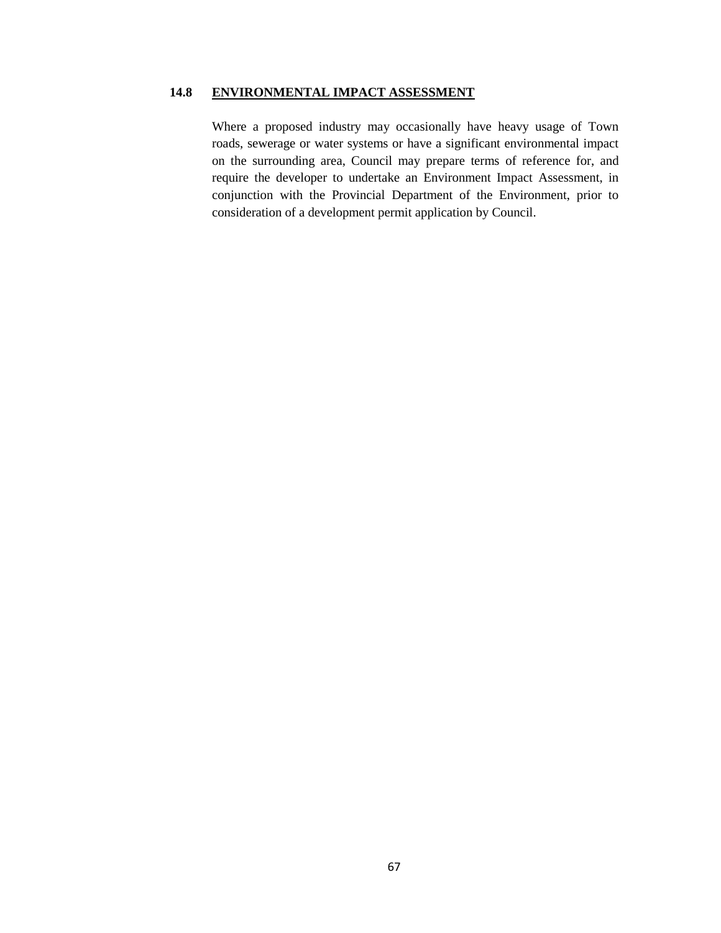# **14.8 ENVIRONMENTAL IMPACT ASSESSMENT**

Where a proposed industry may occasionally have heavy usage of Town roads, sewerage or water systems or have a significant environmental impact on the surrounding area, Council may prepare terms of reference for, and require the developer to undertake an Environment Impact Assessment, in conjunction with the Provincial Department of the Environment, prior to consideration of a development permit application by Council.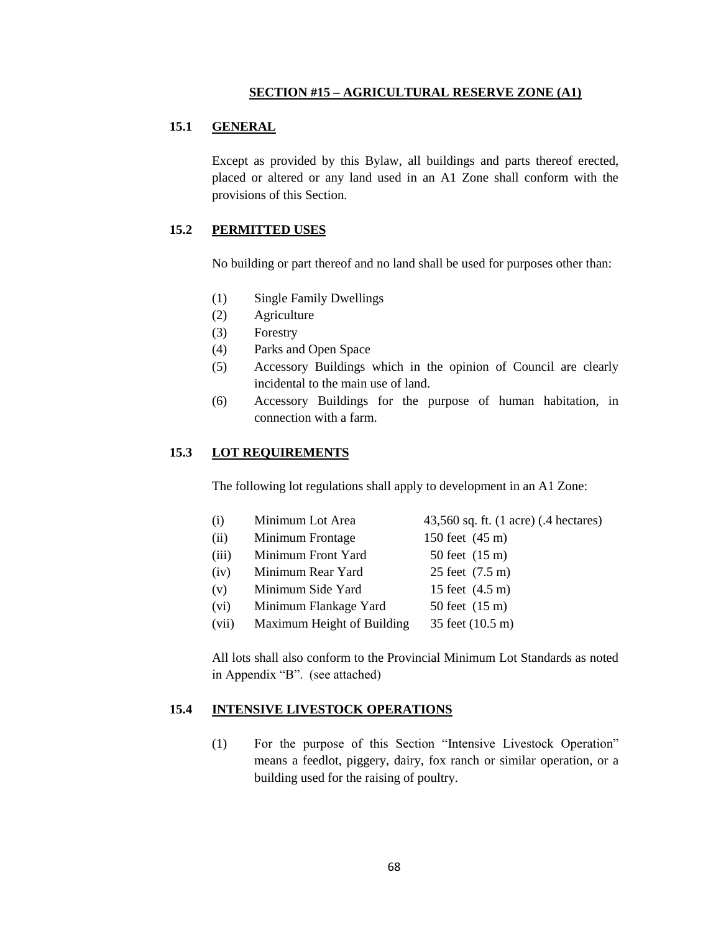#### **SECTION #15 – AGRICULTURAL RESERVE ZONE (A1)**

#### **15.1 GENERAL**

Except as provided by this Bylaw, all buildings and parts thereof erected, placed or altered or any land used in an A1 Zone shall conform with the provisions of this Section.

#### **15.2 PERMITTED USES**

No building or part thereof and no land shall be used for purposes other than:

- (1) Single Family Dwellings
- (2) Agriculture
- (3) Forestry
- (4) Parks and Open Space
- (5) Accessory Buildings which in the opinion of Council are clearly incidental to the main use of land.
- (6) Accessory Buildings for the purpose of human habitation, in connection with a farm.

#### **15.3 LOT REQUIREMENTS**

The following lot regulations shall apply to development in an A1 Zone:

- (i) Minimum Lot Area  $43,560$  sq. ft. (1 acre) (.4 hectares)
- (ii) Minimum Frontage 150 feet (45 m)
- (iii) Minimum Front Yard  $50$  feet  $(15 \text{ m})$
- (iv) Minimum Rear Yard 25 feet (7.5 m)
- (v) Minimum Side Yard 15 feet (4.5 m)
- (vi) Minimum Flankage Yard  $50$  feet  $(15 \text{ m})$
- (vii) Maximum Height of Building 35 feet (10.5 m)

All lots shall also conform to the Provincial Minimum Lot Standards as noted in Appendix "B". (see attached)

#### **15.4 INTENSIVE LIVESTOCK OPERATIONS**

(1) For the purpose of this Section "Intensive Livestock Operation" means a feedlot, piggery, dairy, fox ranch or similar operation, or a building used for the raising of poultry.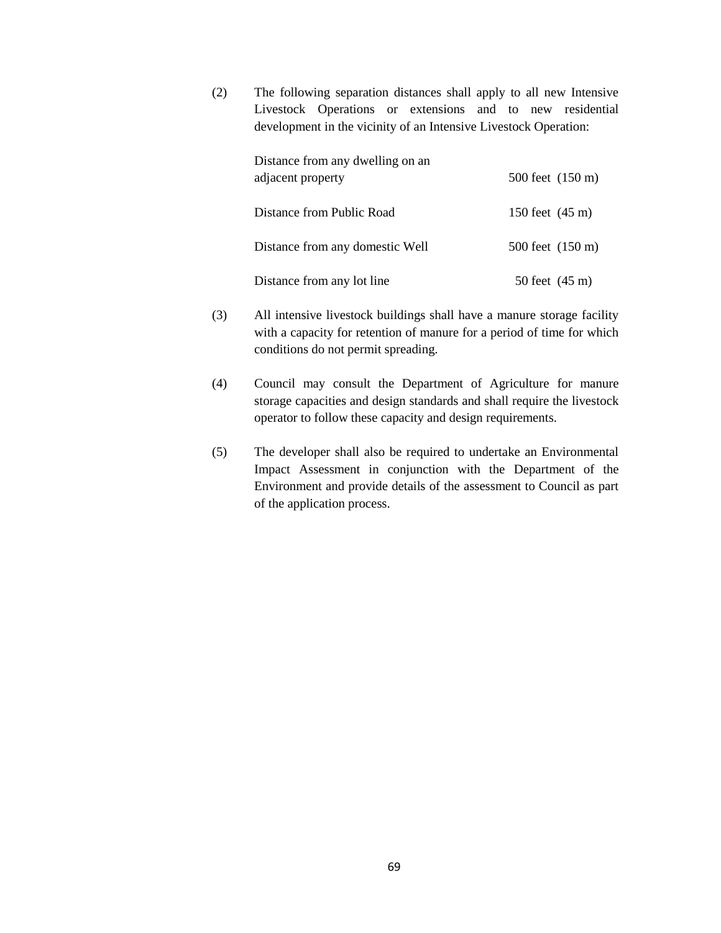(2) The following separation distances shall apply to all new Intensive Livestock Operations or extensions and to new residential development in the vicinity of an Intensive Livestock Operation:

| Distance from any dwelling on an |                            |
|----------------------------------|----------------------------|
| adjacent property                | 500 feet $(150 \text{ m})$ |
| Distance from Public Road        | 150 feet $(45 \text{ m})$  |
| Distance from any domestic Well  | 500 feet (150 m)           |
| Distance from any lot line       | 50 feet $(45 \text{ m})$   |

- (3) All intensive livestock buildings shall have a manure storage facility with a capacity for retention of manure for a period of time for which conditions do not permit spreading.
- (4) Council may consult the Department of Agriculture for manure storage capacities and design standards and shall require the livestock operator to follow these capacity and design requirements.
- (5) The developer shall also be required to undertake an Environmental Impact Assessment in conjunction with the Department of the Environment and provide details of the assessment to Council as part of the application process.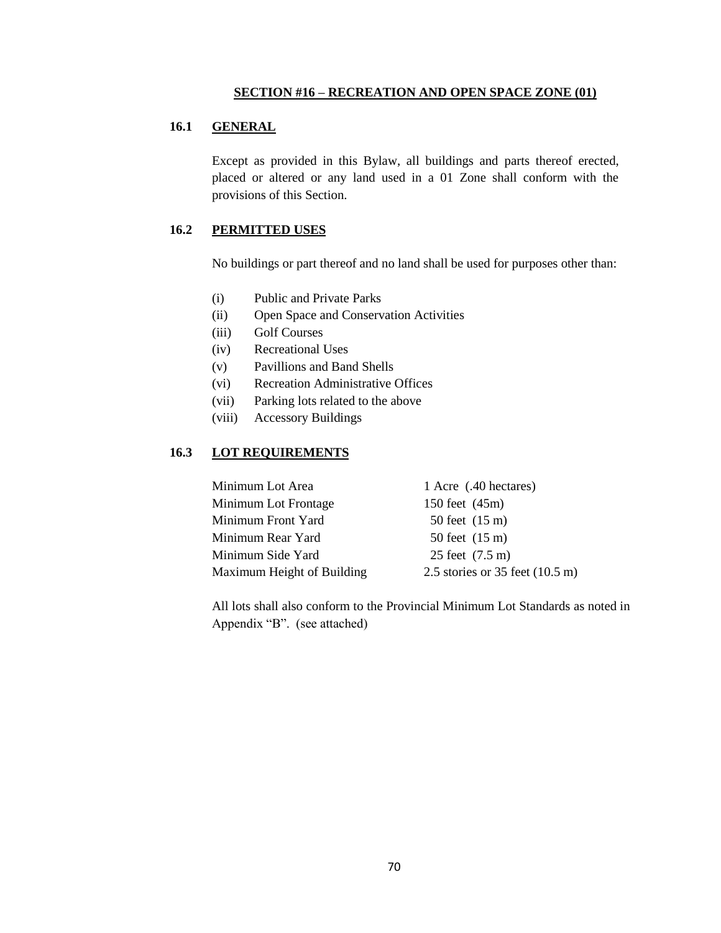#### **SECTION #16 – RECREATION AND OPEN SPACE ZONE (01)**

# **16.1 GENERAL**

Except as provided in this Bylaw, all buildings and parts thereof erected, placed or altered or any land used in a 01 Zone shall conform with the provisions of this Section.

# **16.2 PERMITTED USES**

No buildings or part thereof and no land shall be used for purposes other than:

- (i) Public and Private Parks
- (ii) Open Space and Conservation Activities
- (iii) Golf Courses
- (iv) Recreational Uses
- (v) Pavillions and Band Shells
- (vi) Recreation Administrative Offices
- (vii) Parking lots related to the above
- (viii) Accessory Buildings

#### **16.3 LOT REQUIREMENTS**

| Minimum Lot Area           | 1 Acre (.40 hectares)                     |
|----------------------------|-------------------------------------------|
| Minimum Lot Frontage       | 150 feet (45m)                            |
| Minimum Front Yard         | $50$ feet $(15 \text{ m})$                |
| Minimum Rear Yard          | $50$ feet $(15 \text{ m})$                |
| Minimum Side Yard          | 25 feet (7.5 m)                           |
| Maximum Height of Building | 2.5 stories or 35 feet $(10.5 \text{ m})$ |

All lots shall also conform to the Provincial Minimum Lot Standards as noted in Appendix "B". (see attached)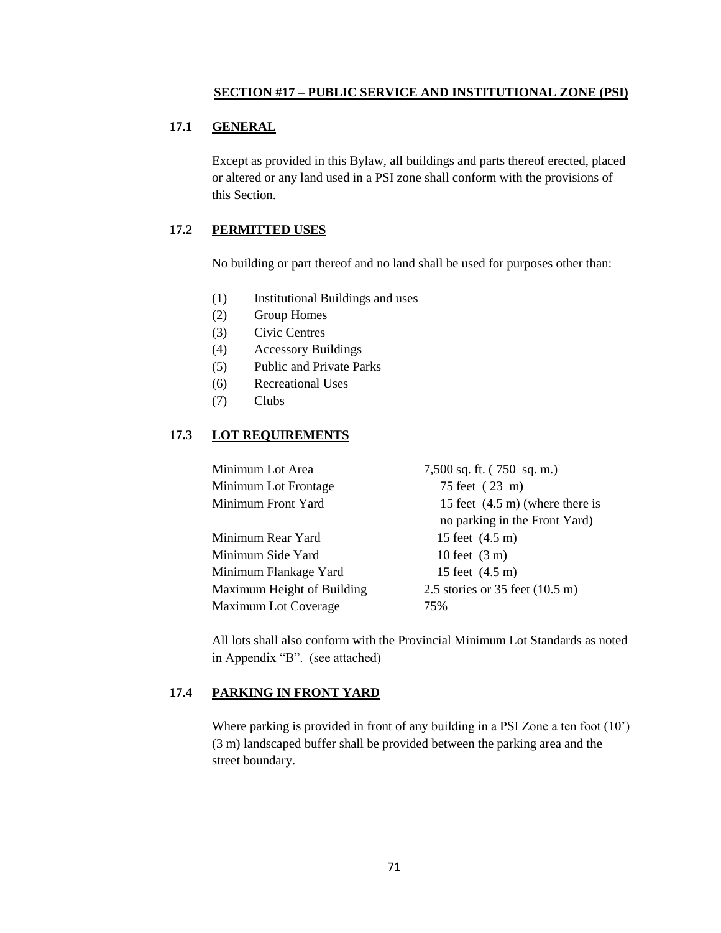#### **SECTION #17 – PUBLIC SERVICE AND INSTITUTIONAL ZONE (PSI)**

# **17.1 GENERAL**

Except as provided in this Bylaw, all buildings and parts thereof erected, placed or altered or any land used in a PSI zone shall conform with the provisions of this Section.

# **17.2 PERMITTED USES**

No building or part thereof and no land shall be used for purposes other than:

- (1) Institutional Buildings and uses
- (2) Group Homes
- (3) Civic Centres
- (4) Accessory Buildings
- (5) Public and Private Parks
- (6) Recreational Uses
- (7) Clubs

## **17.3 LOT REQUIREMENTS**

| Minimum Lot Area            | 7,500 sq. ft. (750 sq. m.)                |
|-----------------------------|-------------------------------------------|
| Minimum Lot Frontage        | 75 feet (23 m)                            |
| Minimum Front Yard          | 15 feet $(4.5 \text{ m})$ (where there is |
|                             | no parking in the Front Yard)             |
| Minimum Rear Yard           | 15 feet (4.5 m)                           |
| Minimum Side Yard           | 10 feet $(3 \text{ m})$                   |
| Minimum Flankage Yard       | 15 feet $(4.5 \text{ m})$                 |
| Maximum Height of Building  | 2.5 stories or 35 feet $(10.5 \text{ m})$ |
| <b>Maximum Lot Coverage</b> | 75%                                       |
|                             |                                           |

All lots shall also conform with the Provincial Minimum Lot Standards as noted in Appendix "B". (see attached)

# **17.4 PARKING IN FRONT YARD**

Where parking is provided in front of any building in a PSI Zone a ten foot (10<sup>o</sup>) (3 m) landscaped buffer shall be provided between the parking area and the street boundary.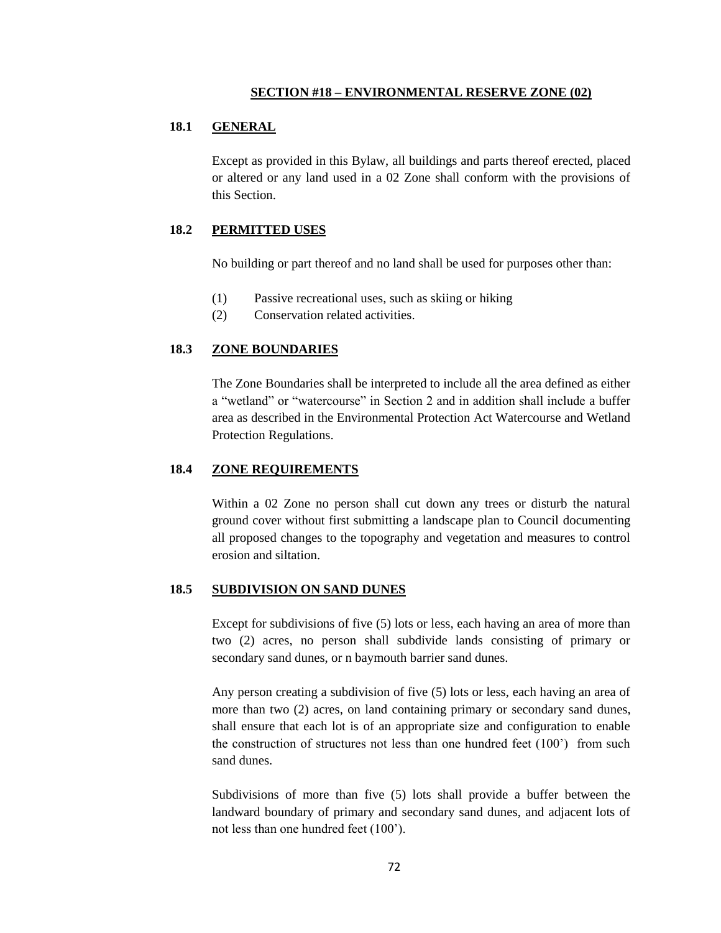#### **SECTION #18 – ENVIRONMENTAL RESERVE ZONE (02)**

### **18.1 GENERAL**

Except as provided in this Bylaw, all buildings and parts thereof erected, placed or altered or any land used in a 02 Zone shall conform with the provisions of this Section.

#### **18.2 PERMITTED USES**

No building or part thereof and no land shall be used for purposes other than:

- (1) Passive recreational uses, such as skiing or hiking
- (2) Conservation related activities.

## **18.3 ZONE BOUNDARIES**

The Zone Boundaries shall be interpreted to include all the area defined as either a "wetland" or "watercourse" in Section 2 and in addition shall include a buffer area as described in the Environmental Protection Act Watercourse and Wetland Protection Regulations.

#### **18.4 ZONE REQUIREMENTS**

Within a 02 Zone no person shall cut down any trees or disturb the natural ground cover without first submitting a landscape plan to Council documenting all proposed changes to the topography and vegetation and measures to control erosion and siltation.

## **18.5 SUBDIVISION ON SAND DUNES**

Except for subdivisions of five (5) lots or less, each having an area of more than two (2) acres, no person shall subdivide lands consisting of primary or secondary sand dunes, or n baymouth barrier sand dunes.

Any person creating a subdivision of five (5) lots or less, each having an area of more than two (2) acres, on land containing primary or secondary sand dunes, shall ensure that each lot is of an appropriate size and configuration to enable the construction of structures not less than one hundred feet (100") from such sand dunes.

Subdivisions of more than five (5) lots shall provide a buffer between the landward boundary of primary and secondary sand dunes, and adjacent lots of not less than one hundred feet (100").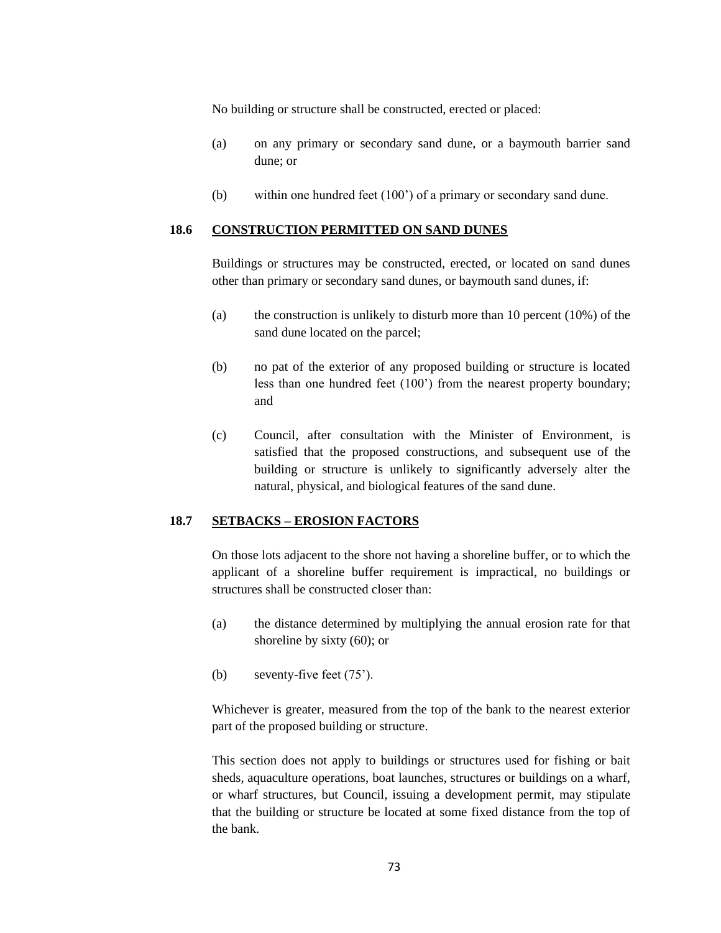No building or structure shall be constructed, erected or placed:

- (a) on any primary or secondary sand dune, or a baymouth barrier sand dune; or
- (b) within one hundred feet (100") of a primary or secondary sand dune.

#### **18.6 CONSTRUCTION PERMITTED ON SAND DUNES**

Buildings or structures may be constructed, erected, or located on sand dunes other than primary or secondary sand dunes, or baymouth sand dunes, if:

- (a) the construction is unlikely to disturb more than 10 percent (10%) of the sand dune located on the parcel;
- (b) no pat of the exterior of any proposed building or structure is located less than one hundred feet (100") from the nearest property boundary; and
- (c) Council, after consultation with the Minister of Environment, is satisfied that the proposed constructions, and subsequent use of the building or structure is unlikely to significantly adversely alter the natural, physical, and biological features of the sand dune.

#### **18.7 SETBACKS – EROSION FACTORS**

On those lots adjacent to the shore not having a shoreline buffer, or to which the applicant of a shoreline buffer requirement is impractical, no buildings or structures shall be constructed closer than:

- (a) the distance determined by multiplying the annual erosion rate for that shoreline by sixty (60); or
- (b) seventy-five feet (75").

Whichever is greater, measured from the top of the bank to the nearest exterior part of the proposed building or structure.

This section does not apply to buildings or structures used for fishing or bait sheds, aquaculture operations, boat launches, structures or buildings on a wharf, or wharf structures, but Council, issuing a development permit, may stipulate that the building or structure be located at some fixed distance from the top of the bank.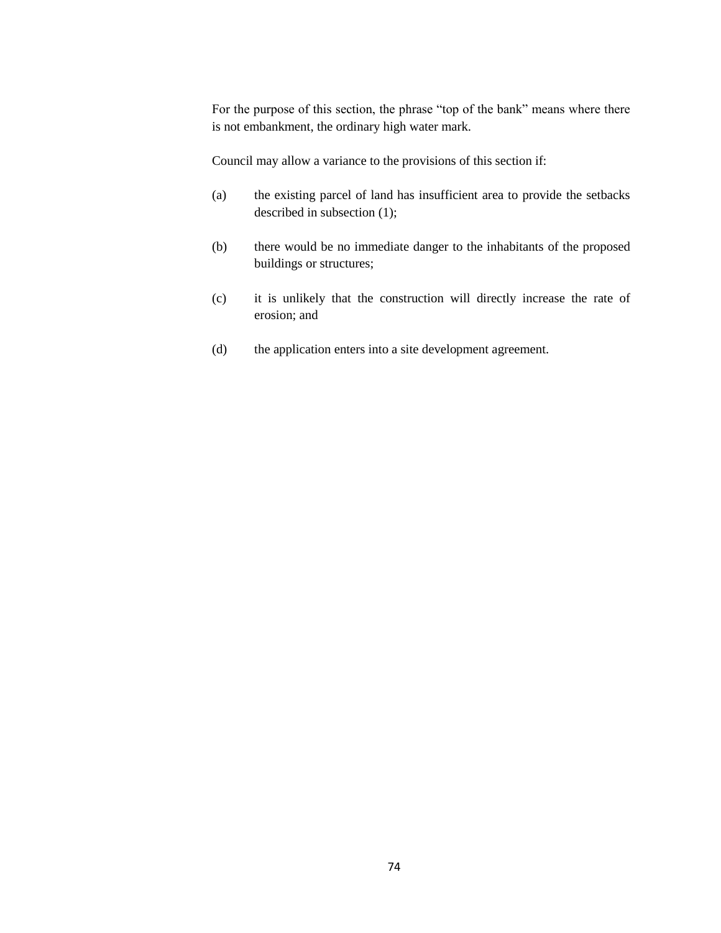For the purpose of this section, the phrase "top of the bank" means where there is not embankment, the ordinary high water mark.

Council may allow a variance to the provisions of this section if:

- (a) the existing parcel of land has insufficient area to provide the setbacks described in subsection (1);
- (b) there would be no immediate danger to the inhabitants of the proposed buildings or structures;
- (c) it is unlikely that the construction will directly increase the rate of erosion; and
- (d) the application enters into a site development agreement.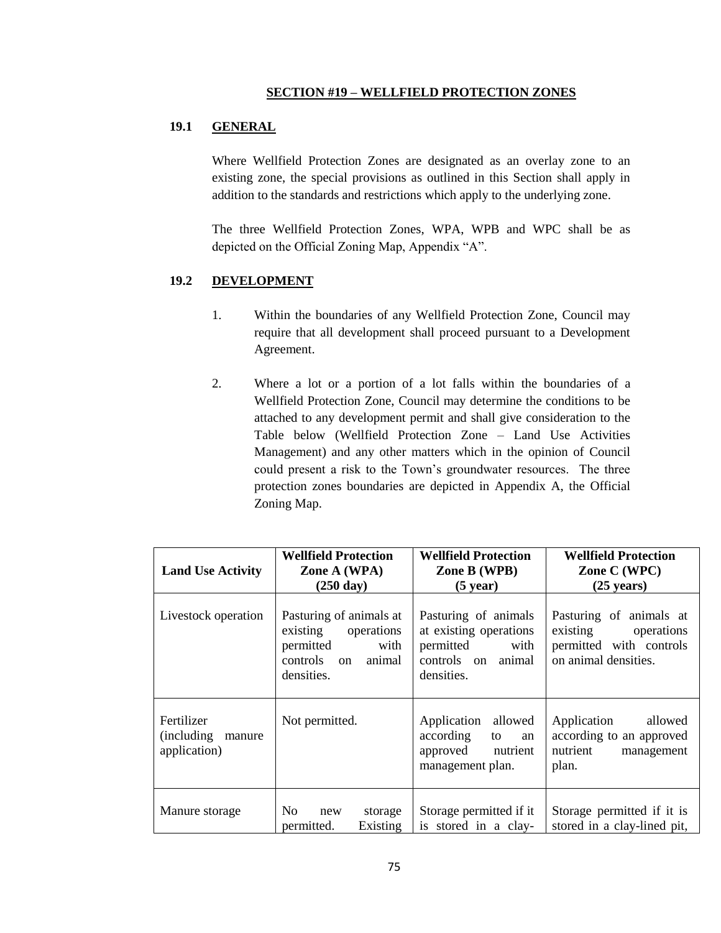#### **SECTION #19 – WELLFIELD PROTECTION ZONES**

## **19.1 GENERAL**

Where Wellfield Protection Zones are designated as an overlay zone to an existing zone, the special provisions as outlined in this Section shall apply in addition to the standards and restrictions which apply to the underlying zone.

The three Wellfield Protection Zones, WPA, WPB and WPC shall be as depicted on the Official Zoning Map, Appendix "A".

#### **19.2 DEVELOPMENT**

- 1. Within the boundaries of any Wellfield Protection Zone, Council may require that all development shall proceed pursuant to a Development Agreement.
- 2. Where a lot or a portion of a lot falls within the boundaries of a Wellfield Protection Zone, Council may determine the conditions to be attached to any development permit and shall give consideration to the Table below (Wellfield Protection Zone – Land Use Activities Management) and any other matters which in the opinion of Council could present a risk to the Town"s groundwater resources. The three protection zones boundaries are depicted in Appendix A, the Official Zoning Map.

| <b>Land Use Activity</b>                            | <b>Wellfield Protection</b><br>Zone A (WPA)                                                                      | <b>Wellfield Protection</b><br>Zone B (WPB)                                                                | <b>Wellfield Protection</b><br>Zone C (WPC)                                                       |  |
|-----------------------------------------------------|------------------------------------------------------------------------------------------------------------------|------------------------------------------------------------------------------------------------------------|---------------------------------------------------------------------------------------------------|--|
|                                                     | $(250 \text{ day})$                                                                                              | $(5 \text{ year})$                                                                                         | $(25 \text{ years})$                                                                              |  |
| Livestock operation                                 | Pasturing of animals at<br>existing<br>operations<br>permitted<br>with<br>controls<br>animal<br>on<br>densities. | Pasturing of animals<br>at existing operations<br>permitted<br>with<br>controls on<br>animal<br>densities. | Pasturing of animals at<br>existing operations<br>permitted with controls<br>on animal densities. |  |
| Fertilizer<br>(including)<br>manure<br>application) | Not permitted.                                                                                                   | Application allowed<br>according<br>to<br>an<br>approved<br>nutrient<br>management plan.                   | allowed<br>Application<br>according to an approved<br>nutrient<br>management<br>plan.             |  |
| Manure storage                                      | N <sub>0</sub><br>storage<br>new<br>permitted.<br>Existing                                                       | Storage permitted if it<br>is stored in a clay-                                                            | Storage permitted if it is<br>stored in a clay-lined pit,                                         |  |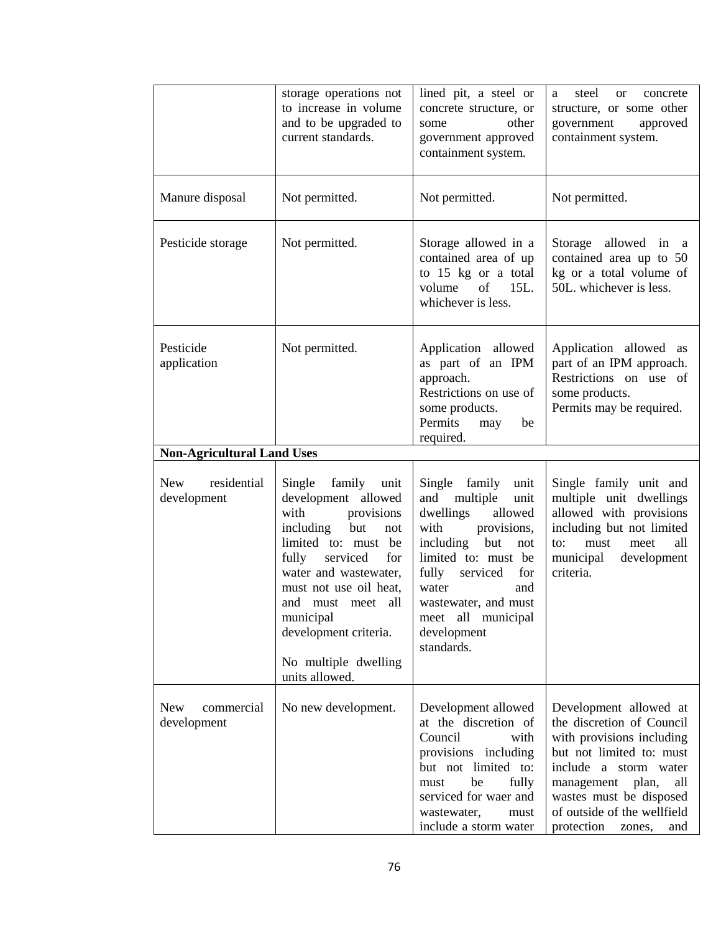|                                         | storage operations not<br>to increase in volume<br>and to be upgraded to<br>current standards.                                                                                                                                                                                                              | lined pit, a steel or<br>concrete structure, or<br>other<br>some<br>government approved<br>containment system.                                                                                                                                                           | steel<br><sub>or</sub><br>concrete<br>a<br>structure, or some other<br>government<br>approved<br>containment system.                                                                                                                                         |
|-----------------------------------------|-------------------------------------------------------------------------------------------------------------------------------------------------------------------------------------------------------------------------------------------------------------------------------------------------------------|--------------------------------------------------------------------------------------------------------------------------------------------------------------------------------------------------------------------------------------------------------------------------|--------------------------------------------------------------------------------------------------------------------------------------------------------------------------------------------------------------------------------------------------------------|
| Manure disposal                         | Not permitted.                                                                                                                                                                                                                                                                                              | Not permitted.                                                                                                                                                                                                                                                           | Not permitted.                                                                                                                                                                                                                                               |
| Pesticide storage                       | Not permitted.                                                                                                                                                                                                                                                                                              | Storage allowed in a<br>contained area of up<br>to 15 kg or a total<br>volume<br>of<br>15L.<br>whichever is less.                                                                                                                                                        | Storage allowed in<br><sub>a</sub><br>contained area up to 50<br>kg or a total volume of<br>50L. whichever is less.                                                                                                                                          |
| Pesticide<br>application                | Not permitted.                                                                                                                                                                                                                                                                                              | Application allowed<br>as part of an IPM<br>approach.<br>Restrictions on use of<br>some products.<br>Permits<br>be<br>may<br>required.                                                                                                                                   | Application allowed as<br>part of an IPM approach.<br>Restrictions on use of<br>some products.<br>Permits may be required.                                                                                                                                   |
| <b>Non-Agricultural Land Uses</b>       |                                                                                                                                                                                                                                                                                                             |                                                                                                                                                                                                                                                                          |                                                                                                                                                                                                                                                              |
| residential<br>New<br>development       | Single<br>family<br>unit<br>development allowed<br>with<br>provisions<br>including<br>but<br>not<br>limited to: must be<br>fully<br>serviced<br>for<br>water and wastewater,<br>must not use oil heat,<br>and must meet all<br>municipal<br>development criteria.<br>No multiple dwelling<br>units allowed. | Single family<br>unit<br>multiple<br>and<br>unit<br>dwellings<br>allowed<br>with<br>provisions,<br>including<br>but<br>not<br>limited to: must be<br>fully<br>serviced<br>for<br>water<br>and<br>wastewater, and must<br>meet all municipal<br>development<br>standards. | Single family unit and<br>multiple unit dwellings<br>allowed with provisions<br>including but not limited<br>must<br>meet<br>all<br>to:<br>municipal<br>development<br>criteria.                                                                             |
| <b>New</b><br>commercial<br>development | No new development.                                                                                                                                                                                                                                                                                         | Development allowed<br>at the discretion of<br>Council<br>with<br>provisions including<br>but not limited to:<br>be<br>fully<br>must<br>serviced for waer and<br>wastewater,<br>must<br>include a storm water                                                            | Development allowed at<br>the discretion of Council<br>with provisions including<br>but not limited to: must<br>include a storm water<br>management<br>plan,<br>all<br>wastes must be disposed<br>of outside of the wellfield<br>protection<br>and<br>zones, |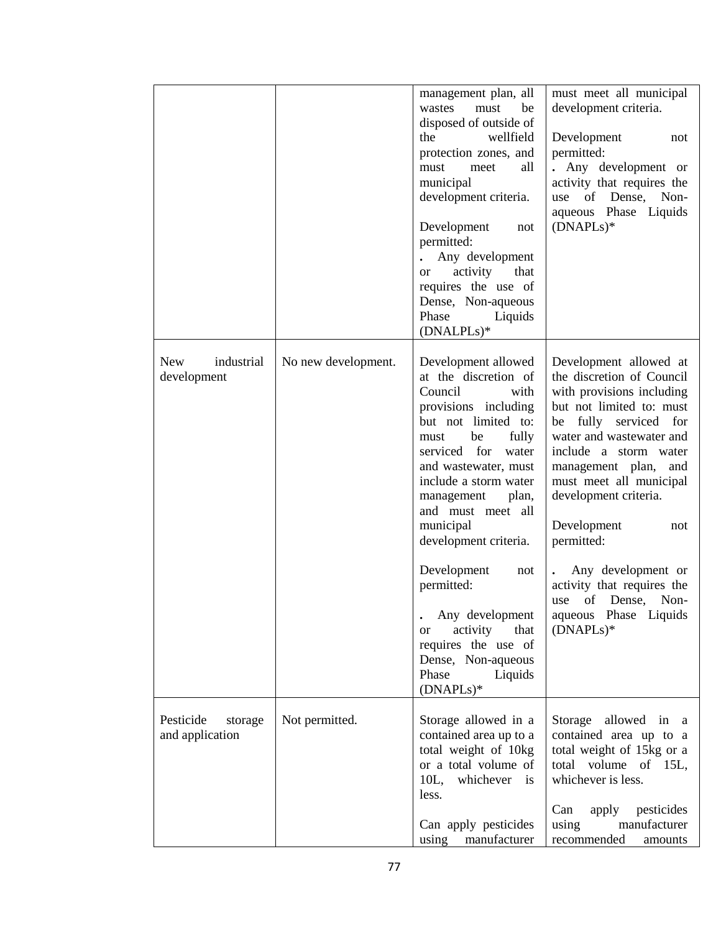|                          |                     | management plan, all<br>be<br>wastes<br>must | must meet all municipal<br>development criteria.  |
|--------------------------|---------------------|----------------------------------------------|---------------------------------------------------|
|                          |                     | disposed of outside of                       |                                                   |
|                          |                     | wellfield<br>the                             | Development<br>not                                |
|                          |                     | protection zones, and                        | permitted:                                        |
|                          |                     | all<br>meet<br>must                          | . Any development or                              |
|                          |                     | municipal                                    | activity that requires the                        |
|                          |                     | development criteria.                        | of Dense,<br>Non-<br>use                          |
|                          |                     |                                              | aqueous Phase Liquids                             |
|                          |                     | Development<br>not                           | $(DNAPLs)*$                                       |
|                          |                     | permitted:                                   |                                                   |
|                          |                     | Any development                              |                                                   |
|                          |                     | that                                         |                                                   |
|                          |                     | activity<br><sub>or</sub>                    |                                                   |
|                          |                     | requires the use of                          |                                                   |
|                          |                     | Dense, Non-aqueous                           |                                                   |
|                          |                     | Phase<br>Liquids                             |                                                   |
|                          |                     | (DNALPLs)*                                   |                                                   |
| <b>New</b><br>industrial | No new development. | Development allowed                          | Development allowed at                            |
| development              |                     | at the discretion of                         | the discretion of Council                         |
|                          |                     | Council<br>with                              | with provisions including                         |
|                          |                     | provisions including                         | but not limited to: must                          |
|                          |                     | but not limited to:                          | fully serviced for<br>be                          |
|                          |                     | be<br>fully                                  | water and wastewater and                          |
|                          |                     | must<br>serviced<br>for<br>water             | include a storm water                             |
|                          |                     | and wastewater, must                         |                                                   |
|                          |                     | include a storm water                        | management plan,<br>and                           |
|                          |                     |                                              | must meet all municipal                           |
|                          |                     | management<br>plan,                          | development criteria.                             |
|                          |                     | and must meet all                            |                                                   |
|                          |                     | municipal                                    | Development<br>not                                |
|                          |                     | development criteria.                        | permitted:                                        |
|                          |                     | Development<br>not                           | Any development or                                |
|                          |                     | permitted:                                   | activity that requires the                        |
|                          |                     | Any development                              | of Dense,<br>Non-<br>use<br>aqueous Phase Liquids |
|                          |                     |                                              |                                                   |
|                          |                     | activity<br>that<br><sub>or</sub>            | $(DNAPLs)*$                                       |
|                          |                     | requires the use of                          |                                                   |
|                          |                     | Dense, Non-aqueous<br>Phase                  |                                                   |
|                          |                     | Liquids                                      |                                                   |
|                          |                     | $(DNAPLs)*$                                  |                                                   |
| Pesticide                | Not permitted.      | Storage allowed in a                         | Storage allowed in a                              |
| storage                  |                     | contained area up to a                       |                                                   |
| and application          |                     |                                              | contained area up to a                            |
|                          |                     | total weight of 10kg                         | total weight of 15kg or a                         |
|                          |                     | or a total volume of                         | total volume of 15L,                              |
|                          |                     | 10L, whichever is                            | whichever is less.                                |
|                          |                     | less.                                        | pesticides<br>Can                                 |
|                          |                     | Can apply pesticides                         | apply<br>manufacturer<br>using                    |
|                          |                     | using<br>manufacturer                        | recommended<br>amounts                            |
|                          |                     |                                              |                                                   |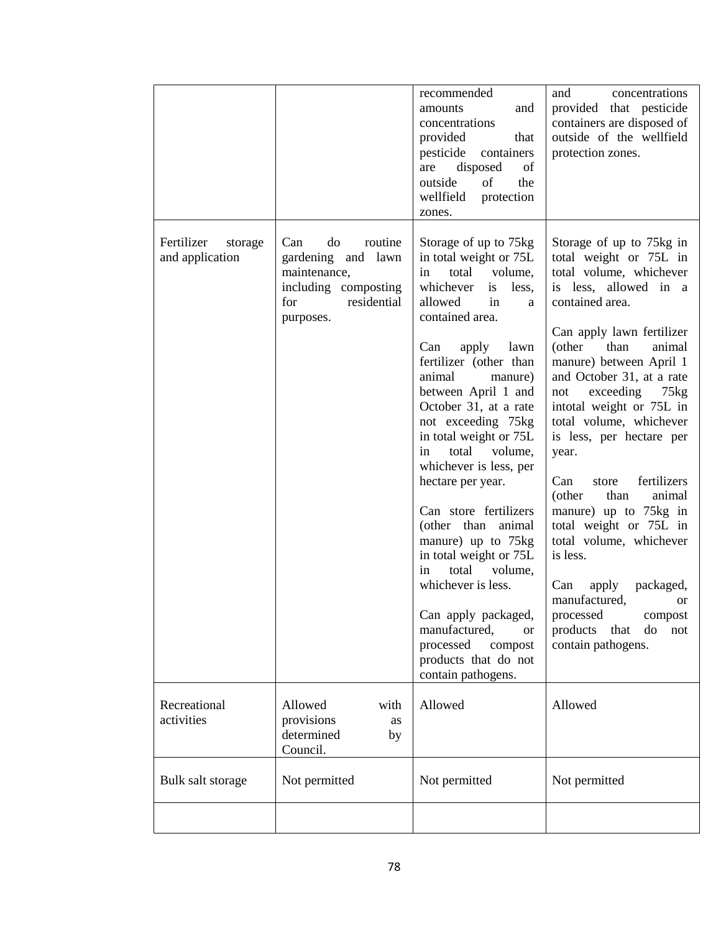|                                          |                                                                                                                       | recommended<br>amounts<br>and<br>concentrations<br>provided<br>that<br>pesticide<br>containers<br>disposed<br>of<br>are<br>outside<br>of<br>the<br>wellfield<br>protection<br>zones.                                                                                                                                                                                                                                                                                                                                                                                                                                                                               | concentrations<br>and<br>provided that pesticide<br>containers are disposed of<br>outside of the wellfield<br>protection zones.                                                                                                                                                                                                                                                                                                                                                                                                                                                                                                                                     |
|------------------------------------------|-----------------------------------------------------------------------------------------------------------------------|--------------------------------------------------------------------------------------------------------------------------------------------------------------------------------------------------------------------------------------------------------------------------------------------------------------------------------------------------------------------------------------------------------------------------------------------------------------------------------------------------------------------------------------------------------------------------------------------------------------------------------------------------------------------|---------------------------------------------------------------------------------------------------------------------------------------------------------------------------------------------------------------------------------------------------------------------------------------------------------------------------------------------------------------------------------------------------------------------------------------------------------------------------------------------------------------------------------------------------------------------------------------------------------------------------------------------------------------------|
| Fertilizer<br>storage<br>and application | do<br>routine<br>Can<br>gardening and lawn<br>maintenance,<br>including composting<br>residential<br>for<br>purposes. | Storage of up to 75kg<br>in total weight or 75L<br>total volume,<br>in<br>whichever<br>is less,<br>in<br>allowed<br>a<br>contained area.<br>apply<br>lawn<br>Can<br>fertilizer (other than<br>animal<br>manure)<br>between April 1 and<br>October 31, at a rate<br>not exceeding 75kg<br>in total weight or 75L<br>volume,<br>total<br>in<br>whichever is less, per<br>hectare per year.<br>Can store fertilizers<br>(other than animal<br>manure) up to 75kg<br>in total weight or 75L<br>total<br>volume,<br>in<br>whichever is less.<br>Can apply packaged,<br>manufactured,<br><b>or</b><br>processed<br>compost<br>products that do not<br>contain pathogens. | Storage of up to 75kg in<br>total weight or 75L in<br>total volume, whichever<br>is less, allowed in a<br>contained area.<br>Can apply lawn fertilizer<br>(other<br>than<br>animal<br>manure) between April 1<br>and October 31, at a rate<br>exceeding<br>not<br>$75\text{kg}$<br>intotal weight or 75L in<br>total volume, whichever<br>is less, per hectare per<br>year.<br>fertilizers<br>Can<br>store<br>(other<br>than<br>animal<br>manure) up to 75kg in<br>total weight or 75L in<br>total volume, whichever<br>is less.<br>packaged,<br>Can<br>apply<br>manufactured,<br>or<br>processed<br>compost<br>products<br>do<br>that<br>not<br>contain pathogens. |
| Recreational<br>activities               | Allowed<br>with<br>provisions<br>as<br>determined<br>by<br>Council.                                                   | Allowed                                                                                                                                                                                                                                                                                                                                                                                                                                                                                                                                                                                                                                                            | Allowed                                                                                                                                                                                                                                                                                                                                                                                                                                                                                                                                                                                                                                                             |
| Bulk salt storage                        | Not permitted                                                                                                         | Not permitted                                                                                                                                                                                                                                                                                                                                                                                                                                                                                                                                                                                                                                                      | Not permitted                                                                                                                                                                                                                                                                                                                                                                                                                                                                                                                                                                                                                                                       |
|                                          |                                                                                                                       |                                                                                                                                                                                                                                                                                                                                                                                                                                                                                                                                                                                                                                                                    |                                                                                                                                                                                                                                                                                                                                                                                                                                                                                                                                                                                                                                                                     |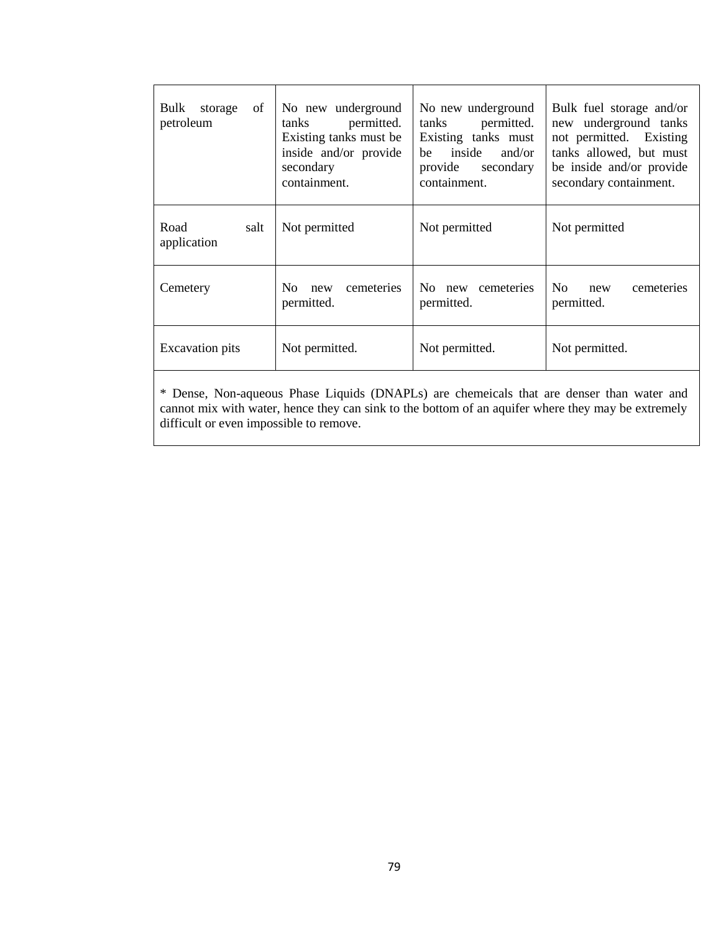| of<br>Bulk storage<br>petroleum          | No new underground<br>permitted.<br>tanks<br>Existing tanks must be<br>inside and/or provide<br>secondary<br>containment. | No new underground<br>permitted.<br>tanks<br>Existing tanks must<br>inside<br>and/or<br>he<br>provide<br>secondary<br>containment. | Bulk fuel storage and/or<br>underground tanks<br>new<br>not permitted. Existing<br>tanks allowed, but must<br>be inside and/or provide<br>secondary containment. |  |
|------------------------------------------|---------------------------------------------------------------------------------------------------------------------------|------------------------------------------------------------------------------------------------------------------------------------|------------------------------------------------------------------------------------------------------------------------------------------------------------------|--|
| Road<br>salt<br>application              | Not permitted                                                                                                             | Not permitted                                                                                                                      | Not permitted                                                                                                                                                    |  |
| Cemetery                                 | cemeteries<br>No new cemeteries<br>No.<br>new<br>permitted.<br>permitted.                                                 |                                                                                                                                    | N <sub>O</sub><br>cemeteries<br>new<br>permitted.                                                                                                                |  |
| <b>Excavation</b> pits<br>Not permitted. |                                                                                                                           | Not permitted.                                                                                                                     | Not permitted.                                                                                                                                                   |  |

\* Dense, Non-aqueous Phase Liquids (DNAPLs) are chemeicals that are denser than water and cannot mix with water, hence they can sink to the bottom of an aquifer where they may be extremely difficult or even impossible to remove.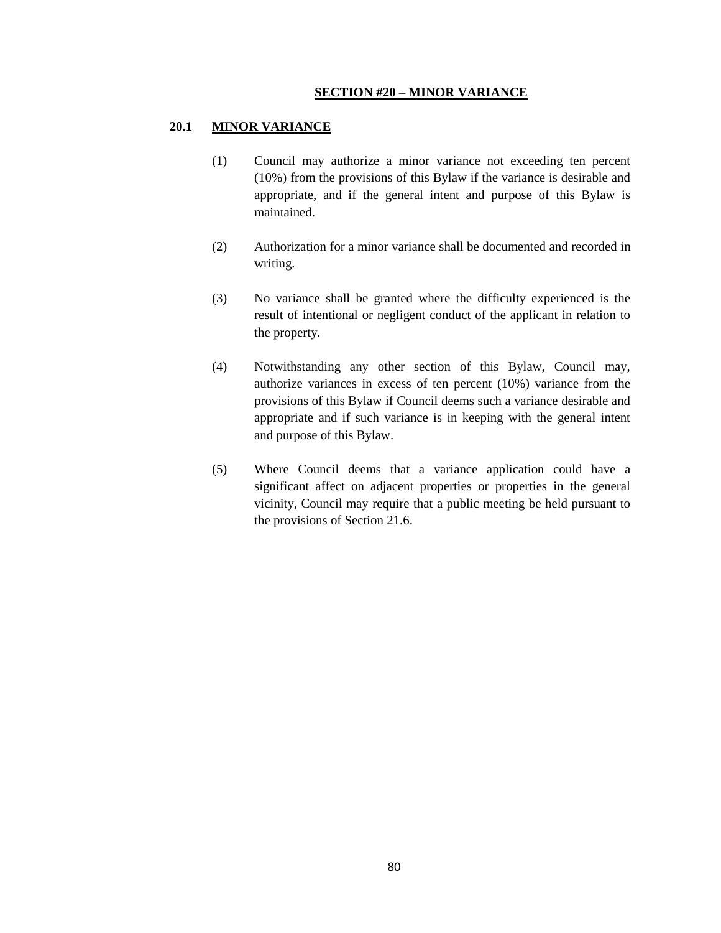#### **SECTION #20 – MINOR VARIANCE**

#### **20.1 MINOR VARIANCE**

- (1) Council may authorize a minor variance not exceeding ten percent (10%) from the provisions of this Bylaw if the variance is desirable and appropriate, and if the general intent and purpose of this Bylaw is maintained.
- (2) Authorization for a minor variance shall be documented and recorded in writing.
- (3) No variance shall be granted where the difficulty experienced is the result of intentional or negligent conduct of the applicant in relation to the property.
- (4) Notwithstanding any other section of this Bylaw, Council may, authorize variances in excess of ten percent (10%) variance from the provisions of this Bylaw if Council deems such a variance desirable and appropriate and if such variance is in keeping with the general intent and purpose of this Bylaw.
- (5) Where Council deems that a variance application could have a significant affect on adjacent properties or properties in the general vicinity, Council may require that a public meeting be held pursuant to the provisions of Section 21.6.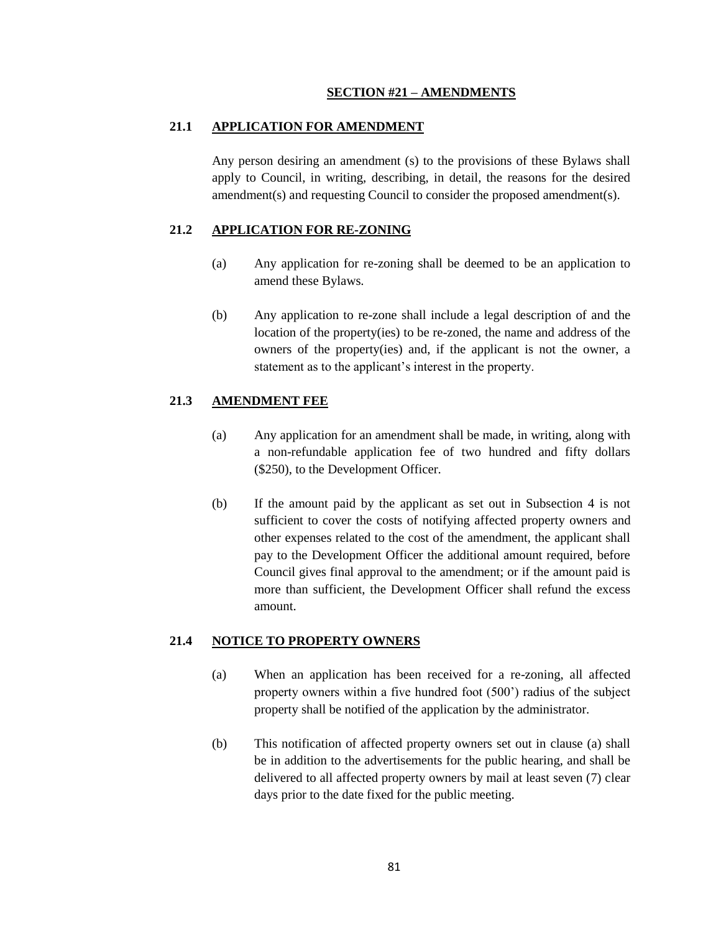#### **SECTION #21 – AMENDMENTS**

### **21.1 APPLICATION FOR AMENDMENT**

Any person desiring an amendment (s) to the provisions of these Bylaws shall apply to Council, in writing, describing, in detail, the reasons for the desired amendment(s) and requesting Council to consider the proposed amendment(s).

## **21.2 APPLICATION FOR RE-ZONING**

- (a) Any application for re-zoning shall be deemed to be an application to amend these Bylaws.
- (b) Any application to re-zone shall include a legal description of and the location of the property(ies) to be re-zoned, the name and address of the owners of the property(ies) and, if the applicant is not the owner, a statement as to the applicant's interest in the property.

## **21.3 AMENDMENT FEE**

- (a) Any application for an amendment shall be made, in writing, along with a non-refundable application fee of two hundred and fifty dollars (\$250), to the Development Officer.
- (b) If the amount paid by the applicant as set out in Subsection 4 is not sufficient to cover the costs of notifying affected property owners and other expenses related to the cost of the amendment, the applicant shall pay to the Development Officer the additional amount required, before Council gives final approval to the amendment; or if the amount paid is more than sufficient, the Development Officer shall refund the excess amount.

#### **21.4 NOTICE TO PROPERTY OWNERS**

- (a) When an application has been received for a re-zoning, all affected property owners within a five hundred foot (500") radius of the subject property shall be notified of the application by the administrator.
- (b) This notification of affected property owners set out in clause (a) shall be in addition to the advertisements for the public hearing, and shall be delivered to all affected property owners by mail at least seven (7) clear days prior to the date fixed for the public meeting.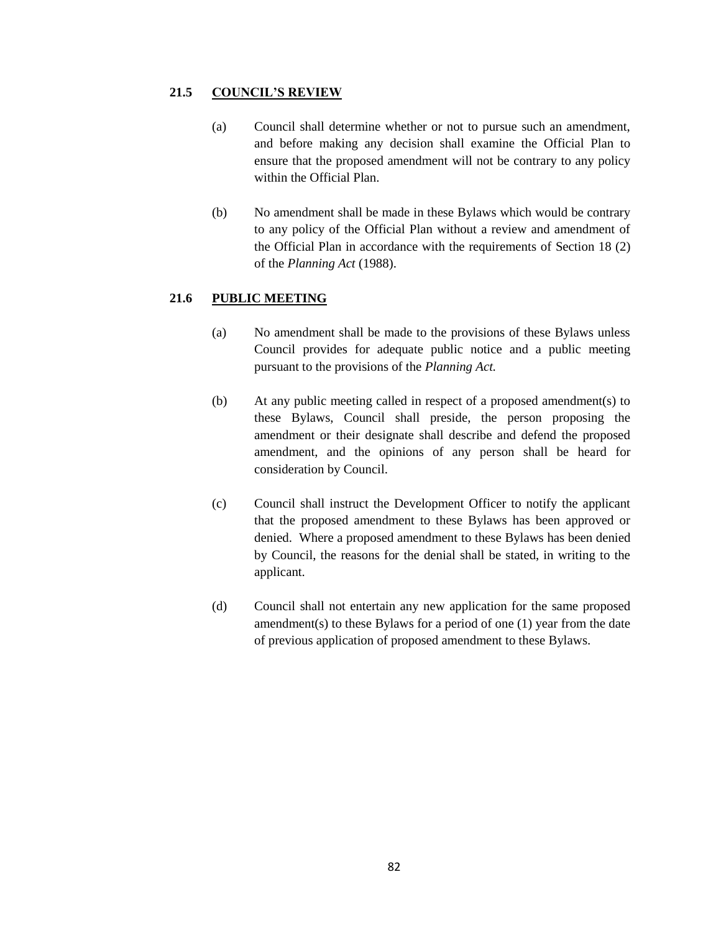## **21.5 COUNCIL'S REVIEW**

- (a) Council shall determine whether or not to pursue such an amendment, and before making any decision shall examine the Official Plan to ensure that the proposed amendment will not be contrary to any policy within the Official Plan.
- (b) No amendment shall be made in these Bylaws which would be contrary to any policy of the Official Plan without a review and amendment of the Official Plan in accordance with the requirements of Section 18 (2) of the *Planning Act* (1988).

## **21.6 PUBLIC MEETING**

- (a) No amendment shall be made to the provisions of these Bylaws unless Council provides for adequate public notice and a public meeting pursuant to the provisions of the *Planning Act.*
- (b) At any public meeting called in respect of a proposed amendment(s) to these Bylaws, Council shall preside, the person proposing the amendment or their designate shall describe and defend the proposed amendment, and the opinions of any person shall be heard for consideration by Council.
- (c) Council shall instruct the Development Officer to notify the applicant that the proposed amendment to these Bylaws has been approved or denied. Where a proposed amendment to these Bylaws has been denied by Council, the reasons for the denial shall be stated, in writing to the applicant.
- (d) Council shall not entertain any new application for the same proposed amendment(s) to these Bylaws for a period of one (1) year from the date of previous application of proposed amendment to these Bylaws.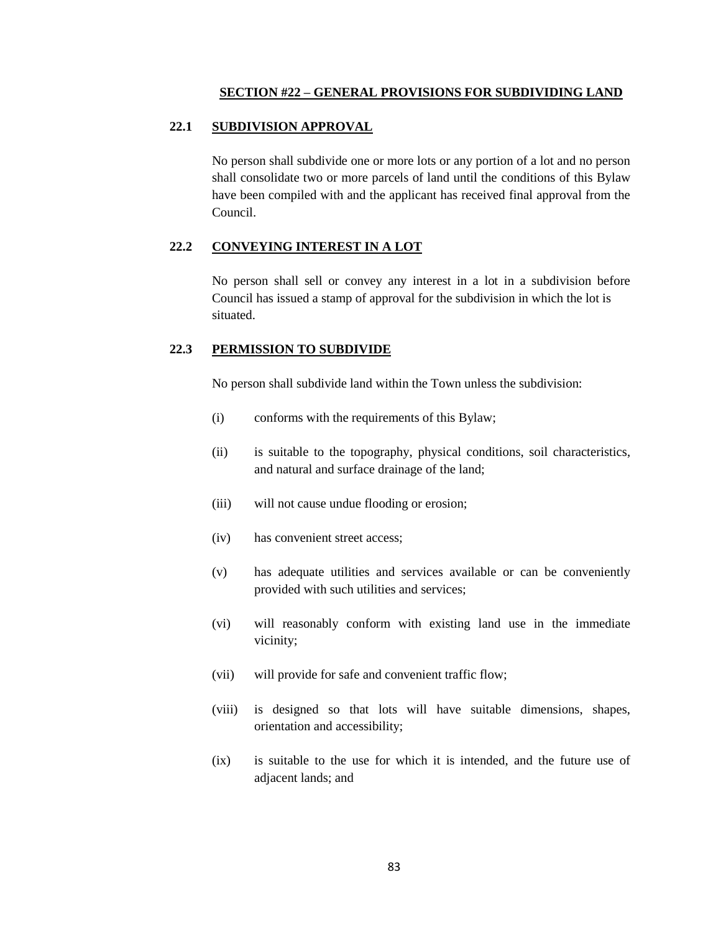#### **SECTION #22 – GENERAL PROVISIONS FOR SUBDIVIDING LAND**

#### **22.1 SUBDIVISION APPROVAL**

No person shall subdivide one or more lots or any portion of a lot and no person shall consolidate two or more parcels of land until the conditions of this Bylaw have been compiled with and the applicant has received final approval from the Council.

### **22.2 CONVEYING INTEREST IN A LOT**

No person shall sell or convey any interest in a lot in a subdivision before Council has issued a stamp of approval for the subdivision in which the lot is situated.

#### **22.3 PERMISSION TO SUBDIVIDE**

No person shall subdivide land within the Town unless the subdivision:

- (i) conforms with the requirements of this Bylaw;
- (ii) is suitable to the topography, physical conditions, soil characteristics, and natural and surface drainage of the land;
- (iii) will not cause undue flooding or erosion;
- (iv) has convenient street access;
- (v) has adequate utilities and services available or can be conveniently provided with such utilities and services;
- (vi) will reasonably conform with existing land use in the immediate vicinity;
- (vii) will provide for safe and convenient traffic flow;
- (viii) is designed so that lots will have suitable dimensions, shapes, orientation and accessibility;
- (ix) is suitable to the use for which it is intended, and the future use of adjacent lands; and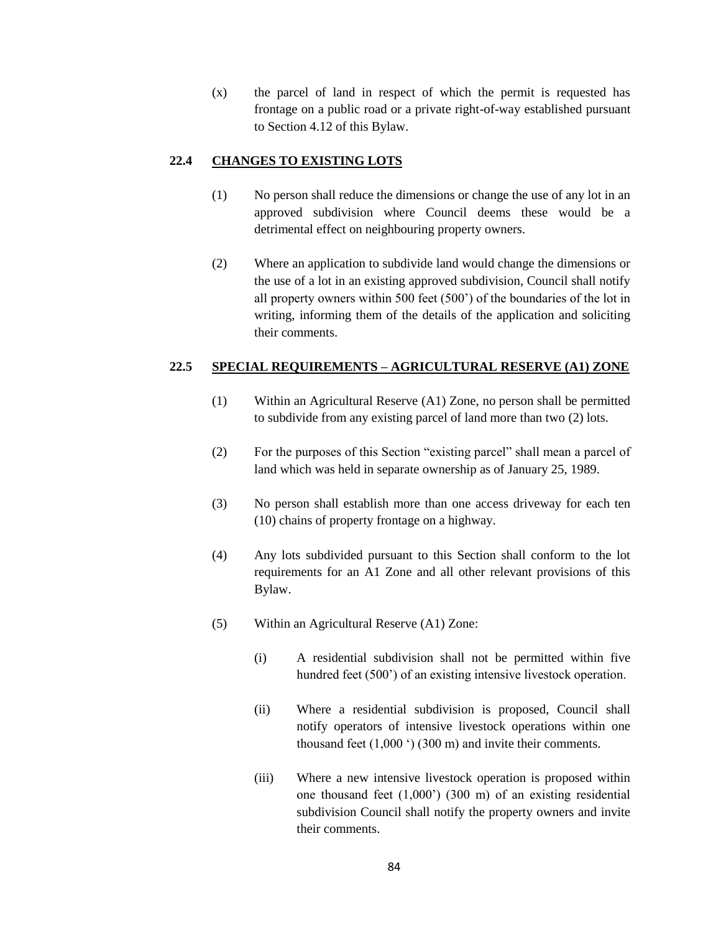(x) the parcel of land in respect of which the permit is requested has frontage on a public road or a private right-of-way established pursuant to Section 4.12 of this Bylaw.

## **22.4 CHANGES TO EXISTING LOTS**

- (1) No person shall reduce the dimensions or change the use of any lot in an approved subdivision where Council deems these would be a detrimental effect on neighbouring property owners.
- (2) Where an application to subdivide land would change the dimensions or the use of a lot in an existing approved subdivision, Council shall notify all property owners within 500 feet (500") of the boundaries of the lot in writing, informing them of the details of the application and soliciting their comments.

## **22.5 SPECIAL REQUIREMENTS – AGRICULTURAL RESERVE (A1) ZONE**

- (1) Within an Agricultural Reserve (A1) Zone, no person shall be permitted to subdivide from any existing parcel of land more than two (2) lots.
- (2) For the purposes of this Section "existing parcel" shall mean a parcel of land which was held in separate ownership as of January 25, 1989.
- (3) No person shall establish more than one access driveway for each ten (10) chains of property frontage on a highway.
- (4) Any lots subdivided pursuant to this Section shall conform to the lot requirements for an A1 Zone and all other relevant provisions of this Bylaw.
- (5) Within an Agricultural Reserve (A1) Zone:
	- (i) A residential subdivision shall not be permitted within five hundred feet (500<sup>o</sup>) of an existing intensive livestock operation.
	- (ii) Where a residential subdivision is proposed, Council shall notify operators of intensive livestock operations within one thousand feet  $(1,000)$  (300 m) and invite their comments.
	- (iii) Where a new intensive livestock operation is proposed within one thousand feet  $(1,000)$  (300 m) of an existing residential subdivision Council shall notify the property owners and invite their comments.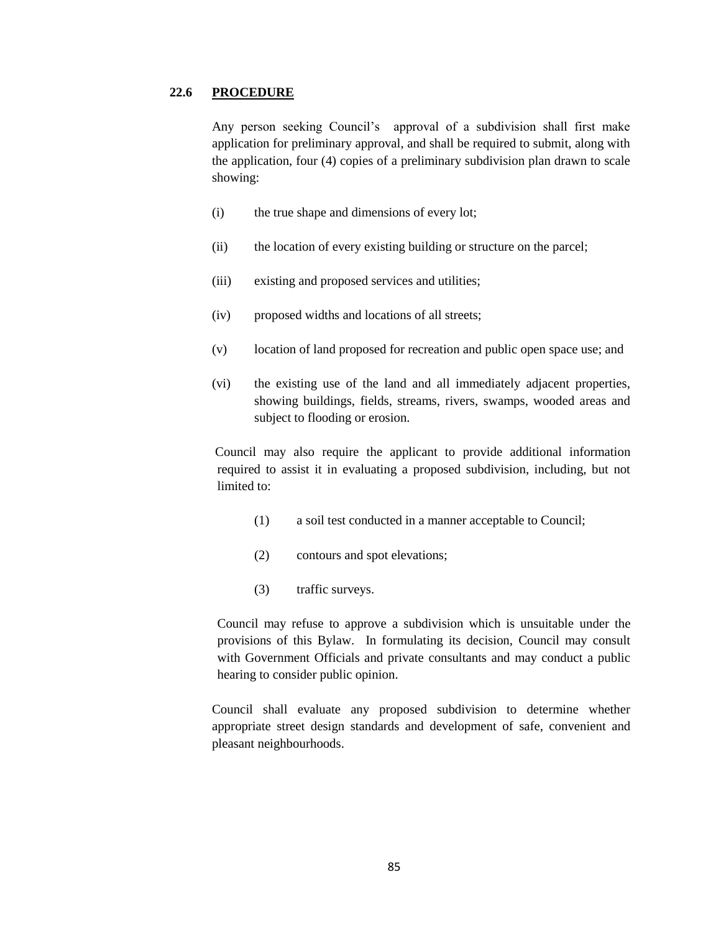#### **22.6 PROCEDURE**

Any person seeking Council"s approval of a subdivision shall first make application for preliminary approval, and shall be required to submit, along with the application, four (4) copies of a preliminary subdivision plan drawn to scale showing:

- (i) the true shape and dimensions of every lot;
- (ii) the location of every existing building or structure on the parcel;
- (iii) existing and proposed services and utilities;
- (iv) proposed widths and locations of all streets;
- (v) location of land proposed for recreation and public open space use; and
- (vi) the existing use of the land and all immediately adjacent properties, showing buildings, fields, streams, rivers, swamps, wooded areas and subject to flooding or erosion.

Council may also require the applicant to provide additional information required to assist it in evaluating a proposed subdivision, including, but not limited to:

- (1) a soil test conducted in a manner acceptable to Council;
- (2) contours and spot elevations;
- (3) traffic surveys.

Council may refuse to approve a subdivision which is unsuitable under the provisions of this Bylaw. In formulating its decision, Council may consult with Government Officials and private consultants and may conduct a public hearing to consider public opinion.

Council shall evaluate any proposed subdivision to determine whether appropriate street design standards and development of safe, convenient and pleasant neighbourhoods.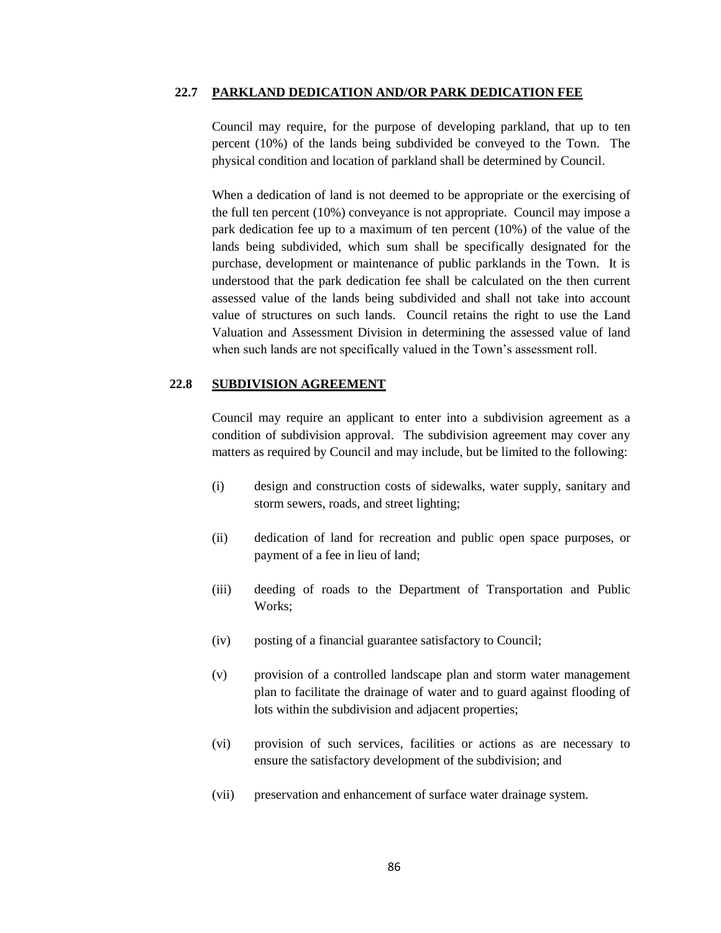#### **22.7 PARKLAND DEDICATION AND/OR PARK DEDICATION FEE**

Council may require, for the purpose of developing parkland, that up to ten percent (10%) of the lands being subdivided be conveyed to the Town. The physical condition and location of parkland shall be determined by Council.

When a dedication of land is not deemed to be appropriate or the exercising of the full ten percent (10%) conveyance is not appropriate. Council may impose a park dedication fee up to a maximum of ten percent (10%) of the value of the lands being subdivided, which sum shall be specifically designated for the purchase, development or maintenance of public parklands in the Town. It is understood that the park dedication fee shall be calculated on the then current assessed value of the lands being subdivided and shall not take into account value of structures on such lands. Council retains the right to use the Land Valuation and Assessment Division in determining the assessed value of land when such lands are not specifically valued in the Town's assessment roll.

## **22.8 SUBDIVISION AGREEMENT**

Council may require an applicant to enter into a subdivision agreement as a condition of subdivision approval. The subdivision agreement may cover any matters as required by Council and may include, but be limited to the following:

- (i) design and construction costs of sidewalks, water supply, sanitary and storm sewers, roads, and street lighting;
- (ii) dedication of land for recreation and public open space purposes, or payment of a fee in lieu of land;
- (iii) deeding of roads to the Department of Transportation and Public Works;
- (iv) posting of a financial guarantee satisfactory to Council;
- (v) provision of a controlled landscape plan and storm water management plan to facilitate the drainage of water and to guard against flooding of lots within the subdivision and adjacent properties;
- (vi) provision of such services, facilities or actions as are necessary to ensure the satisfactory development of the subdivision; and
- (vii) preservation and enhancement of surface water drainage system.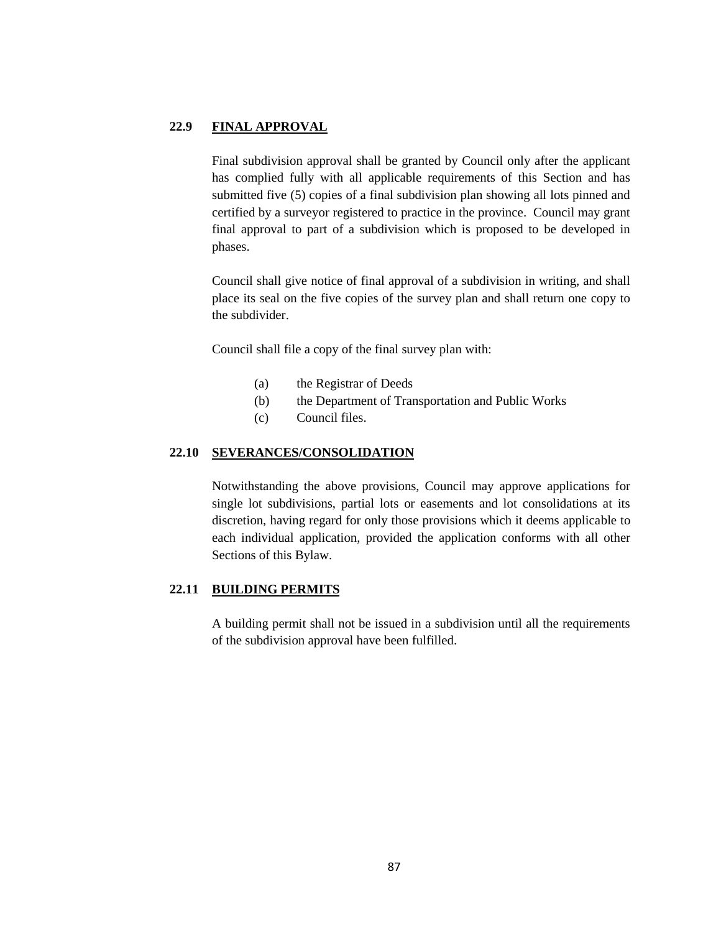### **22.9 FINAL APPROVAL**

Final subdivision approval shall be granted by Council only after the applicant has complied fully with all applicable requirements of this Section and has submitted five (5) copies of a final subdivision plan showing all lots pinned and certified by a surveyor registered to practice in the province. Council may grant final approval to part of a subdivision which is proposed to be developed in phases.

Council shall give notice of final approval of a subdivision in writing, and shall place its seal on the five copies of the survey plan and shall return one copy to the subdivider.

Council shall file a copy of the final survey plan with:

- (a) the Registrar of Deeds
- (b) the Department of Transportation and Public Works
- (c) Council files.

## **22.10 SEVERANCES/CONSOLIDATION**

Notwithstanding the above provisions, Council may approve applications for single lot subdivisions, partial lots or easements and lot consolidations at its discretion, having regard for only those provisions which it deems applicable to each individual application, provided the application conforms with all other Sections of this Bylaw.

## **22.11 BUILDING PERMITS**

A building permit shall not be issued in a subdivision until all the requirements of the subdivision approval have been fulfilled.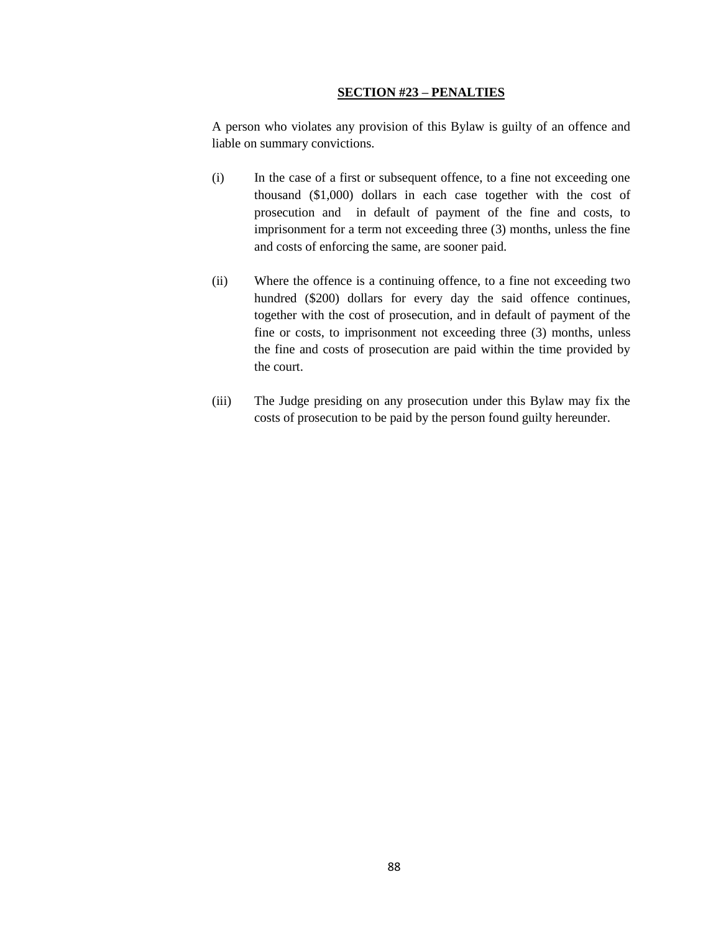#### **SECTION #23 – PENALTIES**

A person who violates any provision of this Bylaw is guilty of an offence and liable on summary convictions.

- (i) In the case of a first or subsequent offence, to a fine not exceeding one thousand (\$1,000) dollars in each case together with the cost of prosecution and in default of payment of the fine and costs, to imprisonment for a term not exceeding three (3) months, unless the fine and costs of enforcing the same, are sooner paid.
- (ii) Where the offence is a continuing offence, to a fine not exceeding two hundred (\$200) dollars for every day the said offence continues, together with the cost of prosecution, and in default of payment of the fine or costs, to imprisonment not exceeding three (3) months, unless the fine and costs of prosecution are paid within the time provided by the court.
- (iii) The Judge presiding on any prosecution under this Bylaw may fix the costs of prosecution to be paid by the person found guilty hereunder.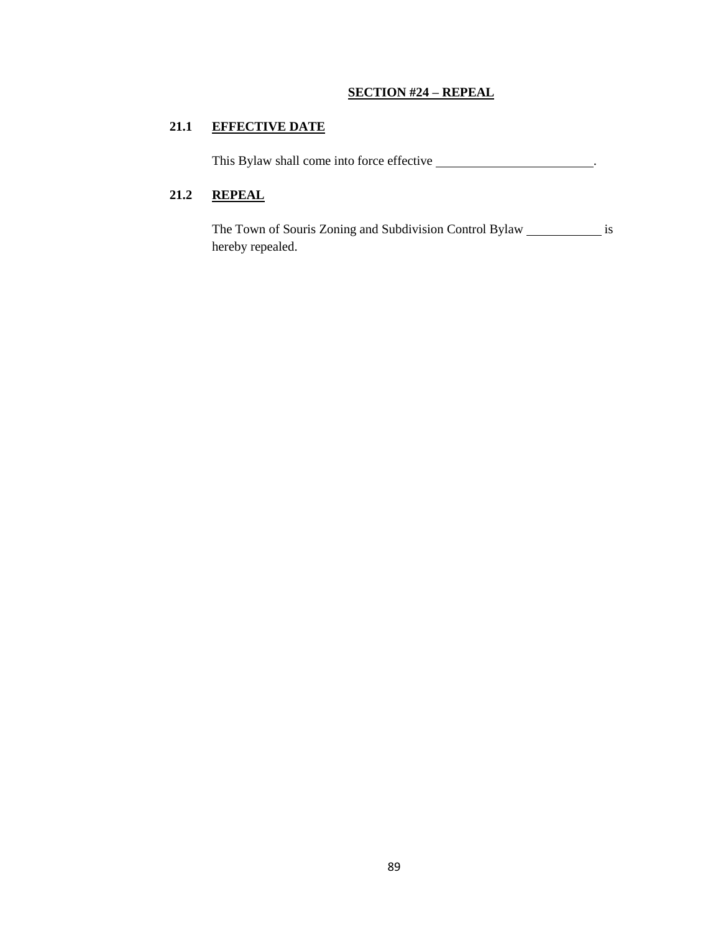## **SECTION #24 – REPEAL**

## **21.1 EFFECTIVE DATE**

This Bylaw shall come into force effective \_\_\_\_\_\_\_\_\_\_\_\_\_\_\_\_\_\_\_\_\_\_\_\_.

## **21.2 REPEAL**

The Town of Souris Zoning and Subdivision Control Bylaw \_\_\_\_\_\_\_\_\_\_\_\_\_ is hereby repealed.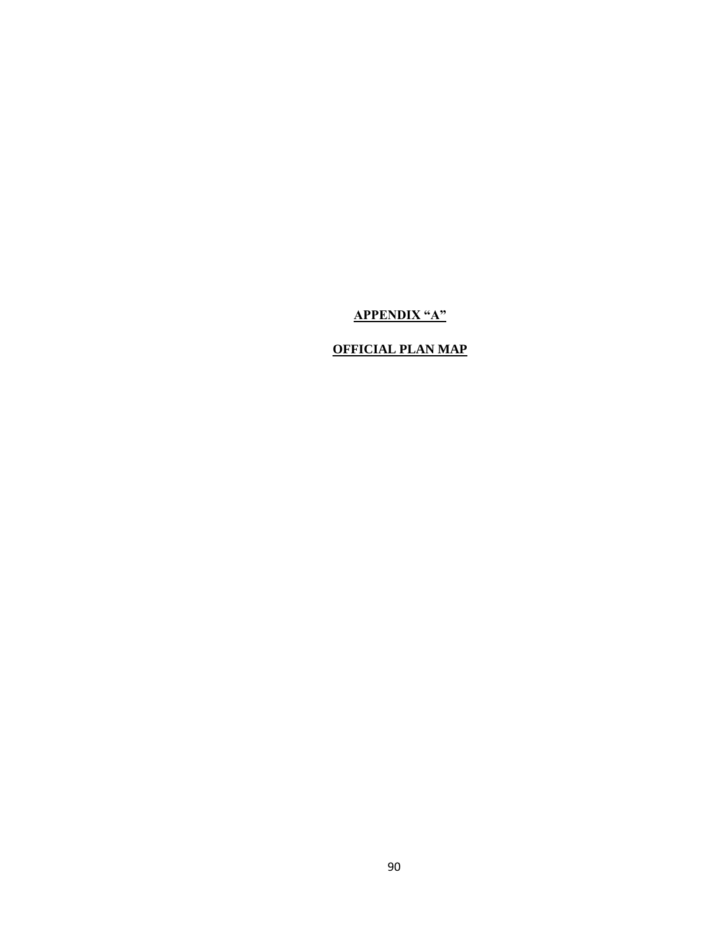# **APPENDIX "A"**

## **OFFICIAL PLAN MAP**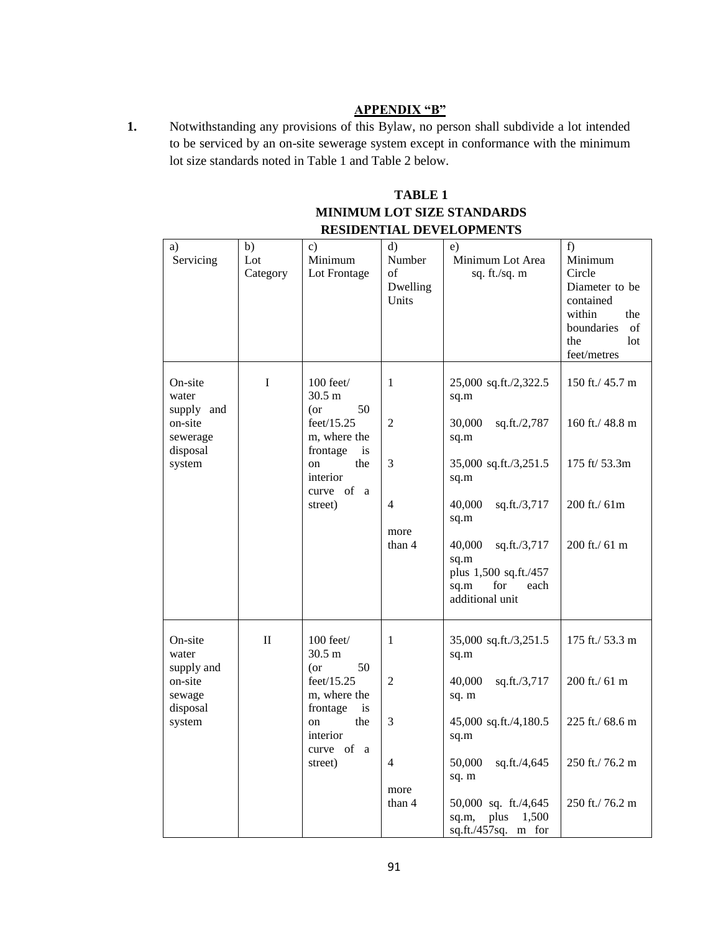#### **APPENDIX "B"**

**1.** Notwithstanding any provisions of this Bylaw, no person shall subdivide a lot intended to be serviced by an on-site sewerage system except in conformance with the minimum lot size standards noted in Table 1 and Table 2 below.

## **TABLE 1 MINIMUM LOT SIZE STANDARDS RESIDENTIAL DEVELOPMENTS**

| a)<br>Servicing                                                             | b)<br>Lot<br>Category | $\mathbf{c}$ )<br>Minimum<br>Lot Frontage                                                                                                           | d)<br>Number<br>of<br>Dwelling<br>Units                                 | e)<br>Minimum Lot Area<br>sq. ft./sq. m                                                                                                                                                                                                 | f)<br>Minimum<br>Circle<br>Diameter to be<br>contained<br>within<br>the<br>boundaries<br>of<br>the<br>lot<br>feet/metres |
|-----------------------------------------------------------------------------|-----------------------|-----------------------------------------------------------------------------------------------------------------------------------------------------|-------------------------------------------------------------------------|-----------------------------------------------------------------------------------------------------------------------------------------------------------------------------------------------------------------------------------------|--------------------------------------------------------------------------------------------------------------------------|
| On-site<br>water<br>supply and<br>on-site<br>sewerage<br>disposal<br>system | I                     | $100$ feet $/$<br>30.5 m<br>50<br>(or<br>feet/15.25<br>m, where the<br>frontage<br>is<br>the<br>on<br>interior<br>curve of a<br>street)             | 1<br>$\overline{2}$<br>3<br>$\overline{4}$<br>more<br>than 4            | 25,000 sq.ft./2,322.5<br>sq.m<br>sq.ft./2,787<br>30,000<br>sq.m<br>35,000 sq.ft./3,251.5<br>sq.m<br>40,000<br>sq.ft./3,717<br>sq.m<br>40,000<br>sq.ft./3,717<br>sq.m<br>plus 1,500 sq.ft./457<br>sq.m<br>for<br>each<br>additional unit | 150 ft./ $45.7 \text{ m}$<br>160 ft./ 48.8 m<br>175 ft/ 53.3m<br>200 ft./ 61m<br>200 ft./ 61 m                           |
| On-site<br>water<br>supply and<br>on-site<br>sewage<br>disposal<br>system   | $\mathbf{I}$          | 100 feet/<br>$30.5 \text{ m}$<br>50<br>(or<br>feet/15.25<br>m, where the<br>frontage<br><i>is</i><br>the<br>on<br>interior<br>curve of a<br>street) | $\mathbf{1}$<br>$\overline{2}$<br>3<br>$\overline{4}$<br>more<br>than 4 | 35,000 sq.ft./3,251.5<br>sq.m<br>40,000<br>sq.ft./3,717<br>sq. m<br>45,000 sq.ft./4,180.5<br>sq.m<br>50,000<br>sq.ft./4,645<br>sq. m<br>50,000 sq. ft./4,645<br>plus<br>1,500<br>sq.m,<br>sq.ft./457sq. m for                           | 175 ft./ 53.3 m<br>200 ft./ 61 m<br>225 ft./ 68.6 m<br>250 ft./76.2 m<br>250 ft./76.2 m                                  |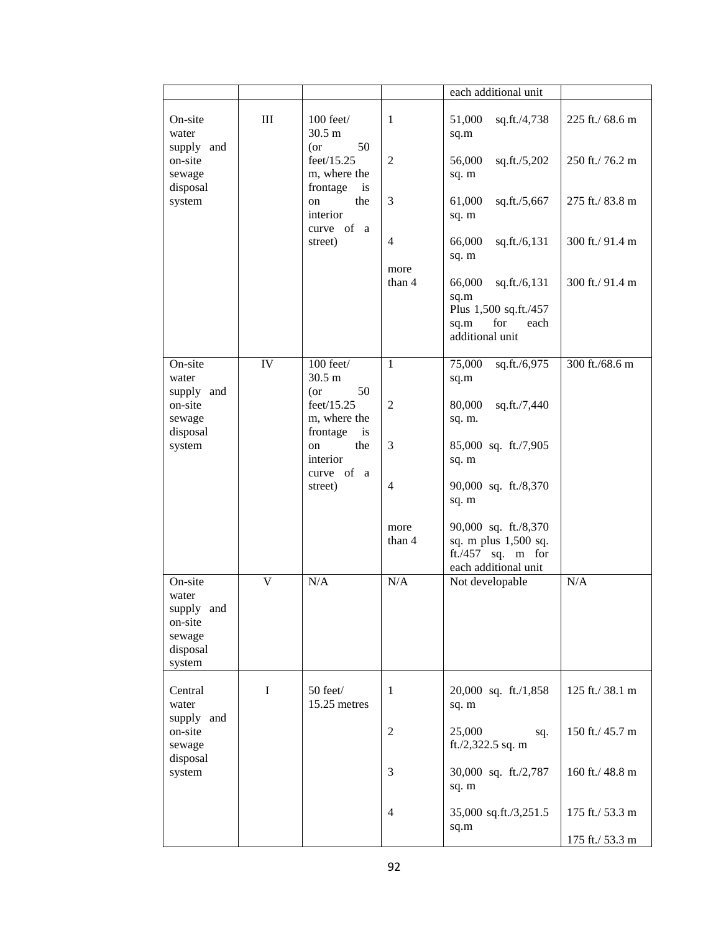|                                                                           |     |                                                              |                        | each additional unit                                                                              |                                    |
|---------------------------------------------------------------------------|-----|--------------------------------------------------------------|------------------------|---------------------------------------------------------------------------------------------------|------------------------------------|
| On-site<br>water                                                          | III | $100$ feet $/$<br>$30.5 \text{ m}$<br>50                     | $\mathbf{1}$           | 51,000<br>sq.ft./4,738<br>sq.m                                                                    | 225 ft./ 68.6 m                    |
| supply and<br>on-site<br>sewage<br>disposal                               |     | $($ or<br>feet/15.25<br>m, where the<br>frontage<br>is       | $\overline{2}$         | 56,000<br>sq.ft./5,202<br>sq. m                                                                   | 250 ft./76.2 m                     |
| system                                                                    |     | the<br>on<br>interior<br>curve of a                          | 3                      | 61,000<br>sq.ft./5,667<br>sq. m                                                                   | 275 ft./ 83.8 m                    |
|                                                                           |     | street)                                                      | $\overline{4}$<br>more | 66,000<br>sq.ft./6,131<br>sq. m                                                                   | 300 ft./ 91.4 m                    |
|                                                                           |     |                                                              | than 4                 | 66,000<br>sq.ft./6,131<br>sq.m<br>Plus 1,500 sq.ft./457<br>sq.m<br>for<br>each<br>additional unit | 300 ft./ 91.4 m                    |
| On-site<br>water                                                          | IV  | 100 feet/<br>30.5 <sub>m</sub>                               | $\mathbf{1}$           | 75,000<br>sq.ft./6,975<br>sq.m                                                                    | 300 ft./68.6 m                     |
| supply and<br>on-site<br>sewage<br>disposal                               |     | 50<br>$($ or<br>feet/15.25<br>m, where the<br>frontage<br>is | $\overline{2}$         | 80,000<br>sq.ft./7,440<br>sq. m.                                                                  |                                    |
| system                                                                    |     | the<br>on<br>interior<br>curve of a                          | 3                      | 85,000 sq. ft./7,905<br>sq. m                                                                     |                                    |
|                                                                           |     | street)                                                      | $\overline{4}$         | 90,000 sq. ft./8,370<br>sq. m                                                                     |                                    |
|                                                                           |     |                                                              | more<br>than 4         | 90,000 sq. ft./8,370<br>sq. m plus 1,500 sq.<br>ft./457 sq. m for<br>each additional unit         |                                    |
| On-site<br>water<br>supply and<br>on-site<br>sewage<br>disposal<br>system | V   | N/A                                                          | N/A                    | Not developable                                                                                   | N/A                                |
| Central<br>water<br>supply and                                            | I   | 50 feet/<br>15.25 metres                                     | $\mathbf{1}$           | 20,000 sq. ft./1,858<br>sq. m                                                                     | 125 ft./38.1 m                     |
| on-site<br>sewage<br>disposal                                             |     |                                                              | $\boldsymbol{2}$       | 25,000<br>sq.<br>ft./2,322.5 sq. m                                                                | 150 ft./ 45.7 m                    |
| system                                                                    |     |                                                              | 3                      | 30,000 sq. ft./2,787<br>sq. m                                                                     | 160 ft./ 48.8 m                    |
|                                                                           |     |                                                              | $\overline{4}$         | 35,000 sq.ft./3,251.5<br>sq.m                                                                     | 175 ft./ 53.3 m<br>175 ft./ 53.3 m |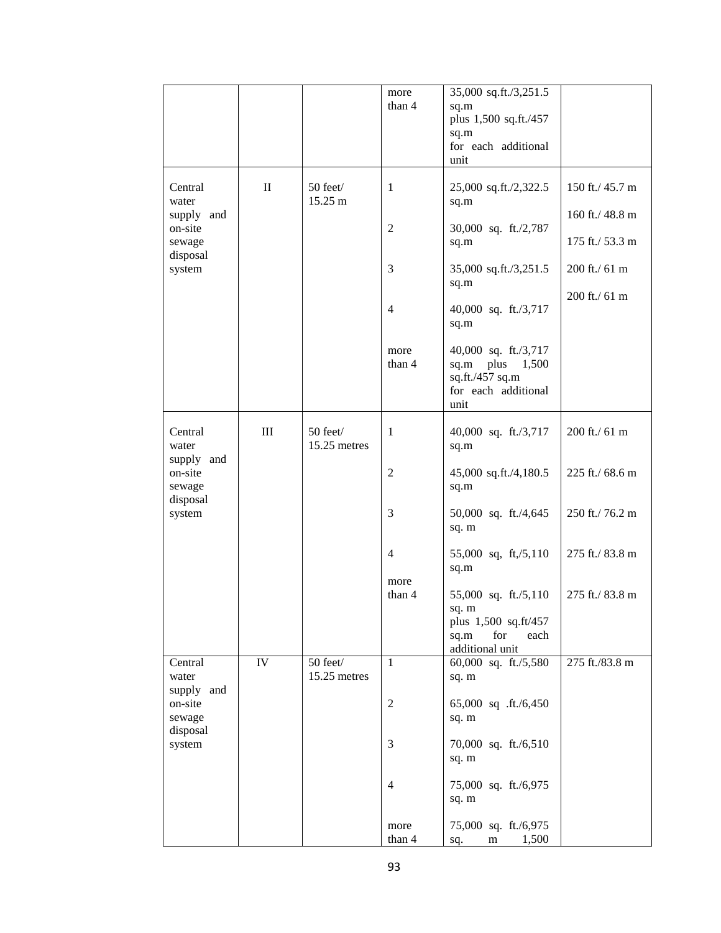|                                             |                 |                          | more<br>than 4         | 35,000 sq.ft./3,251.5<br>sq.m<br>plus 1,500 sq.ft./457<br>sq.m<br>for each additional<br>unit   |                                    |
|---------------------------------------------|-----------------|--------------------------|------------------------|-------------------------------------------------------------------------------------------------|------------------------------------|
| Central<br>water                            | $\mathbf{I}$    | 50 feet/<br>15.25 m      | 1                      | 25,000 sq.ft./2,322.5<br>sq.m                                                                   | 150 ft./ 45.7 m                    |
| supply and<br>on-site<br>sewage             |                 |                          | $\overline{2}$         | 30,000 sq. ft./2,787<br>sq.m                                                                    | 160 ft./ 48.8 m<br>175 ft./ 53.3 m |
| disposal<br>system                          |                 |                          | 3                      | 35,000 sq.ft./3,251.5<br>sq.m                                                                   | 200 ft./ 61 m                      |
|                                             |                 |                          | 4                      | 40,000 sq. ft./3,717<br>sq.m                                                                    | 200 ft./ 61 m                      |
|                                             |                 |                          | more<br>than 4         | 40,000 sq. ft./3,717<br>plus<br>1,500<br>sq.m<br>sq.ft./457 sq.m<br>for each additional<br>unit |                                    |
| Central<br>water                            | III             | 50 feet/<br>15.25 metres | 1                      | 40,000 sq. ft./3,717<br>sq.m                                                                    | 200 ft./ 61 m                      |
| supply and<br>on-site<br>sewage<br>disposal |                 |                          | $\mathfrak{2}$         | 45,000 sq.ft./4,180.5<br>sq.m                                                                   | 225 ft./ 68.6 m                    |
| system                                      |                 |                          | 3                      | 50,000 sq. ft./4,645<br>sq. m                                                                   | 250 ft./76.2 m                     |
|                                             |                 |                          | $\overline{4}$<br>more | 55,000 sq, ft,/5,110<br>sq.m                                                                    | 275 ft./ 83.8 m                    |
|                                             |                 |                          | than 4                 | 55,000 sq. ft./5,110<br>sq. m<br>plus 1,500 sq.ft/457<br>sq.m<br>for<br>each<br>additional unit | 275 ft./ 83.8 m                    |
| Central<br>water<br>supply and              | $\overline{IV}$ | 50 feet/<br>15.25 metres | $\mathbf{1}$           | 60,000 sq. ft./5,580<br>sq. m                                                                   | 275 ft./83.8 m                     |
| on-site<br>sewage<br>disposal               |                 |                          | $\boldsymbol{2}$       | 65,000 sq .ft./6,450<br>sq. m                                                                   |                                    |
| system                                      |                 |                          | 3                      | 70,000 sq. ft./6,510<br>sq. m                                                                   |                                    |
|                                             |                 |                          | $\overline{4}$         | 75,000 sq. ft./6,975<br>sq. m                                                                   |                                    |
|                                             |                 |                          | more<br>than 4         | 75,000 sq. ft./6,975<br>1,500<br>m<br>sq.                                                       |                                    |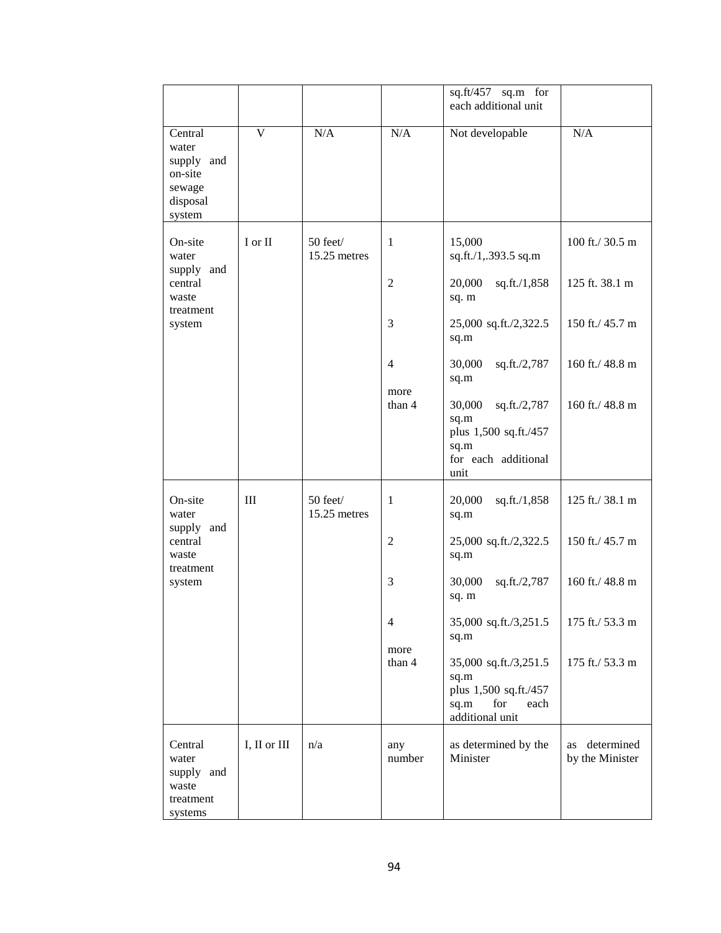|                                                                           |                         |                            |                | sq.ft/457 sq.m for<br>each additional unit                                                       |                                     |
|---------------------------------------------------------------------------|-------------------------|----------------------------|----------------|--------------------------------------------------------------------------------------------------|-------------------------------------|
| Central<br>water<br>supply and<br>on-site<br>sewage<br>disposal<br>system | $\overline{\mathbf{V}}$ | N/A                        | N/A            | Not developable                                                                                  | N/A                                 |
| On-site<br>water                                                          | $I$ or $II$             | 50 feet/<br>$15.25$ metres | $\mathbf{1}$   | 15,000<br>sq.ft./1,.393.5 sq.m                                                                   | 100 ft./ 30.5 m                     |
| supply and<br>central<br>waste<br>treatment                               |                         |                            | 2              | 20,000<br>sq.ft./1,858<br>sq. m                                                                  | 125 ft. 38.1 m                      |
| system                                                                    |                         |                            | 3              | 25,000 sq.ft./2,322.5<br>sq.m                                                                    | 150 ft./ 45.7 m                     |
|                                                                           |                         |                            | 4<br>more      | 30,000<br>sq.ft./2,787<br>sq.m                                                                   | 160 ft./ $48.8 \text{ m}$           |
|                                                                           |                         |                            | than 4         | 30,000<br>sq.ft./2,787<br>sq.m<br>plus 1,500 sq.ft./457<br>sq.m<br>for each additional<br>unit   | 160 ft./ 48.8 m                     |
| On-site<br>water<br>supply and                                            | III                     | 50 feet/<br>15.25 metres   | 1              | 20,000<br>sq.ft./1,858<br>sq.m                                                                   | 125 ft./ 38.1 m                     |
| central<br>waste<br>treatment                                             |                         |                            | $\mathfrak{2}$ | 25,000 sq.ft./2,322.5<br>sq.m                                                                    | 150 ft./ 45.7 m                     |
| system                                                                    |                         |                            | 3              | 30,000<br>sq.ft./2,787<br>sq. m                                                                  | 160 ft./ 48.8 m                     |
|                                                                           |                         |                            | 4<br>more      | 35,000 sq.ft./3,251.5<br>sq.m                                                                    | 175 ft./ 53.3 m                     |
|                                                                           |                         |                            | than 4         | 35,000 sq.ft./3,251.5<br>sq.m<br>plus 1,500 sq.ft./457<br>for<br>sq.m<br>each<br>additional unit | 175 ft./ 53.3 m                     |
| Central<br>water<br>supply and<br>waste<br>treatment<br>systems           | I, II or III            | n/a                        | any<br>number  | as determined by the<br>Minister                                                                 | determined<br>as<br>by the Minister |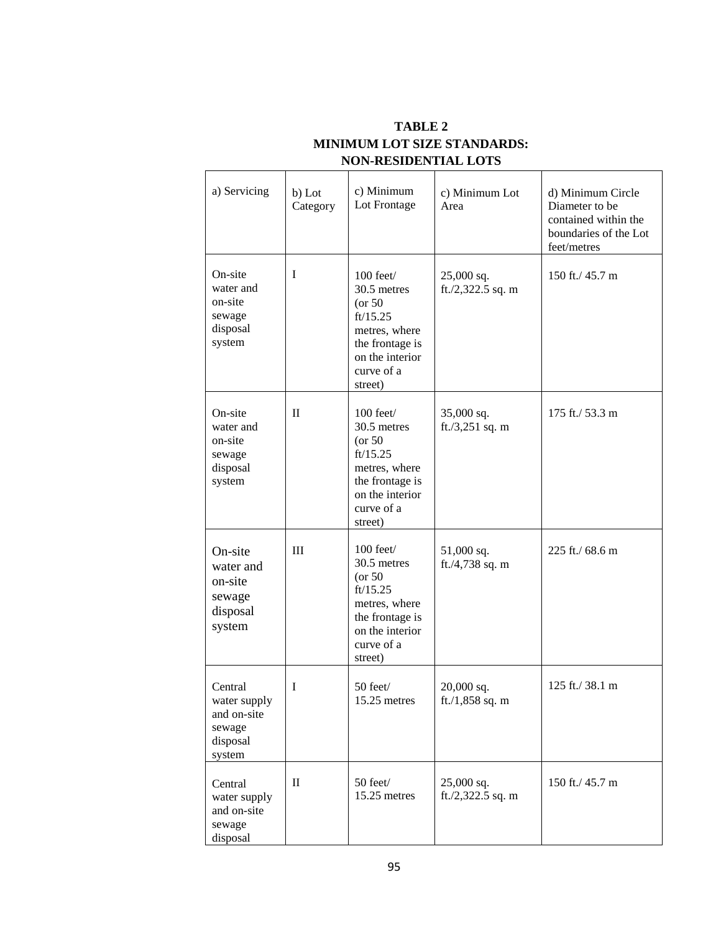| a) Servicing                                                           | b) Lot<br>Category | c) Minimum<br>Lot Frontage                                                                                                             | c) Minimum Lot<br>Area             | d) Minimum Circle<br>Diameter to be<br>contained within the<br>boundaries of the Lot<br>feet/metres |
|------------------------------------------------------------------------|--------------------|----------------------------------------------------------------------------------------------------------------------------------------|------------------------------------|-----------------------------------------------------------------------------------------------------|
| On-site<br>water and<br>on-site<br>sewage<br>disposal<br>system        | I                  | 100 feet/<br>30.5 metres<br>$($ or 50<br>ft/15.25<br>metres, where<br>the frontage is<br>on the interior<br>curve of a<br>street)      | 25,000 sq.<br>ft./2,322.5 sq. m    | 150 ft./ 45.7 m                                                                                     |
| On-site<br>water and<br>on-site<br>sewage<br>disposal<br>system        | $\mathbf{I}$       | $100$ feet $/$<br>30.5 metres<br>$($ or 50<br>ft/15.25<br>metres, where<br>the frontage is<br>on the interior<br>curve of a<br>street) | 35,000 sq.<br>ft./3,251 sq. m      | 175 ft./ 53.3 m                                                                                     |
| On-site<br>water and<br>on-site<br>sewage<br>disposal<br>system        | III                | $100$ feet $/$<br>30.5 metres<br>$($ or 50<br>ft/15.25<br>metres, where<br>the frontage is<br>on the interior<br>curve of a<br>street) | 51,000 sq.<br>ft./4,738 sq. m      | 225 ft./ 68.6 m                                                                                     |
| Central<br>water supply<br>and on-site<br>sewage<br>disposal<br>system | I                  | 50 feet/<br>15.25 metres                                                                                                               | $20,000$ sq.<br>ft. $/1,858$ sq. m | 125 ft./ 38.1 m                                                                                     |
| Central<br>water supply<br>and on-site<br>sewage<br>disposal           | $\mathbf{I}$       | 50 feet/<br>15.25 metres                                                                                                               | 25,000 sq.<br>ft./2,322.5 sq. m    | 150 ft./ 45.7 m                                                                                     |

## **TABLE 2 MINIMUM LOT SIZE STANDARDS: NON-RESIDENTIAL LOTS**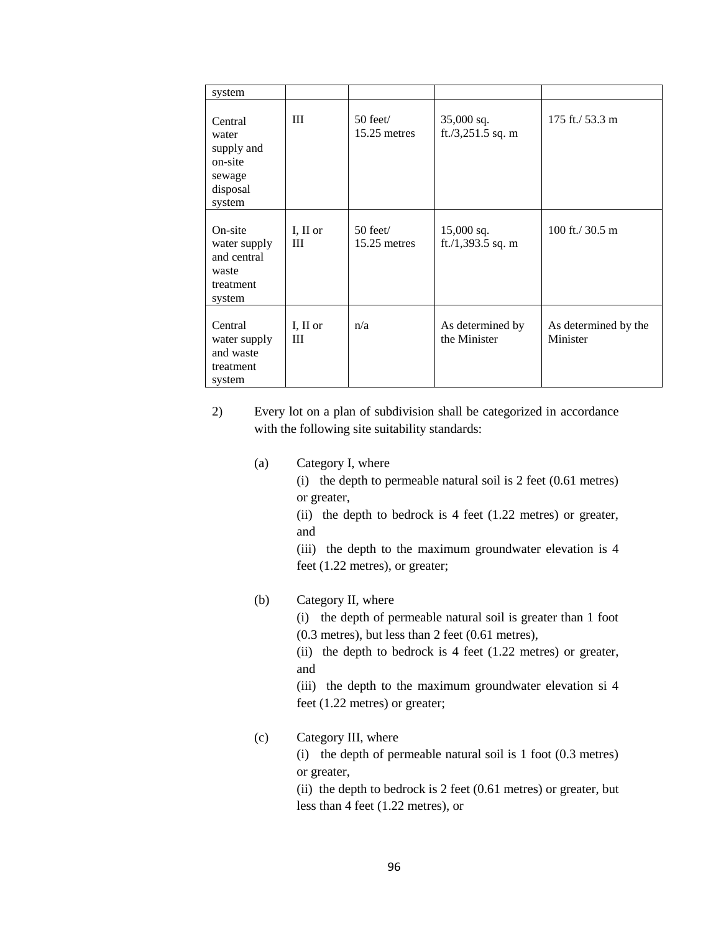| system                                                                    |                 |                                  |                                   |                                  |
|---------------------------------------------------------------------------|-----------------|----------------------------------|-----------------------------------|----------------------------------|
| Central<br>water<br>supply and<br>on-site<br>sewage<br>disposal<br>system | Ш               | $50$ feet $\ell$<br>15.25 metres | 35,000 sq.<br>ft./3,251.5 sq. m   | 175 ft./ 53.3 m                  |
| On-site<br>water supply<br>and central<br>waste<br>treatment<br>system    | I, II or<br>III | $50$ feet<br>15.25 metres        | $15,000$ sq.<br>ft./1,393.5 sq. m | 100 ft./ $30.5 \text{ m}$        |
| Central<br>water supply<br>and waste<br>treatment<br>system               | I, II or<br>III | n/a                              | As determined by<br>the Minister  | As determined by the<br>Minister |

- 2) Every lot on a plan of subdivision shall be categorized in accordance with the following site suitability standards:
	- (a) Category I, where

(i) the depth to permeable natural soil is 2 feet (0.61 metres) or greater,

(ii) the depth to bedrock is  $4$  feet (1.22 metres) or greater, and

(iii) the depth to the maximum groundwater elevation is 4 feet (1.22 metres), or greater;

## (b) Category II, where

(i) the depth of permeable natural soil is greater than 1 foot (0.3 metres), but less than 2 feet (0.61 metres),

(ii) the depth to bedrock is  $4$  feet (1.22 metres) or greater, and

(iii) the depth to the maximum groundwater elevation si 4 feet (1.22 metres) or greater;

## (c) Category III, where

(i) the depth of permeable natural soil is 1 foot (0.3 metres) or greater,

(ii) the depth to bedrock is 2 feet (0.61 metres) or greater, but less than 4 feet (1.22 metres), or